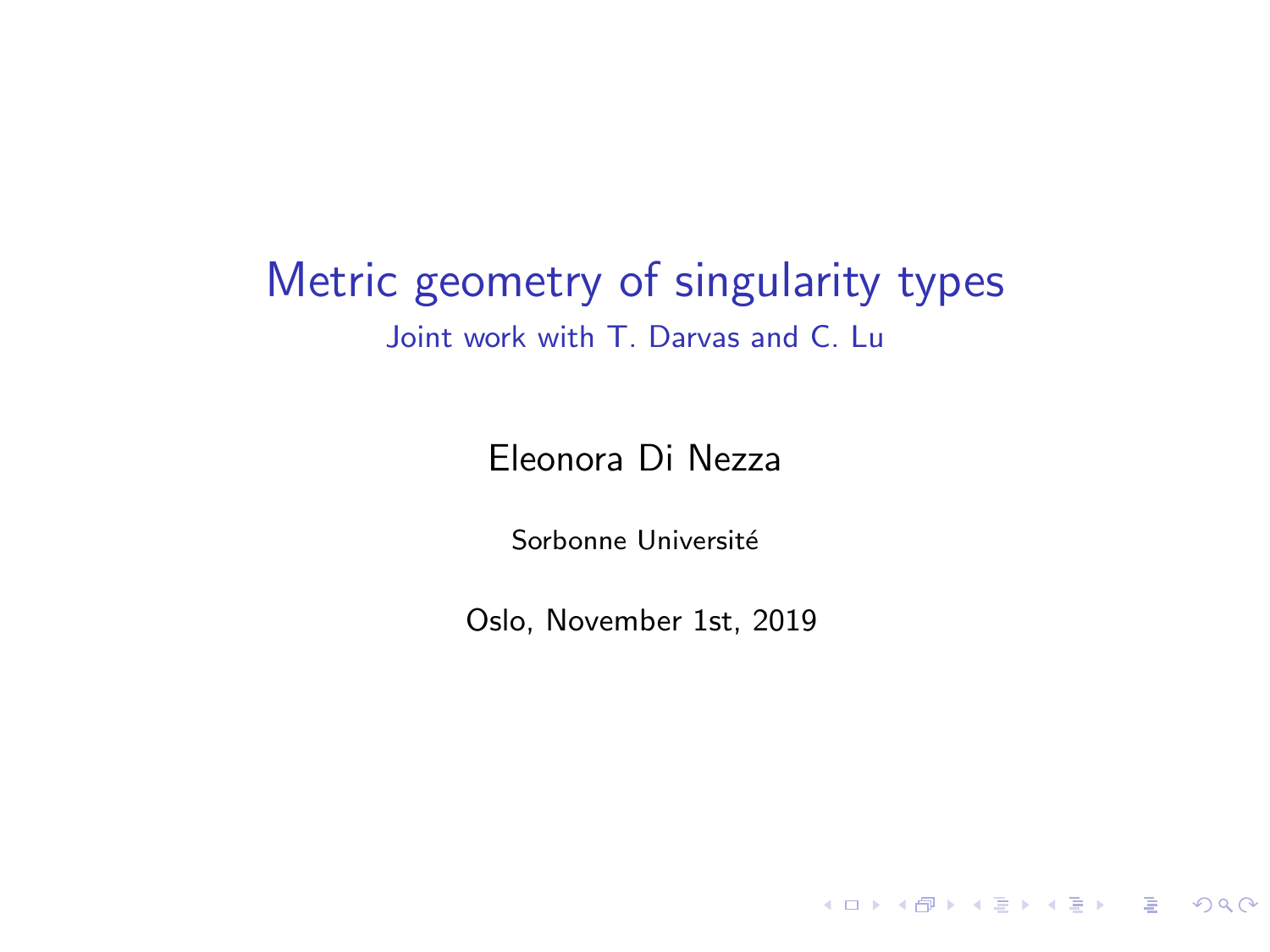#### Metric geometry of singularity types Joint work with T. Darvas and C. Lu

Eleonora Di Nezza

Sorbonne Université

Oslo, November 1st, 2019

K ロ ▶ K @ ▶ K 로 ▶ K 로 ▶ - 로 - K 9 Q Q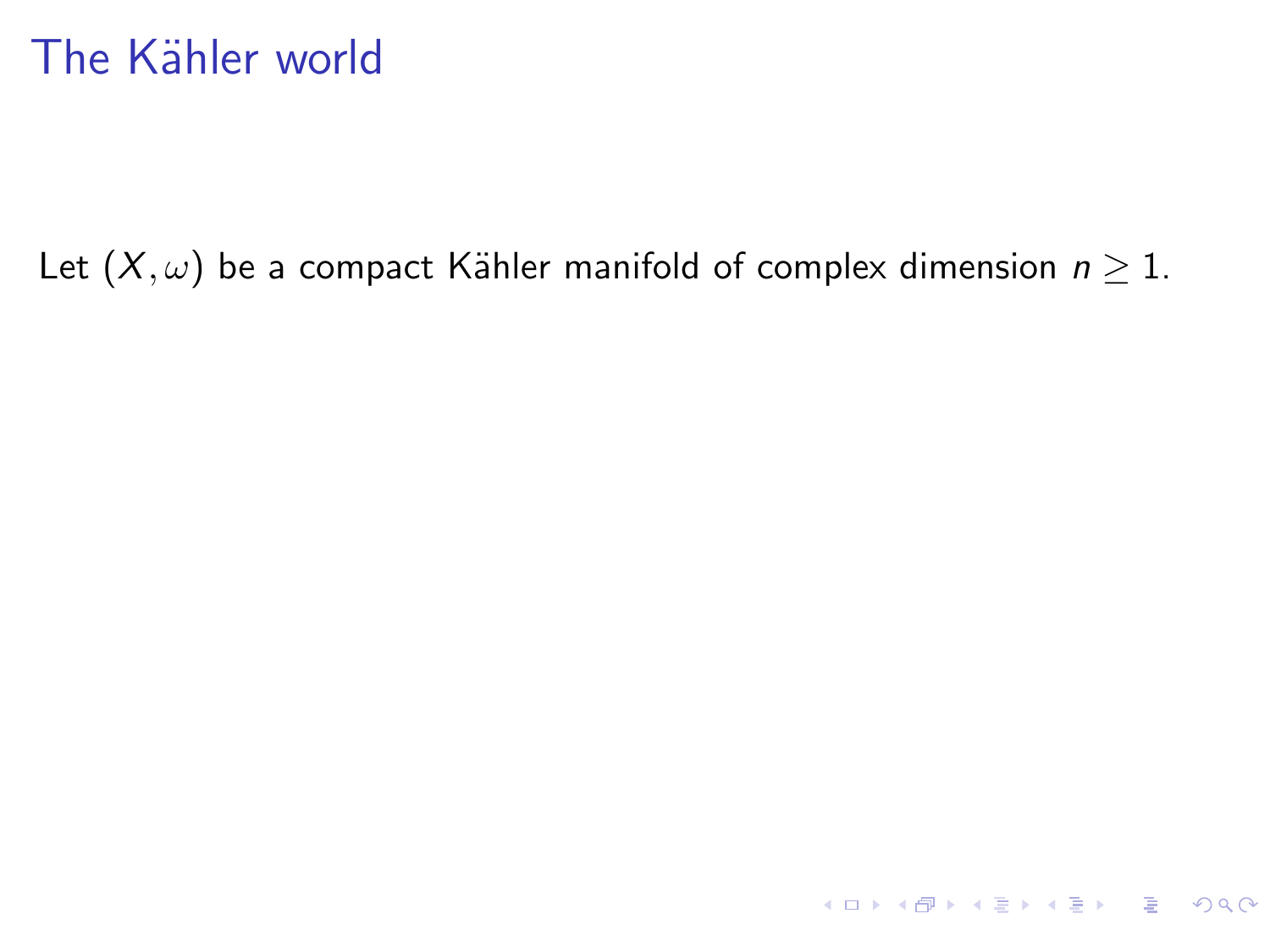Let  $(X, \omega)$  be a compact Kähler manifold of complex dimension  $n \geq 1$ .

KO KA KE KE KE KA RA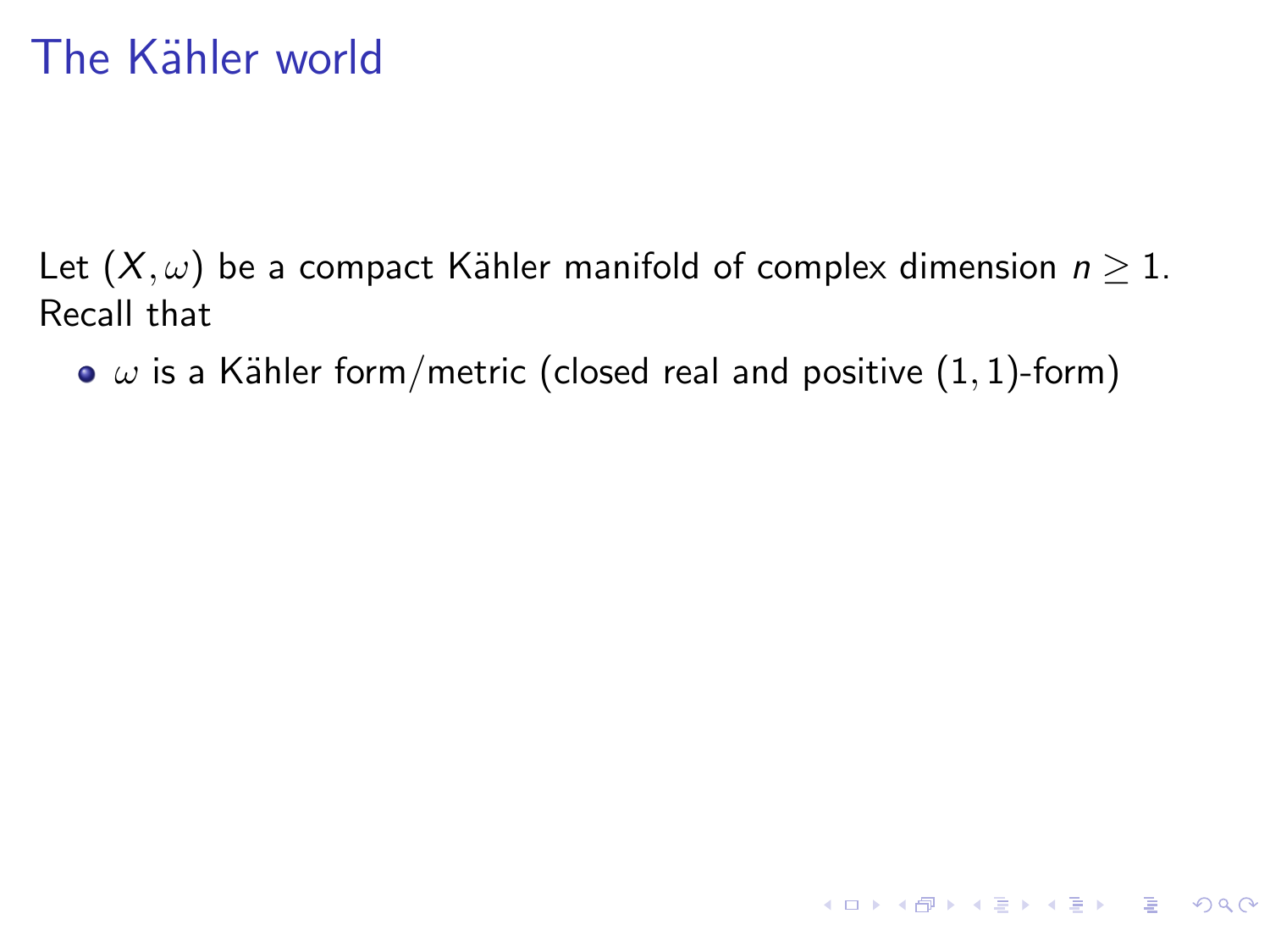Let  $(X, \omega)$  be a compact Kähler manifold of complex dimension  $n \geq 1$ . Recall that

 $\bullet$   $\omega$  is a Kähler form/metric (closed real and positive (1, 1)-form)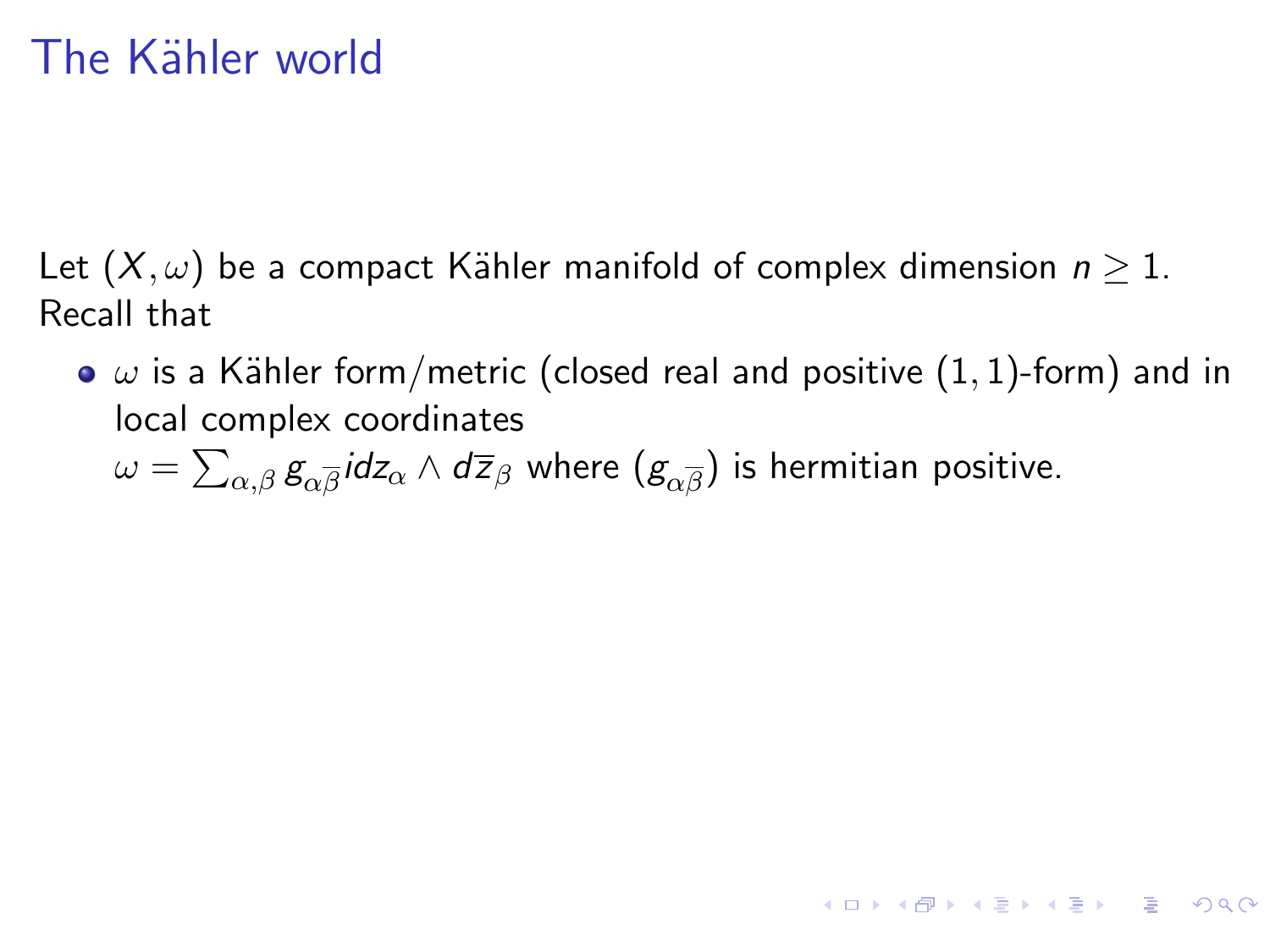Let  $(X, \omega)$  be a compact Kähler manifold of complex dimension  $n \geq 1$ . Recall that

 $\bullet$   $\omega$  is a Kähler form/metric (closed real and positive (1, 1)-form) and in local complex coordinates

**KORKAR KERKER DI VOOR** 

 $\omega=\sum_{\alpha,\beta} \textit{g}_{\alpha \overline{\beta}}$ idz $_{\alpha} \wedge$  d $\overline{z}_{\beta}$  where  $(\textit{g}_{\alpha \overline{\beta}})$  is hermitian positive.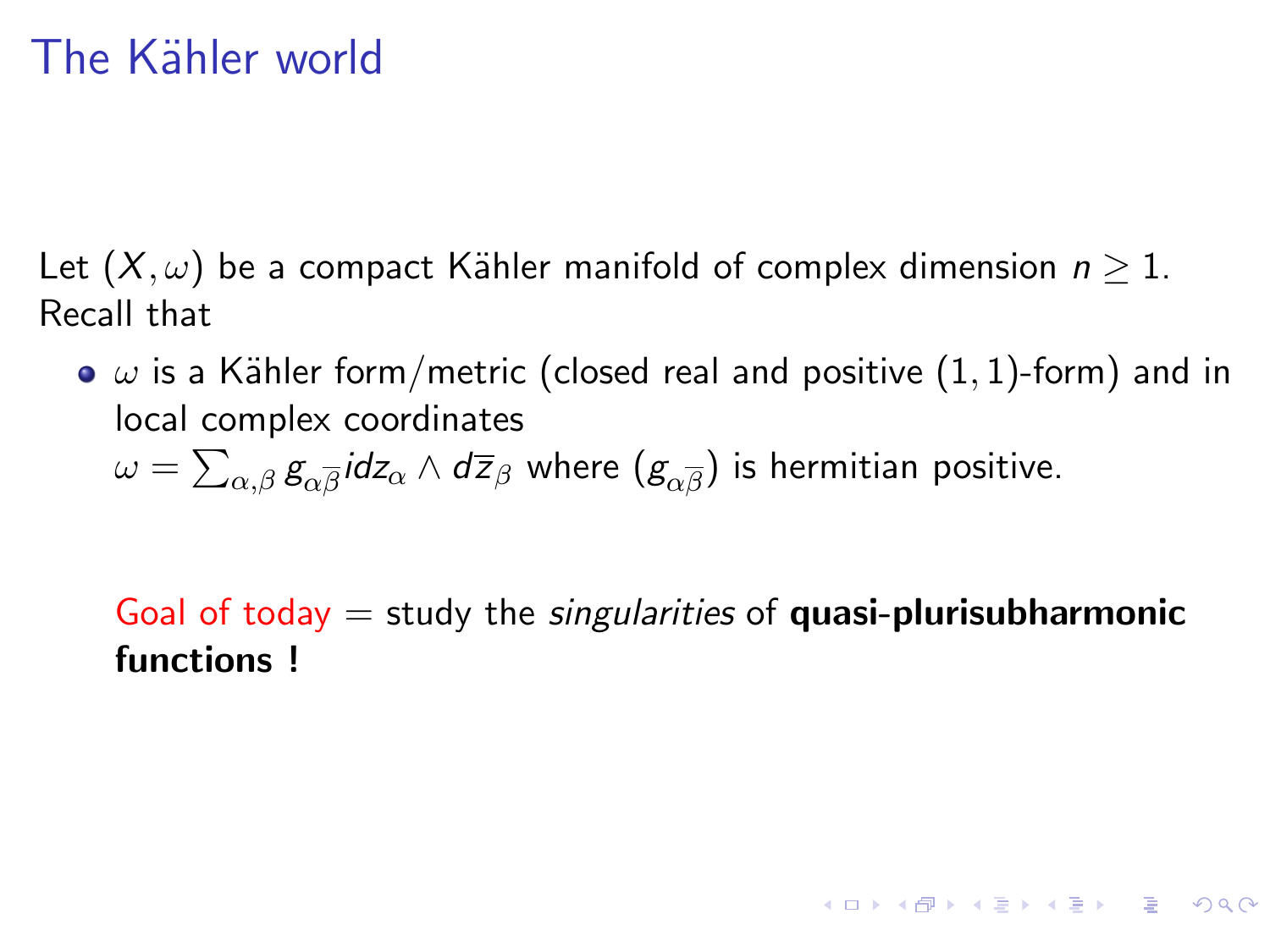Let  $(X, \omega)$  be a compact Kähler manifold of complex dimension  $n \geq 1$ . Recall that

 $\bullet$   $\omega$  is a Kähler form/metric (closed real and positive (1, 1)-form) and in local complex coordinates

 $\omega=\sum_{\alpha,\beta} \textit{g}_{\alpha \overline{\beta}}$ idz $_{\alpha} \wedge$  d $\overline{z}_{\beta}$  where  $(\textit{g}_{\alpha \overline{\beta}})$  is hermitian positive.

Goal of today  $=$  study the *singularities* of **quasi-plurisubharmonic** functions !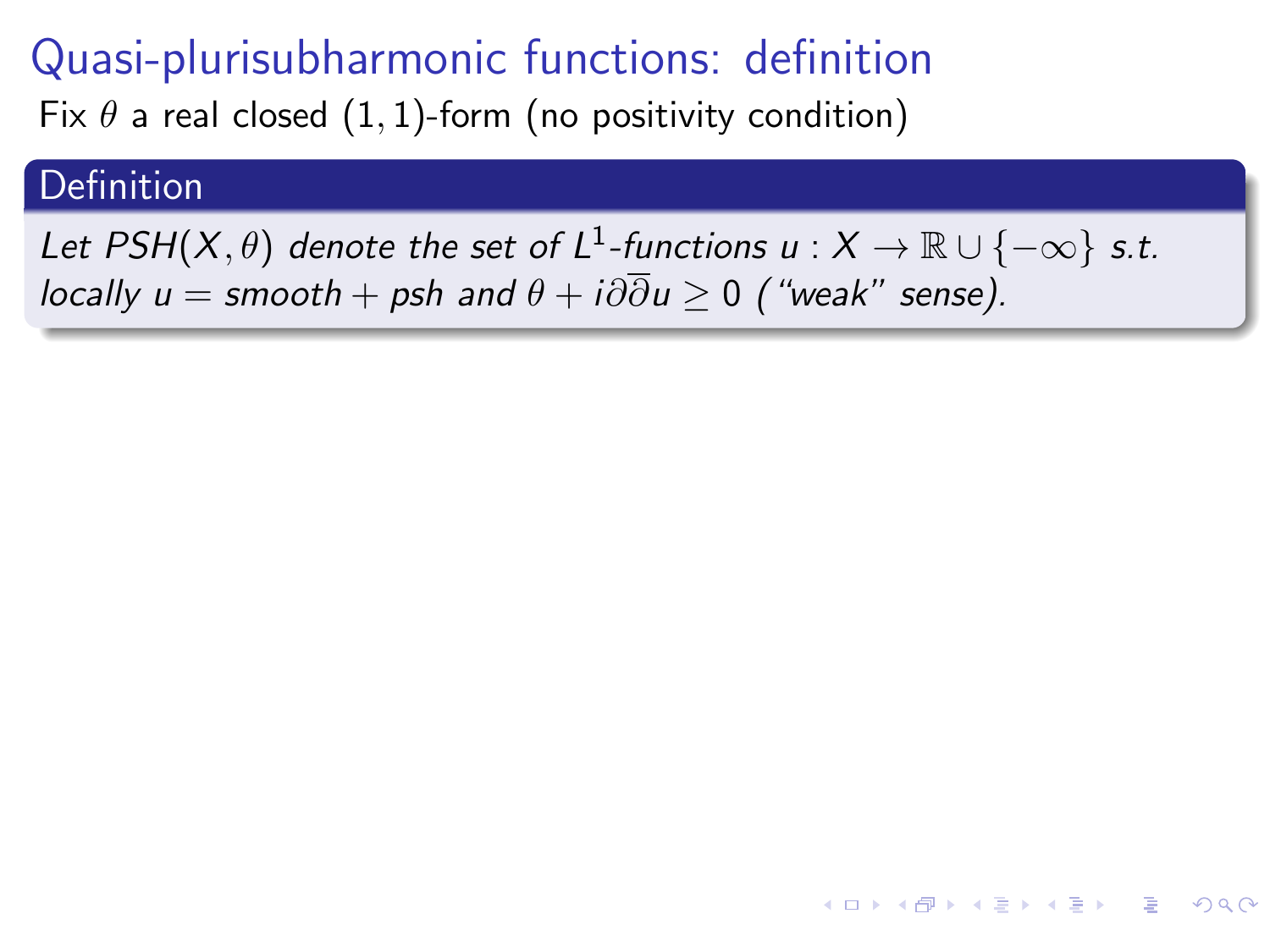Fix  $\theta$  a real closed  $(1, 1)$ -form (no positivity condition)

#### Definition

Let PSH $(X,\theta)$  denote the set of L<sup>1</sup>-functions  $u:X\to\mathbb R\cup\{-\infty\}$  s.t. locally  $u =$  smooth + psh and  $\theta + i\partial \overline{\partial} u \ge 0$  ("weak" sense).

 $\overline{z}$  (  $\overline{z}$  ) (  $\overline{z}$  ) (  $\overline{w}$  ) (  $\overline{w}$  )

 $QQ$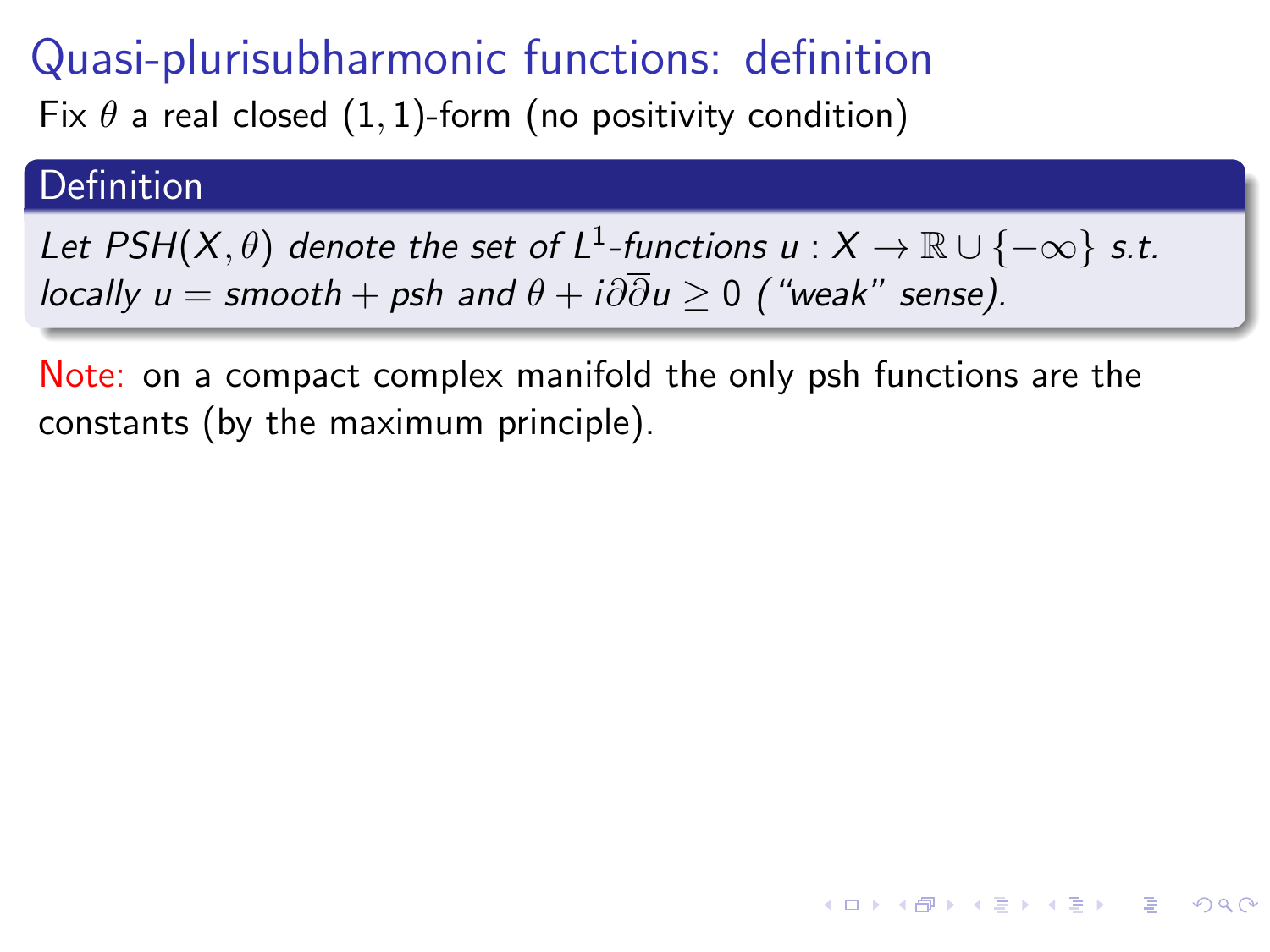Fix  $\theta$  a real closed (1, 1)-form (no positivity condition)

#### Definition

Let PSH $(X,\theta)$  denote the set of L<sup>1</sup>-functions  $u:X\to\mathbb R\cup\{-\infty\}$  s.t. locally  $u =$  smooth + psh and  $\theta + i\partial \overline{\partial} u \ge 0$  ("weak" sense).

Note: on a compact complex manifold the only psh functions are the constants (by the maximum principle).

**A DIA K F A SHA K F A DA A G A SHA SHA SHA SHA SHA SHA SHA SHA SHA**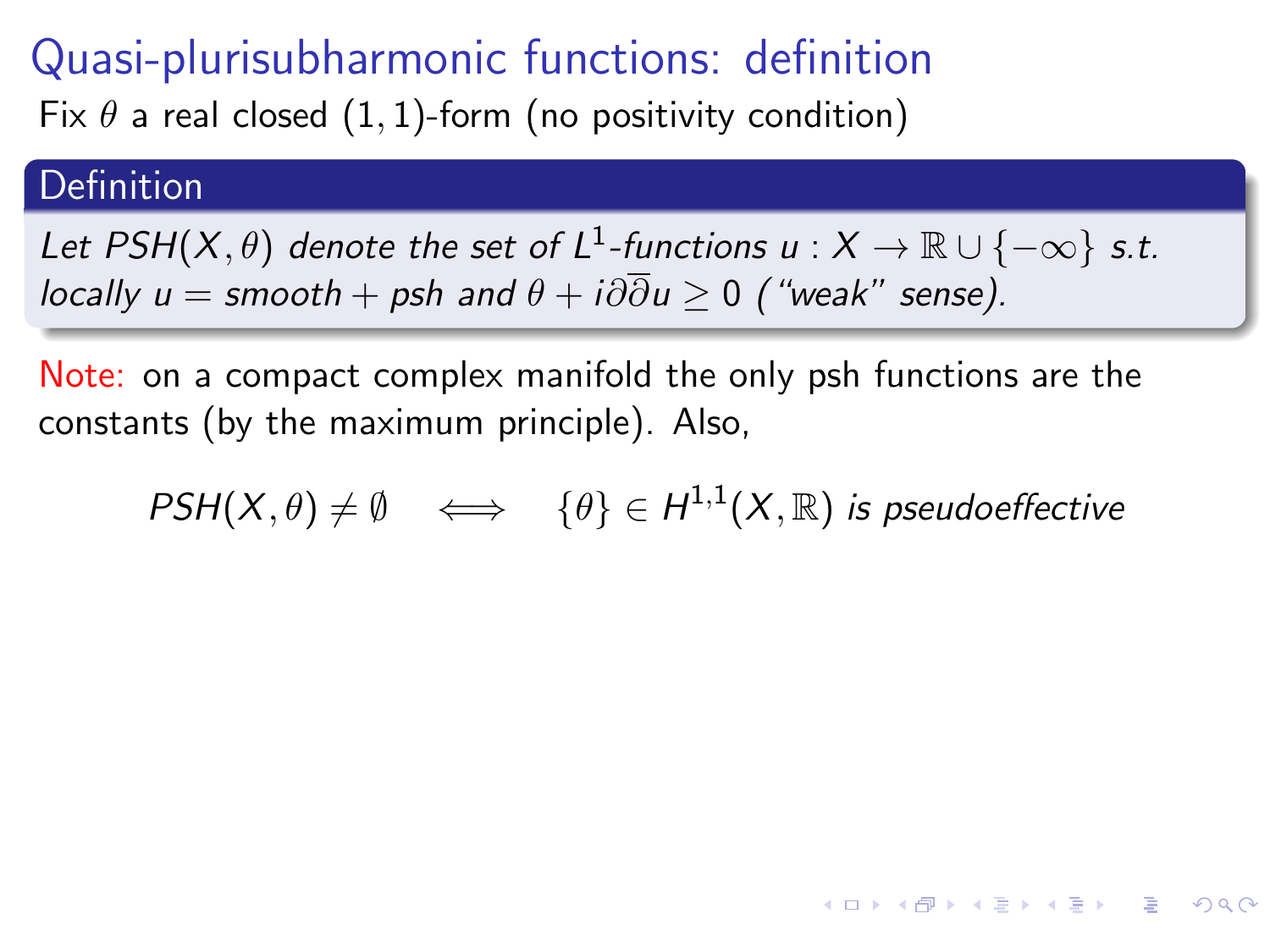Fix  $\theta$  a real closed (1, 1)-form (no positivity condition)

#### Definition

Let PSH $(X,\theta)$  denote the set of L<sup>1</sup>-functions  $u:X\to\mathbb R\cup\{-\infty\}$  s.t. locally  $u =$  smooth + psh and  $\theta + i\partial \overline{\partial} u > 0$  ("weak" sense).

Note: on a compact complex manifold the only psh functions are the constants (by the maximum principle). Also,

 $\mathsf{PSH}(X,\theta)\neq\emptyset \quad \Longleftrightarrow \quad \{\theta\}\in H^{1,1}(X,\mathbb{R})$  is pseudoeffective

**KORKA STRAIN STRAIN**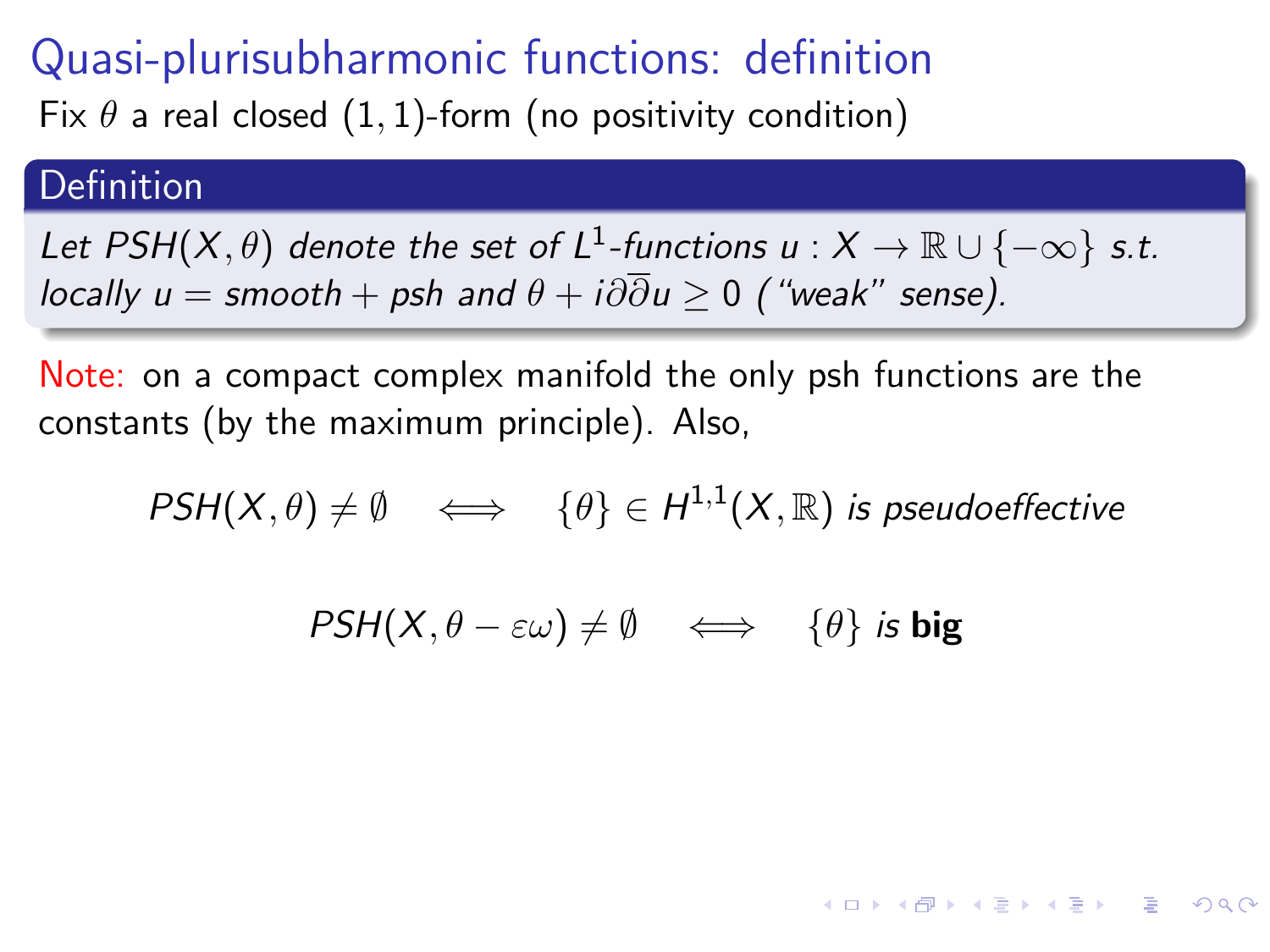Fix  $\theta$  a real closed (1, 1)-form (no positivity condition)

#### Definition

Let PSH $(X,\theta)$  denote the set of L<sup>1</sup>-functions  $u:X\to\mathbb R\cup\{-\infty\}$  s.t. locally  $u =$  smooth + psh and  $\theta + i\partial \overline{\partial} u \ge 0$  ("weak" sense).

Note: on a compact complex manifold the only psh functions are the constants (by the maximum principle). Also,

$$
\mathit{PSH}(X,\theta) \neq \emptyset \quad \Longleftrightarrow \quad \{\theta\} \in H^{1,1}(X,\mathbb{R}) \text{ is pseudoeffective}
$$

$$
\mathit{PSH}(X,\theta-\varepsilon\omega)\neq\emptyset\quad\Longleftrightarrow\quad\{\theta\}\text{ is big}
$$

**A DIA K F A SHA K F A DA A G A SHA SHA SHA SHA SHA SHA SHA SHA SHA**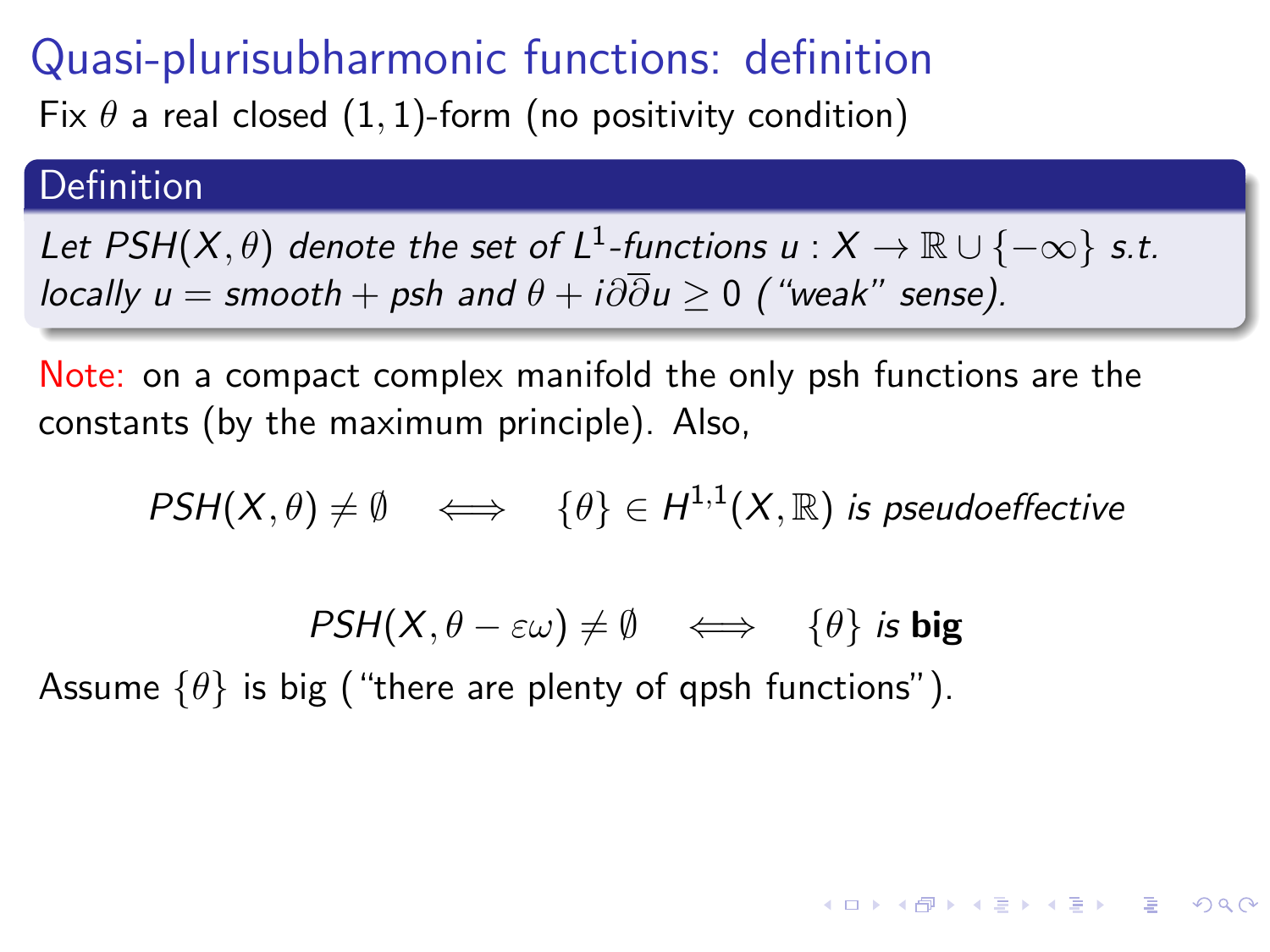Fix  $\theta$  a real closed (1, 1)-form (no positivity condition)

#### **Definition**

Let PSH $(X,\theta)$  denote the set of L<sup>1</sup>-functions  $u:X\to\mathbb R\cup\{-\infty\}$  s.t. locally  $u =$  smooth + psh and  $\theta + i\partial \overline{\partial} u > 0$  ("weak" sense).

Note: on a compact complex manifold the only psh functions are the constants (by the maximum principle). Also,

$$
\mathsf{PSH}(X,\theta) \neq \emptyset \quad \Longleftrightarrow \quad \{\theta\} \in H^{1,1}(X,\mathbb{R}) \text{ is pseudoeffective}
$$

$$
\mathit{PSH}(X,\theta-\varepsilon\omega)\neq\emptyset\quad\Longleftrightarrow\quad\{\theta\}\text{ is big}
$$

**KORKA STRAIN STRAIN** 

Assume  $\{\theta\}$  is big ("there are plenty of qpsh functions").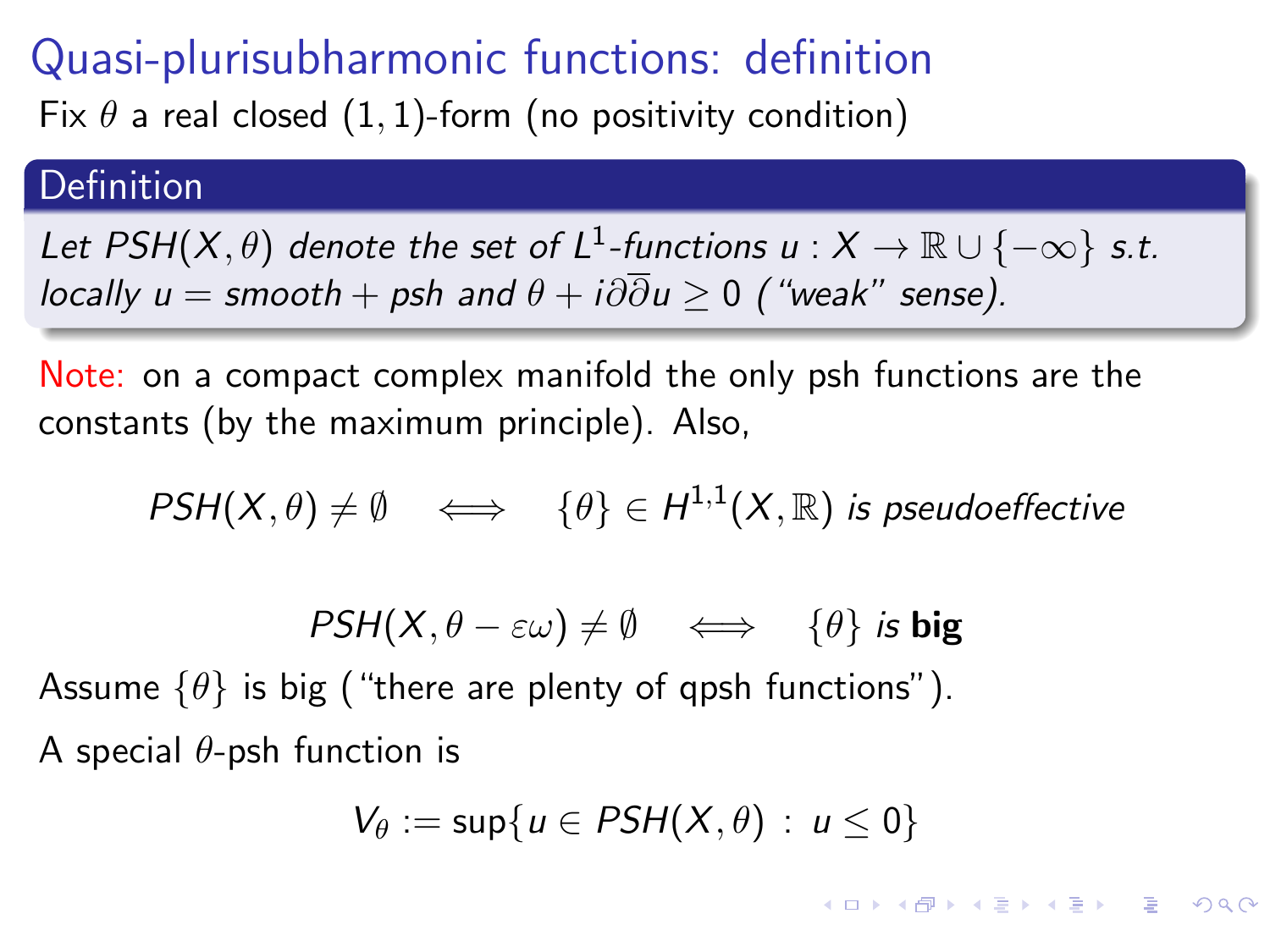Fix  $\theta$  a real closed (1, 1)-form (no positivity condition)

#### **Definition**

Let PSH $(X,\theta)$  denote the set of L<sup>1</sup>-functions  $u:X\to\mathbb R\cup\{-\infty\}$  s.t. locally  $u =$  smooth + psh and  $\theta + i\partial \overline{\partial} u > 0$  ("weak" sense).

Note: on a compact complex manifold the only psh functions are the constants (by the maximum principle). Also,

$$
\mathsf{PSH}(X,\theta) \neq \emptyset \quad \Longleftrightarrow \quad \{\theta\} \in H^{1,1}(X,\mathbb{R}) \text{ is pseudoeffective}
$$

$$
\mathit{PSH}(X,\theta-\varepsilon\omega)\neq\emptyset\quad\Longleftrightarrow\quad\{\theta\}\text{ is big}
$$

Assume  $\{\theta\}$  is big ("there are plenty of qpsh functions"). A special  $\theta$ -psh function is

$$
V_{\theta} := \sup\{u \in PSH(X,\theta) : u \leq 0\}
$$

**KORKA STRAIN STRAIN**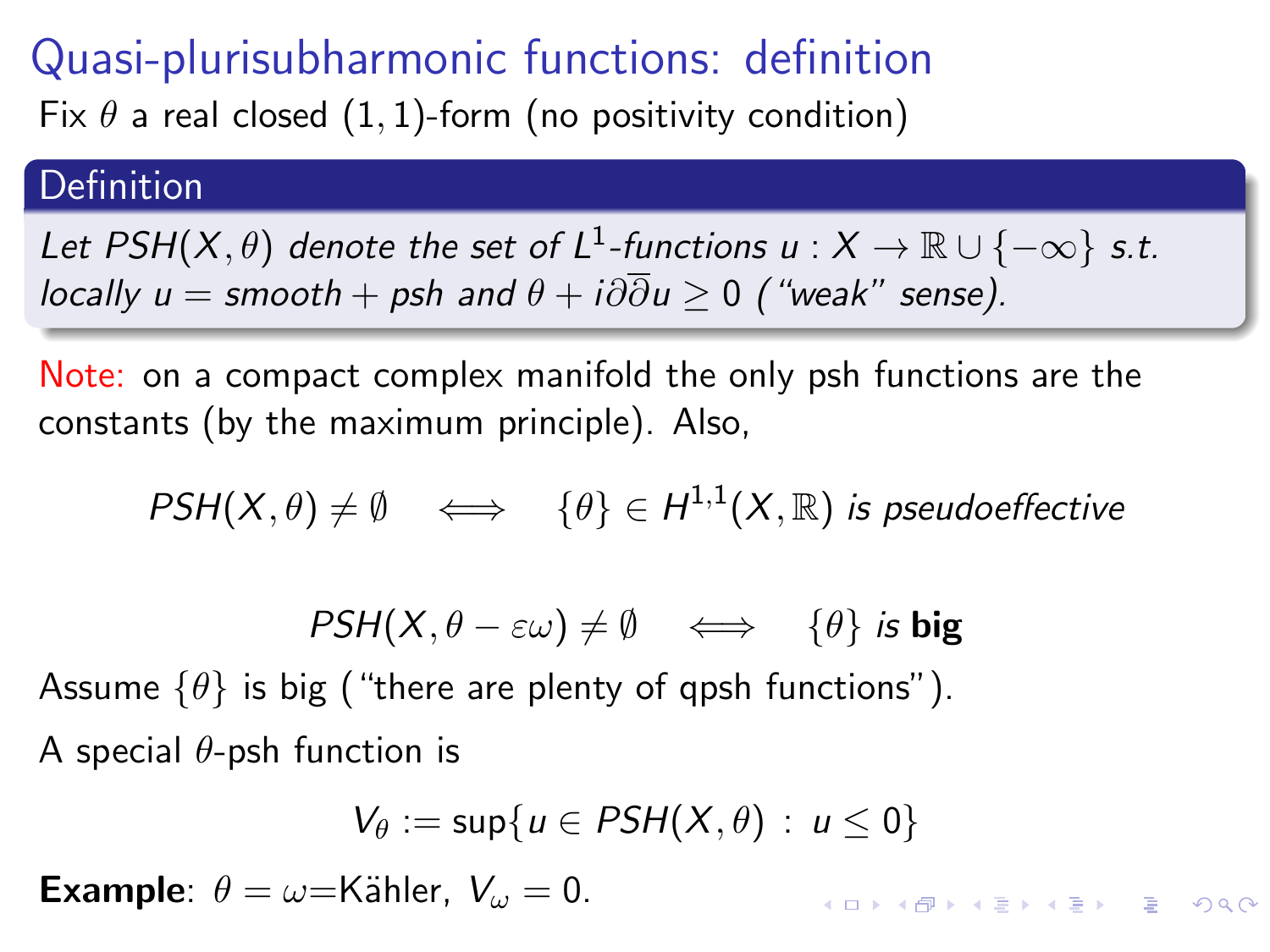Fix  $\theta$  a real closed (1, 1)-form (no positivity condition)

#### Definition

Let PSH $(X,\theta)$  denote the set of L<sup>1</sup>-functions  $u:X\to\mathbb R\cup\{-\infty\}$  s.t. locally  $u =$  smooth + psh and  $\theta + i\partial \overline{\partial} u > 0$  ("weak" sense).

Note: on a compact complex manifold the only psh functions are the constants (by the maximum principle). Also,

$$
\mathit{PSH}(X,\theta) \neq \emptyset \quad \Longleftrightarrow \quad \{\theta\} \in H^{1,1}(X,\mathbb{R}) \text{ is pseudoeffective}
$$

$$
\mathit{PSH}(X,\theta-\varepsilon\omega)\neq\emptyset\quad\Longleftrightarrow\quad\{\theta\}\text{ is big}
$$

Assume  $\{\theta\}$  is big ("there are plenty of qpsh functions"). A special  $\theta$ -psh function is

$$
V_{\theta} := \sup\{u \in PSH(X,\theta) : u \leq 0\}
$$

Example:  $\theta = \omega =$ Kähler,  $V_{\omega} = 0$ .

**KORKAR KERKER DI VOOR**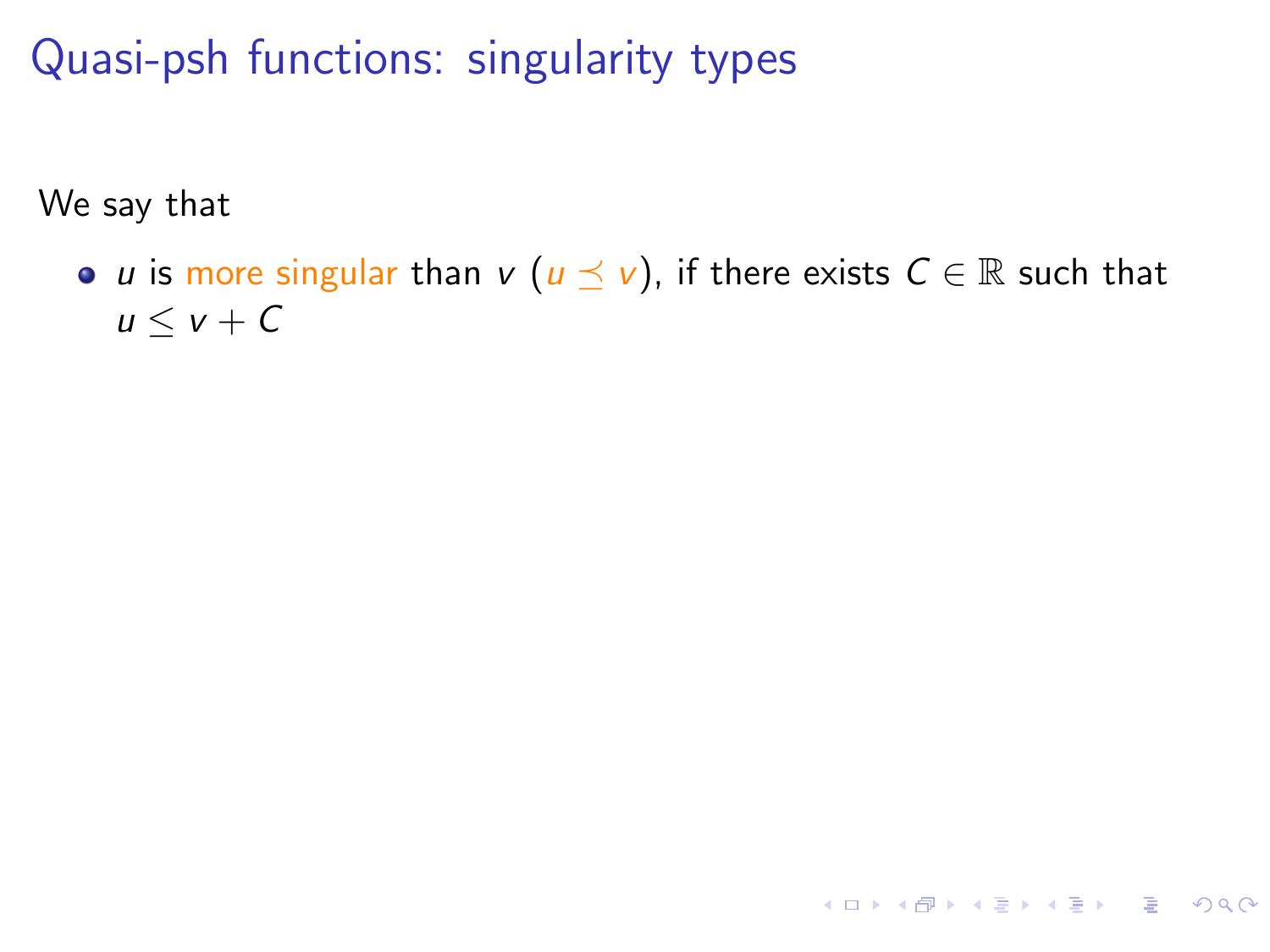We say that

• *u* is more singular than  $v$  ( $u \le v$ ), if there exists  $C \in \mathbb{R}$  such that  $u \leq v + C$ 

**KORK EXTERNEY ARY YOUR**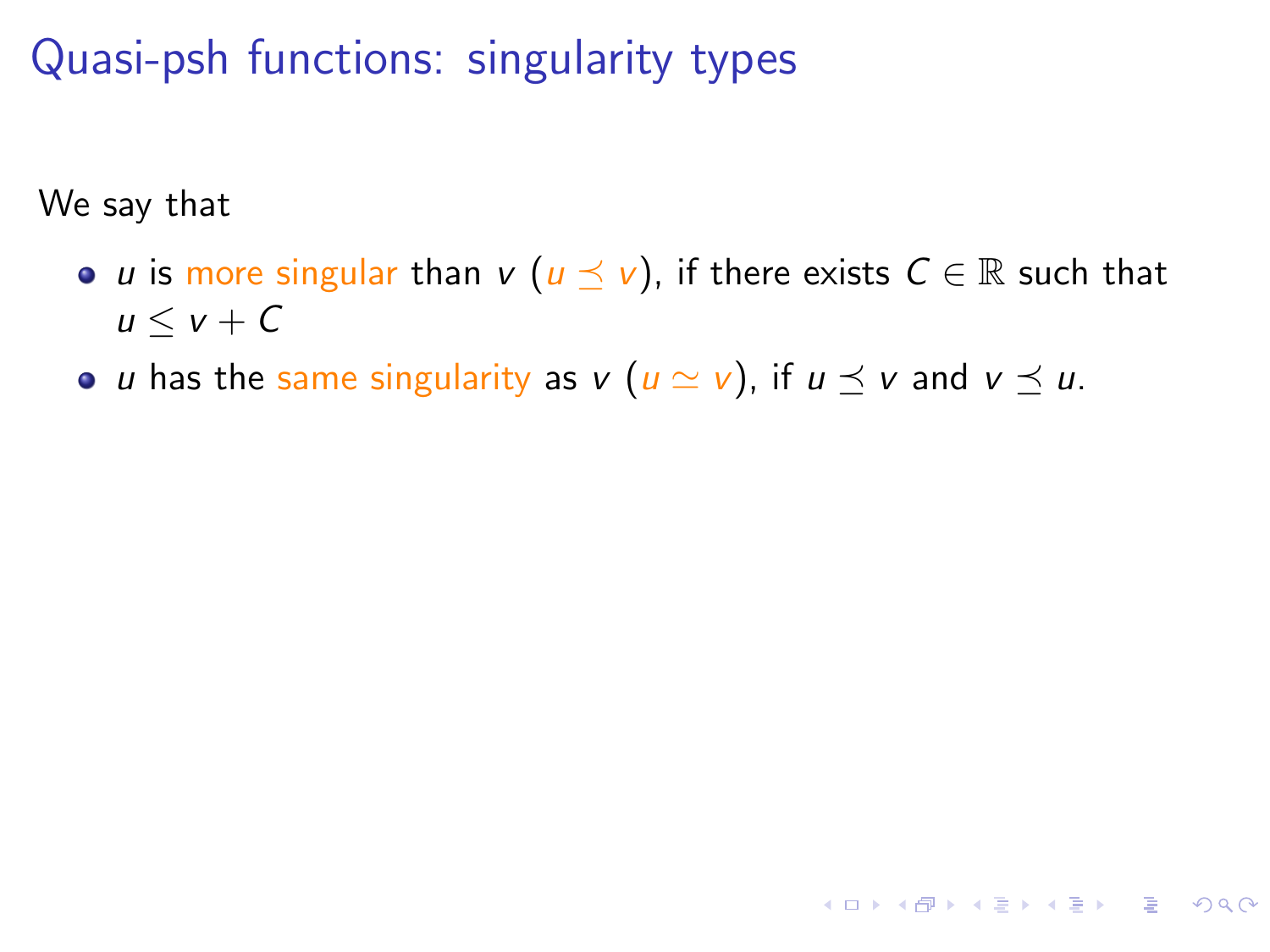We say that

• *u* is more singular than *v* ( $u \preceq v$ ), if there exists  $C \in \mathbb{R}$  such that  $u \leq v + C$ 

**KORKAR KERKER DRAM** 

• *u* has the same singularity as  $v$  ( $u \simeq v$ ), if  $u \preceq v$  and  $v \preceq u$ .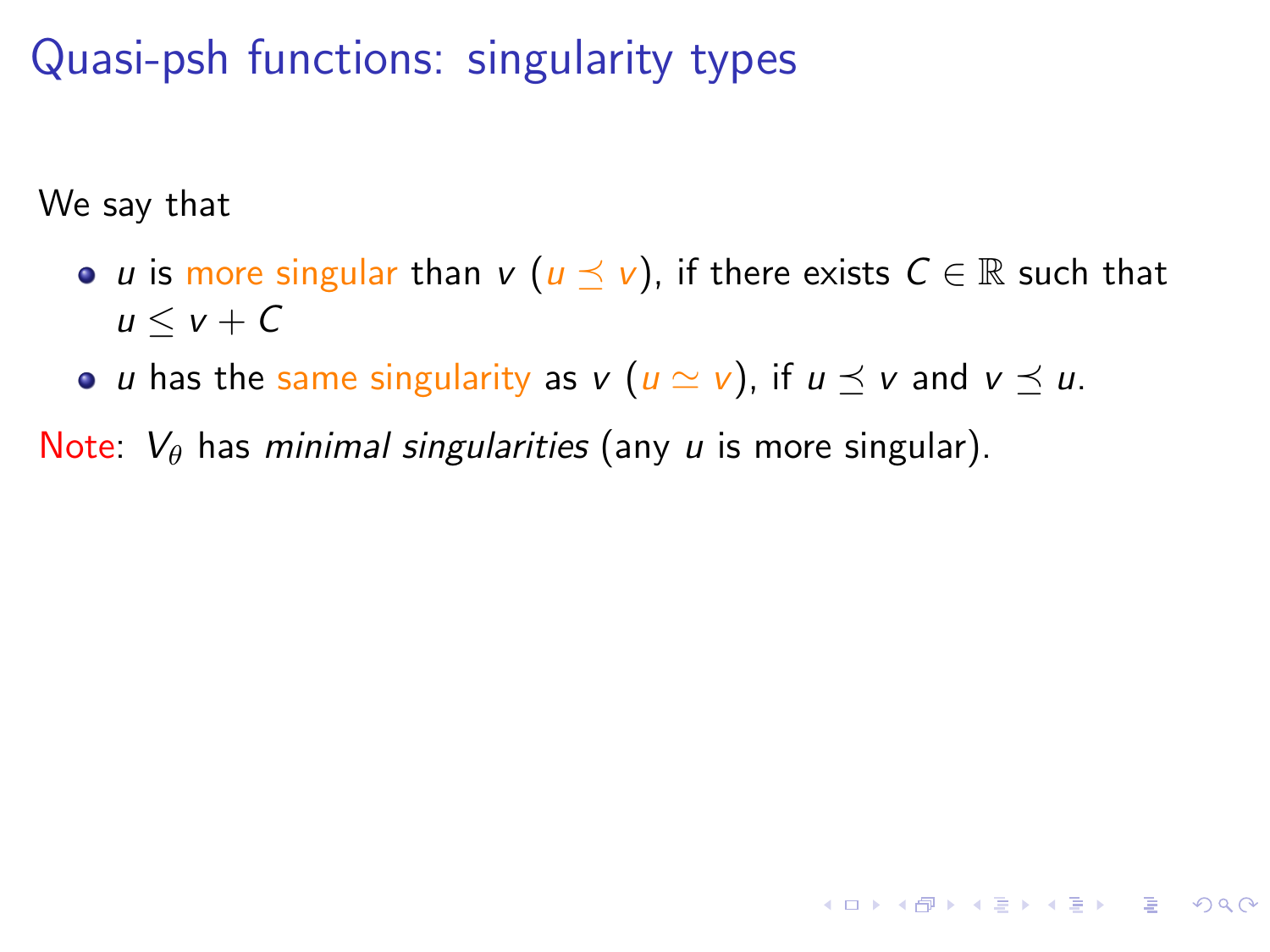We say that

• *u* is more singular than *v* ( $u \preceq v$ ), if there exists  $C \in \mathbb{R}$  such that  $u \leq v + C$ 

**KORKA STRAIN STRAIN** 

• *u* has the same singularity as  $v$  ( $u \approx v$ ), if  $u \preceq v$  and  $v \preceq u$ .

Note:  $V_{\theta}$  has *minimal singularities* (any *u* is more singular).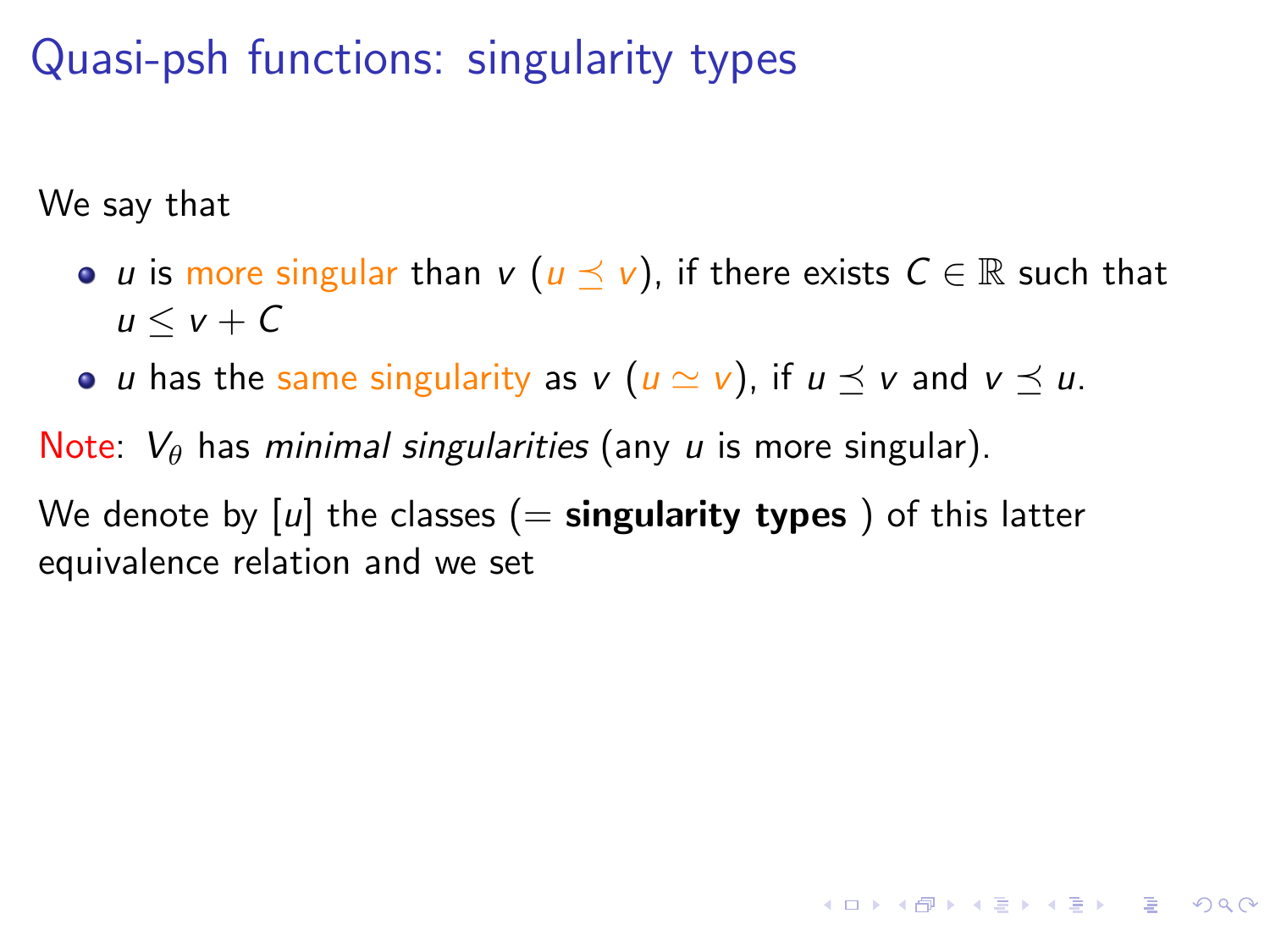We say that

• *u* is more singular than  $v$  ( $u \preceq v$ ), if there exists  $C \in \mathbb{R}$  such that  $u < v + C$ 

**KORKA STRAIN STRAIN** 

• *u* has the same singularity as  $v$  ( $u \simeq v$ ), if  $u \preceq v$  and  $v \preceq u$ .

Note:  $V_{\theta}$  has *minimal singularities* (any *u* is more singular).

We denote by  $[u]$  the classes  $(=$  singularity types) of this latter equivalence relation and we set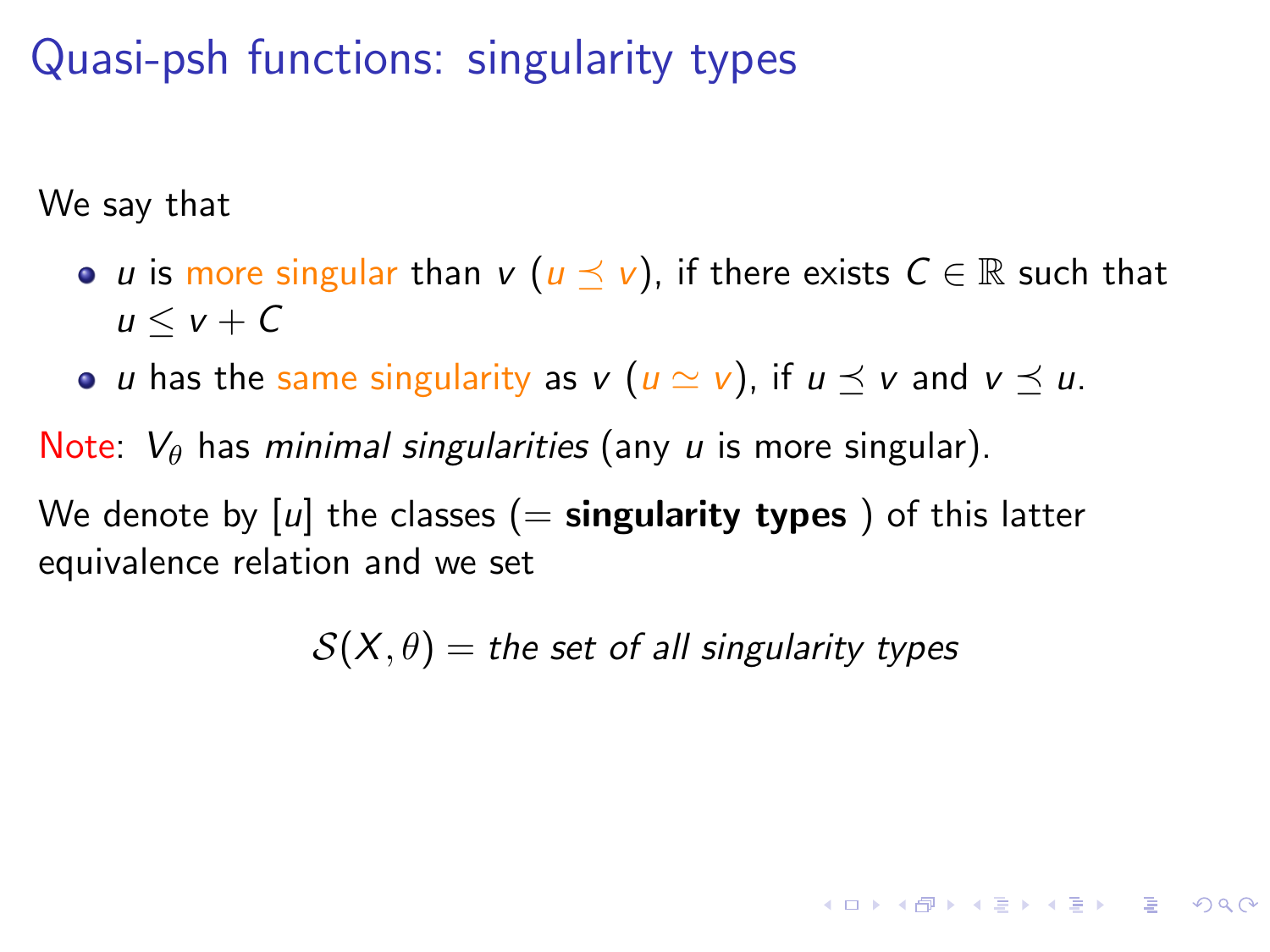We say that

- *u* is more singular than *v* ( $u \preceq v$ ), if there exists  $C \in \mathbb{R}$  such that  $u < v + C$
- *u* has the same singularity as  $v$  ( $u \simeq v$ ), if  $u \preceq v$  and  $v \preceq u$ .

Note:  $V_{\theta}$  has minimal singularities (any u is more singular).

We denote by  $[u]$  the classes  $(=$  singularity types) of this latter equivalence relation and we set

 $S(X, \theta) =$  the set of all singularity types

**KORKAR KERKER DRAM**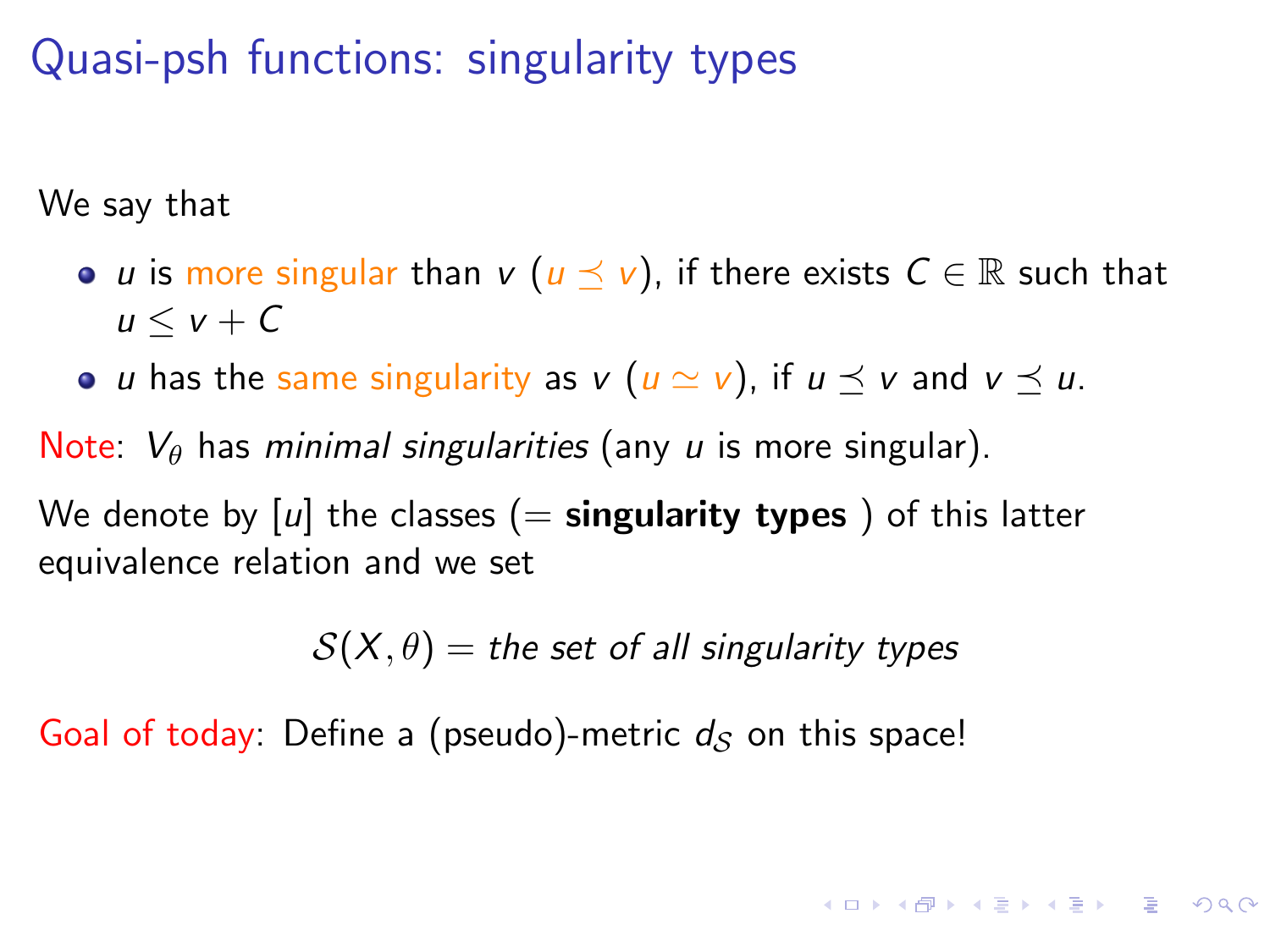We say that

- *u* is more singular than *v* ( $u \preceq v$ ), if there exists  $C \in \mathbb{R}$  such that  $u \leq v + C$
- *u* has the same singularity as  $v$  ( $u \simeq v$ ), if  $u \preceq v$  and  $v \preceq u$ .

Note:  $V_{\theta}$  has minimal singularities (any u is more singular).

We denote by  $[u]$  the classes  $(=$  singularity types) of this latter equivalence relation and we set

 $S(X, \theta) =$  the set of all singularity types

**KORKAR KERKER DRAM** 

Goal of today: Define a (pseudo)-metric  $d<sub>S</sub>$  on this space!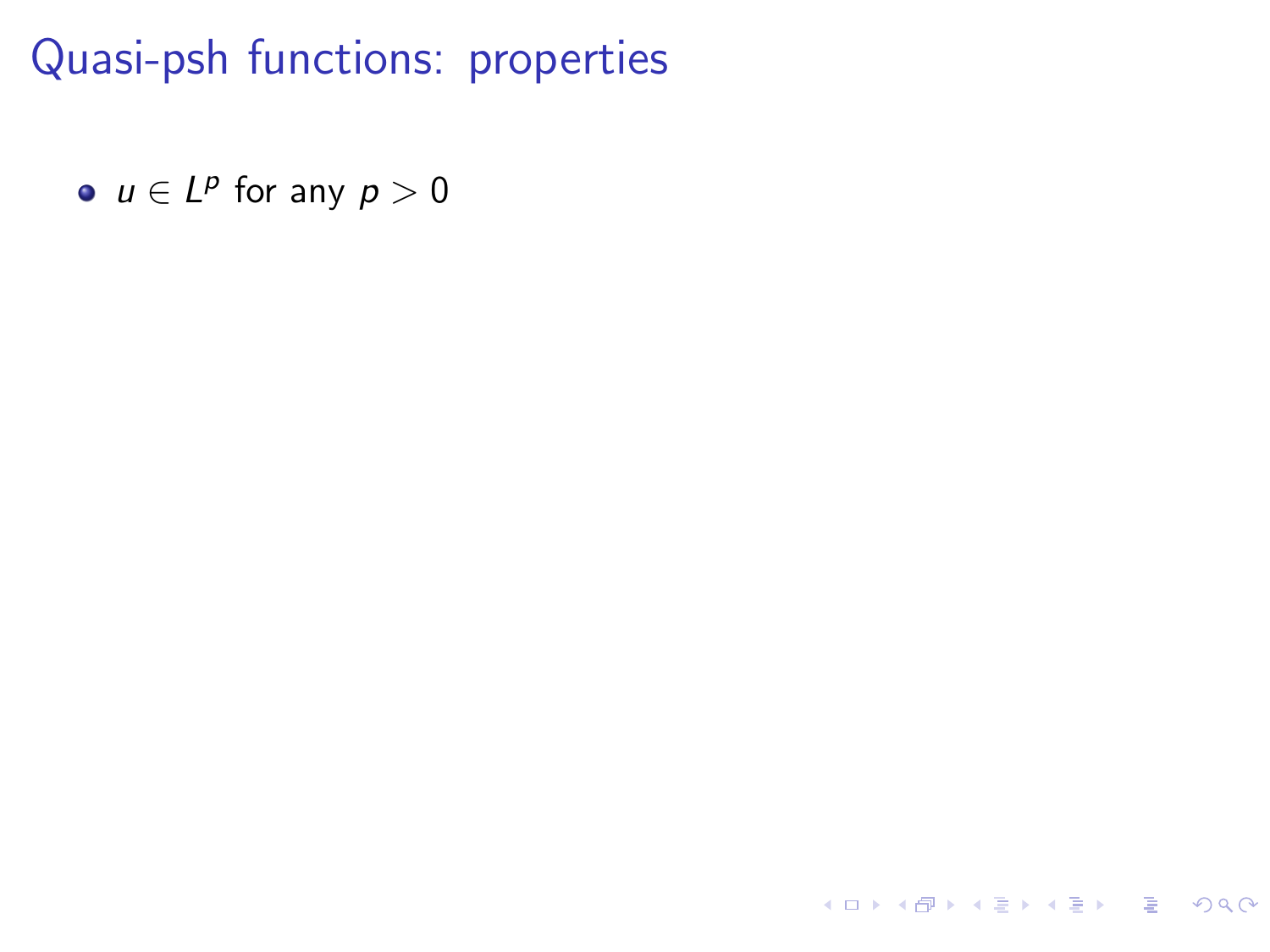<span id="page-18-1"></span><span id="page-18-0"></span> $u \in L^p$  for any  $p > 0$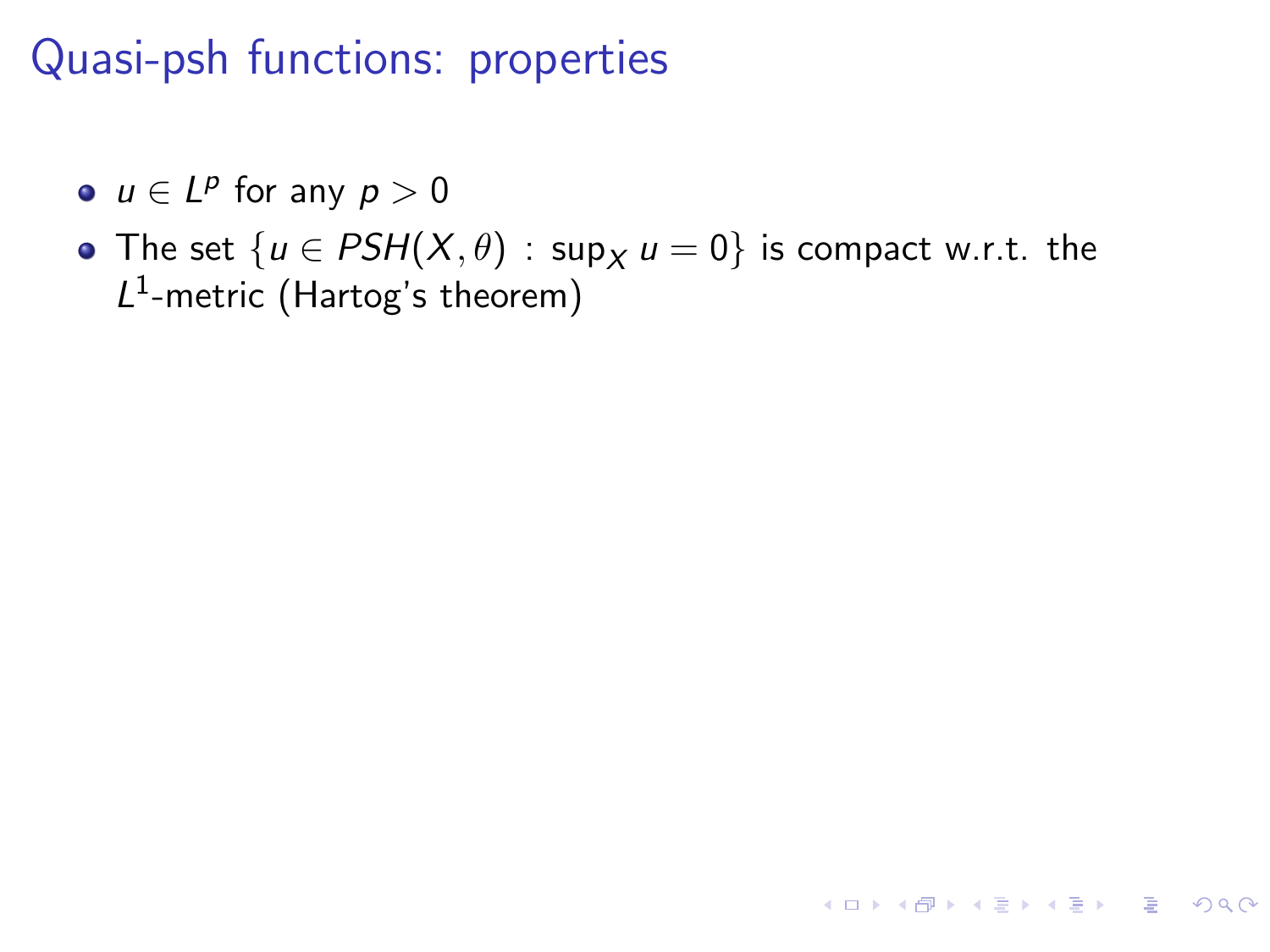- $u \in L^p$  for any  $p > 0$
- The set  $\{u \in PSH(X, \theta) : \sup_X u = 0\}$  is compact w.r.t. the  $L^1$ -metric (Hartog's theorem)

**KORK EXTERNS ORA**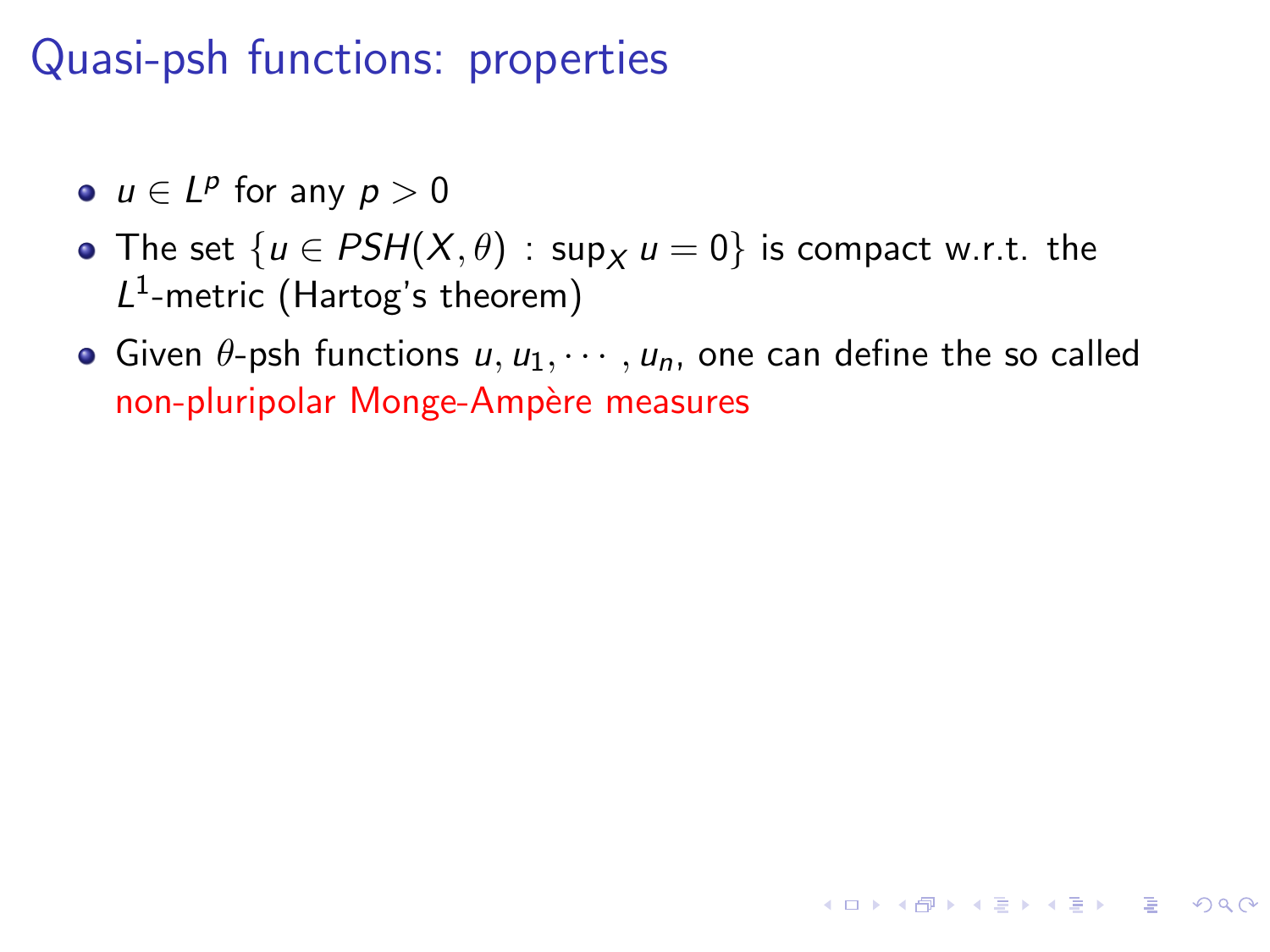- $u \in L^p$  for any  $p > 0$
- The set  $\{u \in PSH(X, \theta) : \sup_X u = 0\}$  is compact w.r.t. the  $L^1$ -metric (Hartog's theorem)
- Given  $\theta$ -psh functions  $u, u_1, \dots, u_n$ , one can define the so called non-pluripolar Monge-Ampère measures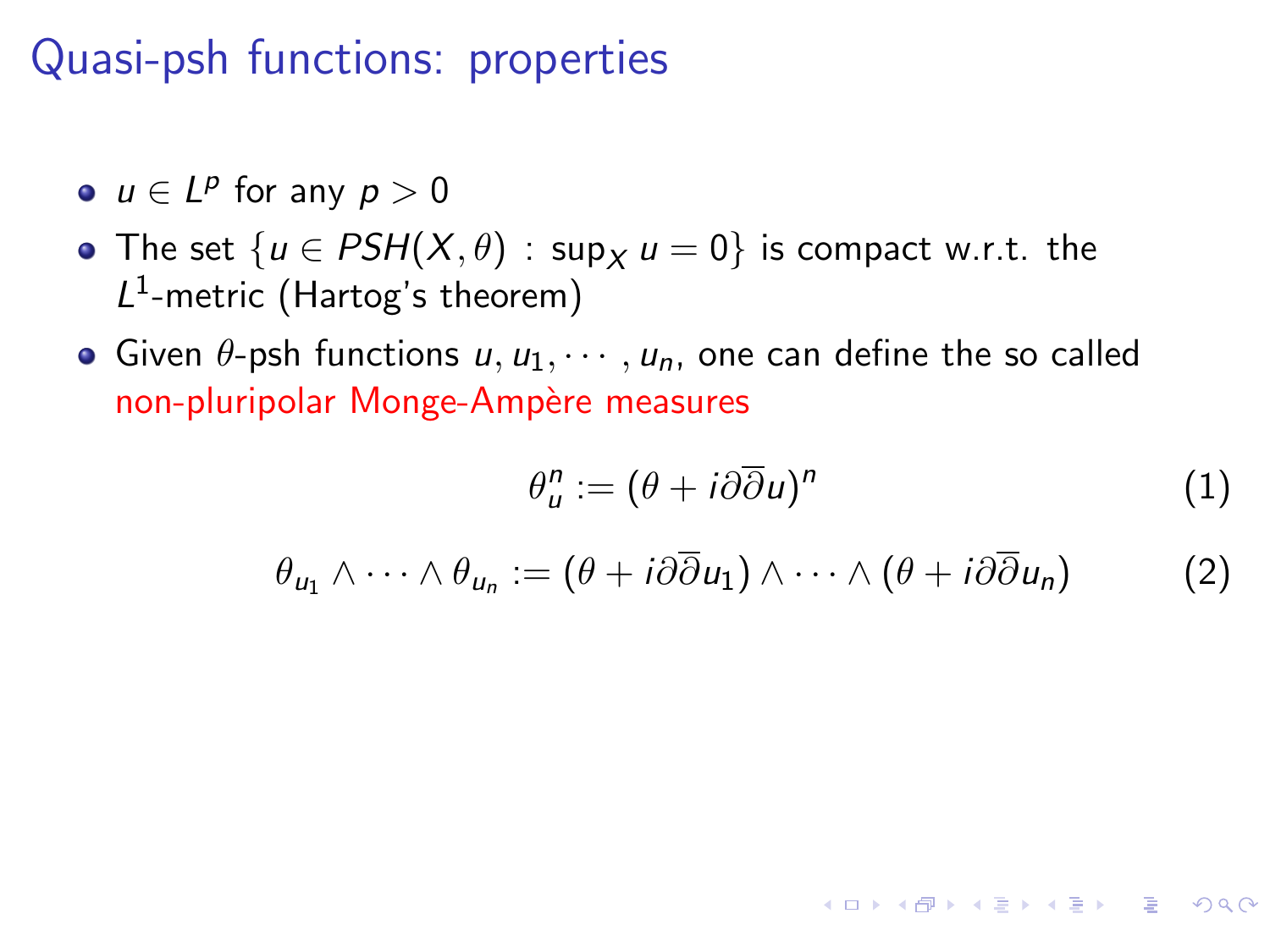- $u \in L^p$  for any  $p > 0$
- The set  $\{u \in PSH(X, \theta) : \sup_X u = 0\}$  is compact w.r.t. the  $L^1$ -metric (Hartog's theorem)
- Given  $\theta$ -psh functions  $u, u_1, \dots, u_n$ , one can define the so called non-pluripolar Monge-Ampère measures

$$
\theta_u^n := (\theta + i\partial\overline{\partial}u)^n \tag{1}
$$

**KORK EXTERNS ORA** 

$$
\theta_{u_1} \wedge \cdots \wedge \theta_{u_n} := (\theta + i\partial \overline{\partial} u_1) \wedge \cdots \wedge (\theta + i\partial \overline{\partial} u_n)
$$
 (2)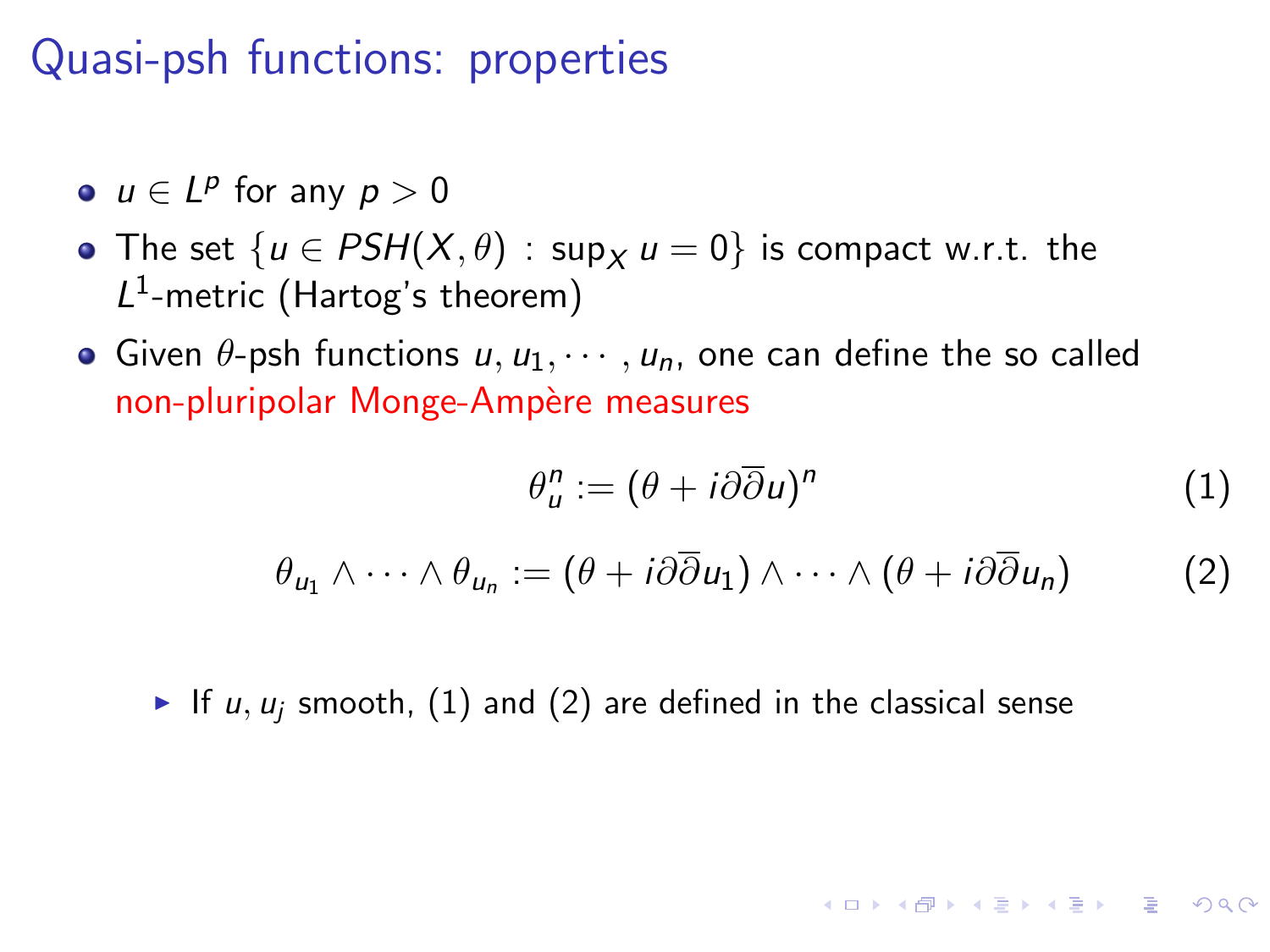- $u \in L^p$  for any  $p > 0$
- The set  $\{u \in PSH(X, \theta) : \sup_X u = 0\}$  is compact w.r.t. the  $L^1$ -metric (Hartog's theorem)
- Given  $\theta$ -psh functions  $u, u_1, \dots, u_n$ , one can define the so called non-pluripolar Monge-Ampère measures

$$
\theta_u^n := (\theta + i\partial\overline{\partial}u)^n \tag{1}
$$

**KORKA STRAIN STRAIN** 

$$
\theta_{u_1} \wedge \cdots \wedge \theta_{u_n} := (\theta + i\partial \overline{\partial} u_1) \wedge \cdots \wedge (\theta + i\partial \overline{\partial} u_n)
$$
 (2)

If  $u, u_j$  smooth, [\(1\)](#page-18-0) and [\(2\)](#page-18-1) are defined in the classical sense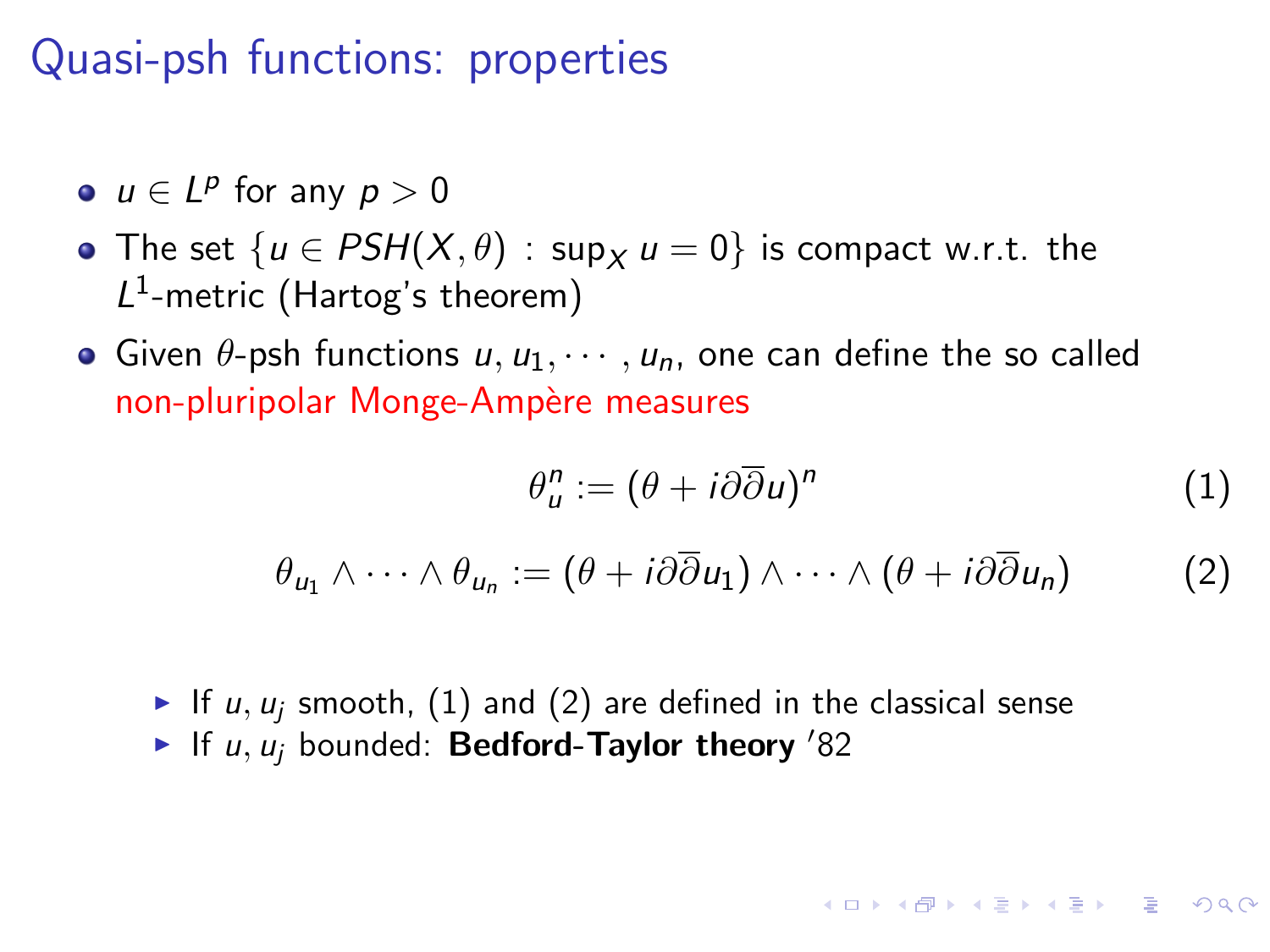- $u \in L^p$  for any  $p > 0$
- The set  $\{u \in PSH(X, \theta) : \sup_X u = 0\}$  is compact w.r.t. the  $L^1$ -metric (Hartog's theorem)
- Given  $\theta$ -psh functions u,  $u_1, \dots, u_n$ , one can define the so called non-pluripolar Monge-Ampère measures

$$
\theta_u^n := (\theta + i\partial\overline{\partial}u)^n \tag{1}
$$

$$
\theta_{u_1} \wedge \cdots \wedge \theta_{u_n} := (\theta + i\partial \overline{\partial} u_1) \wedge \cdots \wedge (\theta + i\partial \overline{\partial} u_n)
$$
 (2)

If  $u, u_i$  smooth, [\(1\)](#page-18-0) and [\(2\)](#page-18-1) are defined in the classical sense If u,  $u_i$  bounded: Bedford-Taylor theory '82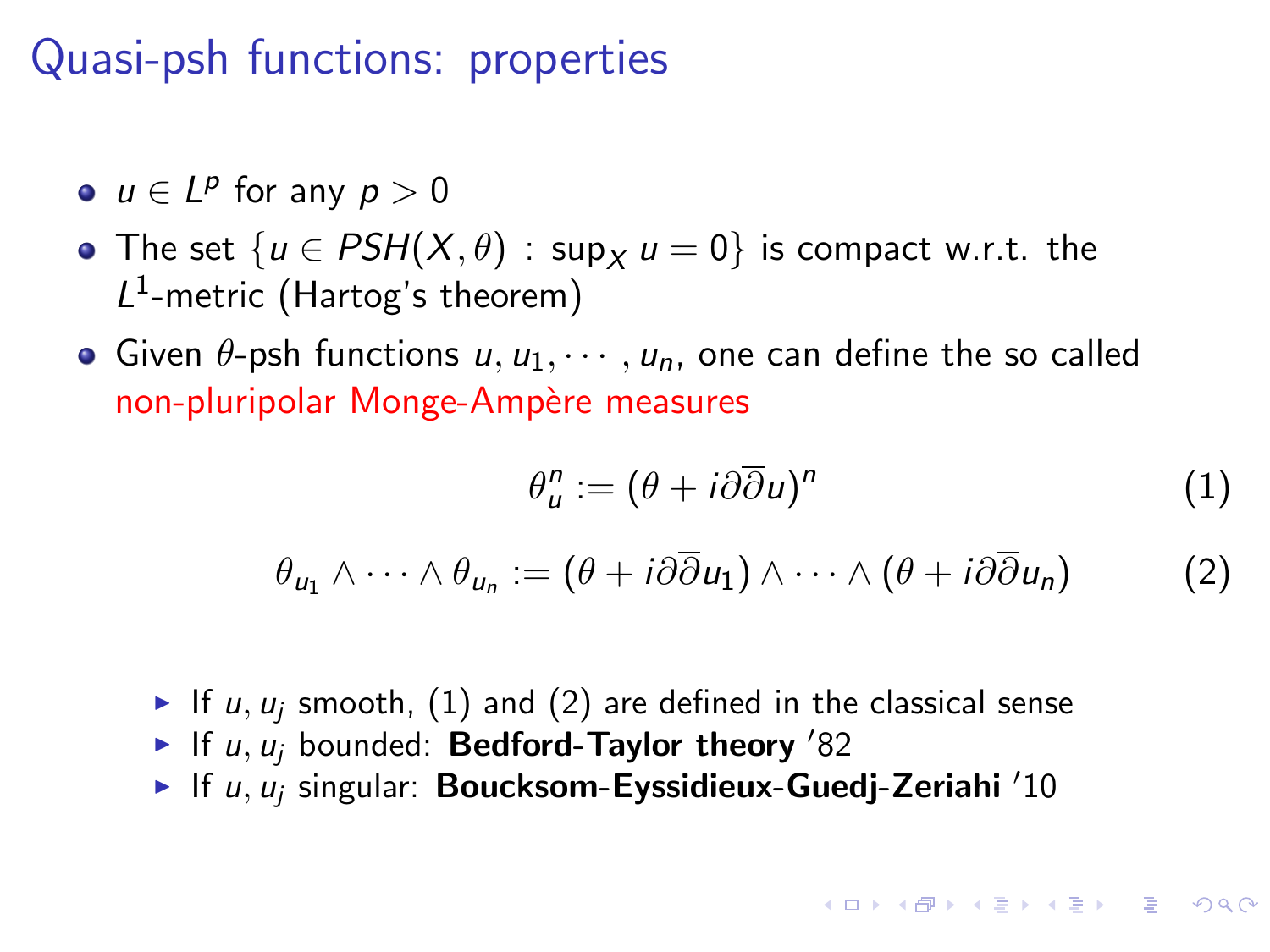- $u \in L^p$  for any  $p > 0$
- The set  $\{u \in PSH(X, \theta) : \sup_X u = 0\}$  is compact w.r.t. the  $L^1$ -metric (Hartog's theorem)
- Given  $\theta$ -psh functions u,  $u_1, \dots, u_n$ , one can define the so called non-pluripolar Monge-Ampère measures

$$
\theta_u^n := (\theta + i\partial\overline{\partial}u)^n \tag{1}
$$

$$
\theta_{u_1} \wedge \cdots \wedge \theta_{u_n} := (\theta + i\partial \overline{\partial} u_1) \wedge \cdots \wedge (\theta + i\partial \overline{\partial} u_n)
$$
 (2)

- If  $u, u_i$  smooth, [\(1\)](#page-18-0) and [\(2\)](#page-18-1) are defined in the classical sense
- If u,  $u_i$  bounded: Bedford-Taylor theory '82
- If u,  $u_i$  singular: Boucksom-Eyssidieux-Guedj-Zeriahi '10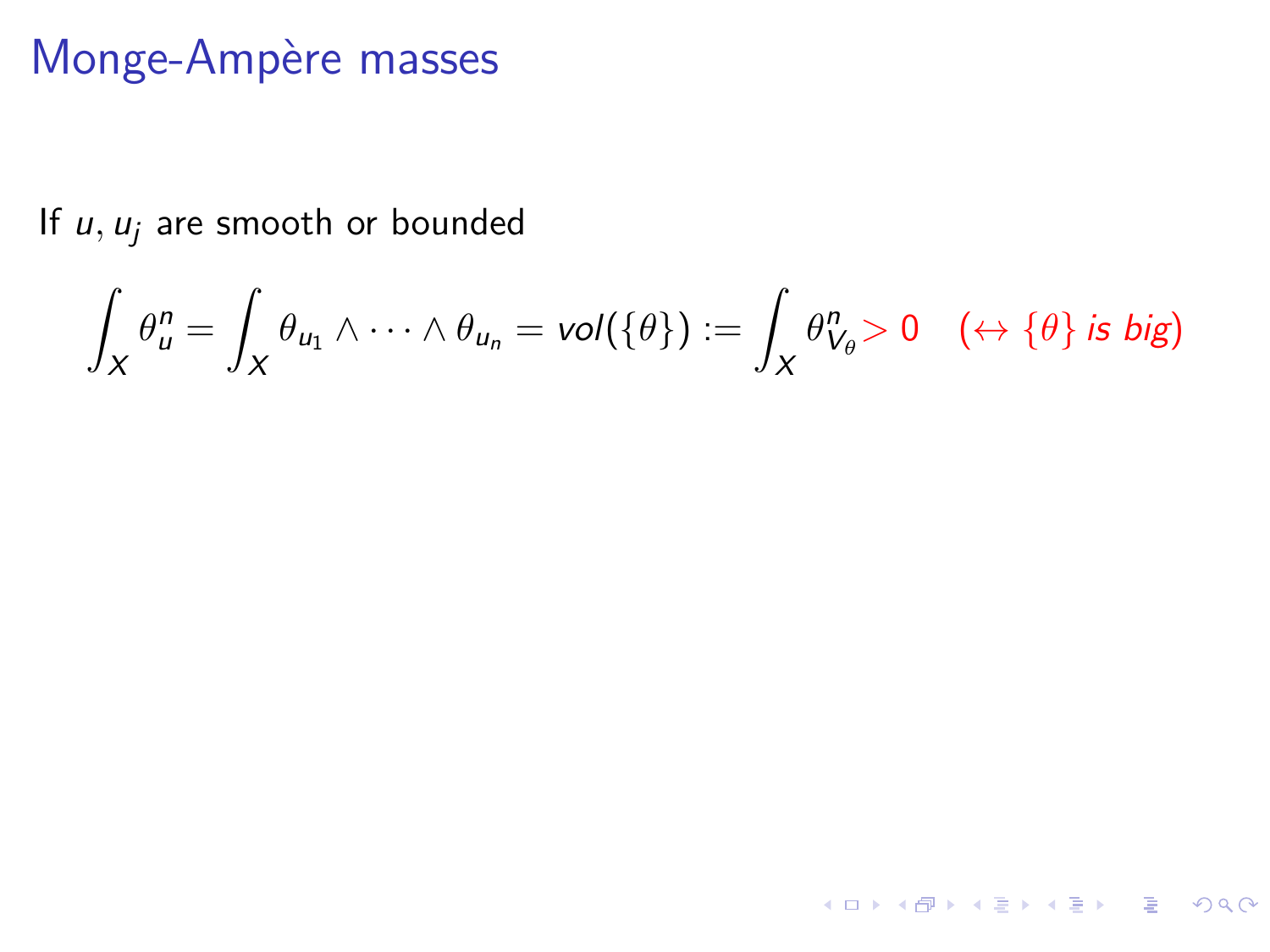If  $u, u_j$  are smooth or bounded

$$
\int_X \theta_u^n = \int_X \theta_{u_1} \wedge \cdots \wedge \theta_{u_n} = vol(\{\theta\}) := \int_X \theta_{V_{\theta}}^n > 0 \quad (\leftrightarrow \{\theta\} \text{ is big})
$$

4 ロ X 4 団 X 4 ミ X 4 ミ X コ シ 4 ロ X 4 ワ 4 ミ X 3 コ シ ミ X 9 Q Q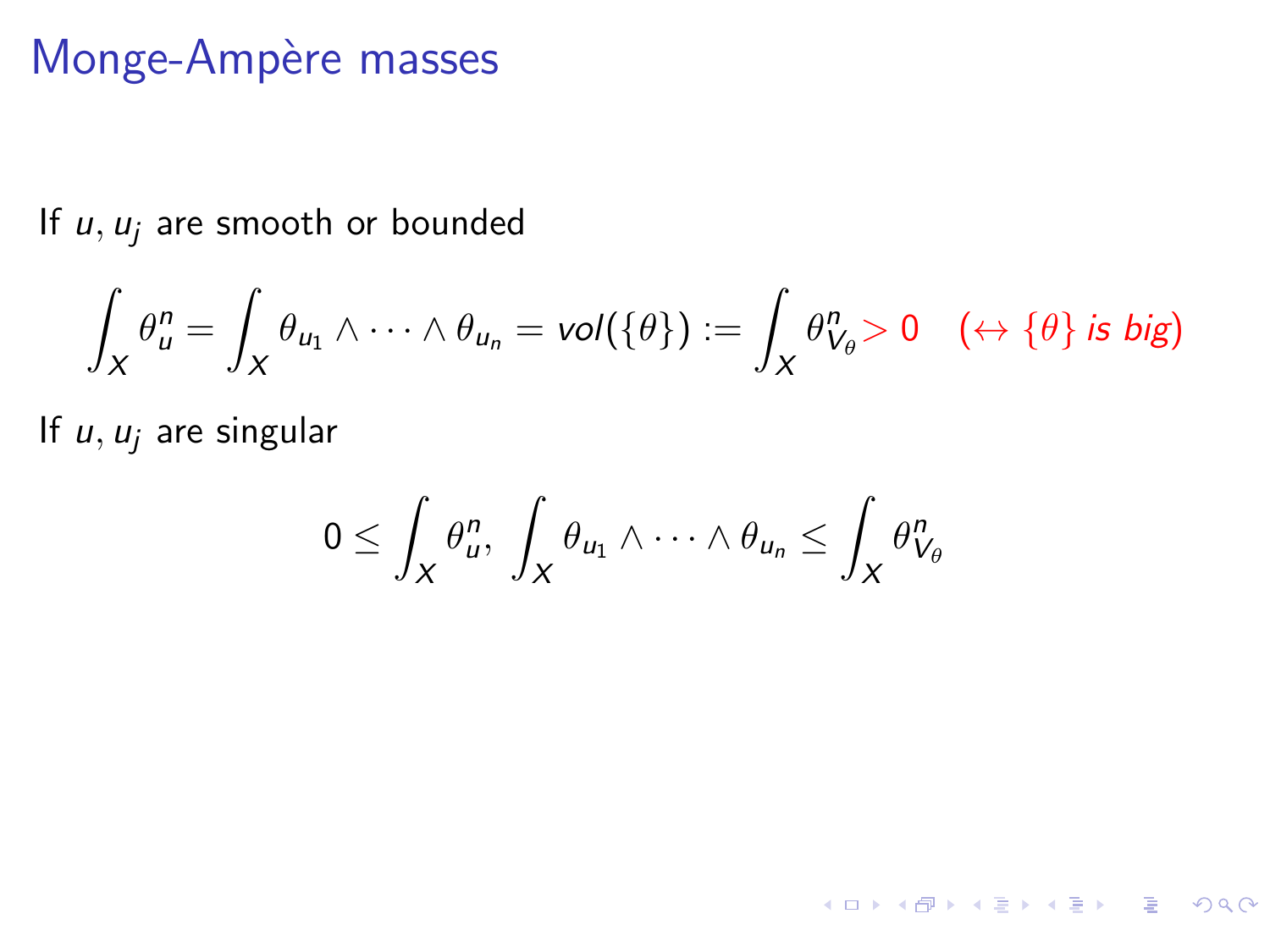If  $u, u_j$  are smooth or bounded

$$
\int_X \theta_u^n = \int_X \theta_{u_1} \wedge \cdots \wedge \theta_{u_n} = vol(\{\theta\}) := \int_X \theta_{V_\theta}^n > 0 \quad (\leftrightarrow \{\theta\} \text{ is big})
$$

If  $u, u_i$  are singular

$$
0 \leq \int_X \theta_u^n, \ \int_X \theta_{u_1} \wedge \cdots \wedge \theta_{u_n} \leq \int_X \theta_{V_\theta}^n
$$

4 ロ X 4 団 X 4 ミ X 4 ミ X コ シ 4 ロ X 4 ワ 4 ミ X 3 コ シ ミ X 9 Q Q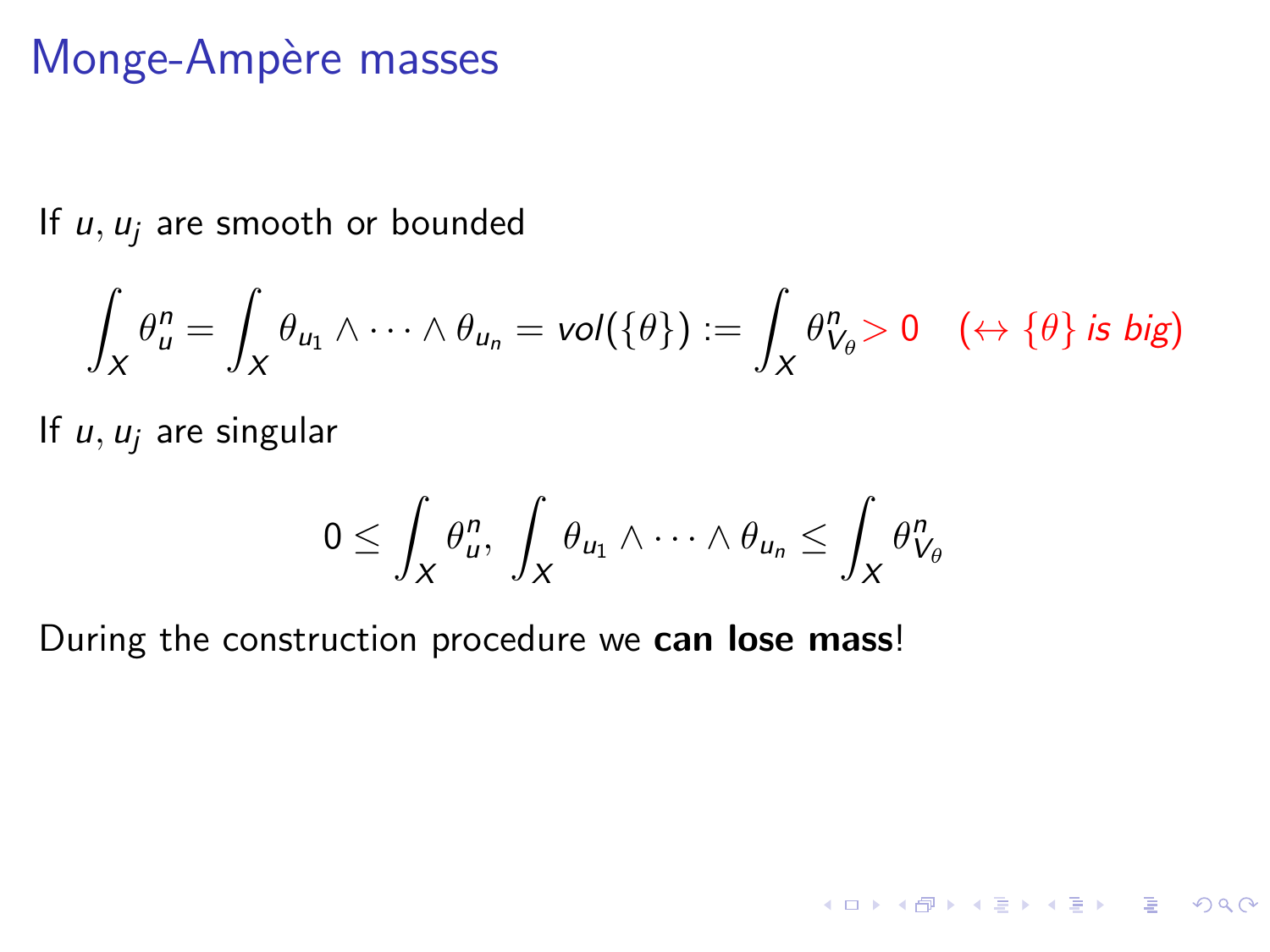If  $u, u_i$  are smooth or bounded

$$
\int_X \theta_u^n = \int_X \theta_{u_1} \wedge \cdots \wedge \theta_{u_n} = vol(\{\theta\}) := \int_X \theta_{V_{\theta}}^n > 0 \quad (\leftrightarrow \{\theta\} \text{ is big})
$$

If  $u, u_i$  are singular

$$
0\leq \int_X \theta_u^n, \ \int_X \theta_{u_1} \wedge \cdots \wedge \theta_{u_n} \leq \int_X \theta_{V_\theta}^n
$$

4 ロ X 4 団 X 4 ミ X 4 ミ X コ シ 4 ロ X 4 ワ 4 ミ X 3 コ シ ミ X 9 Q Q

During the construction procedure we can lose mass!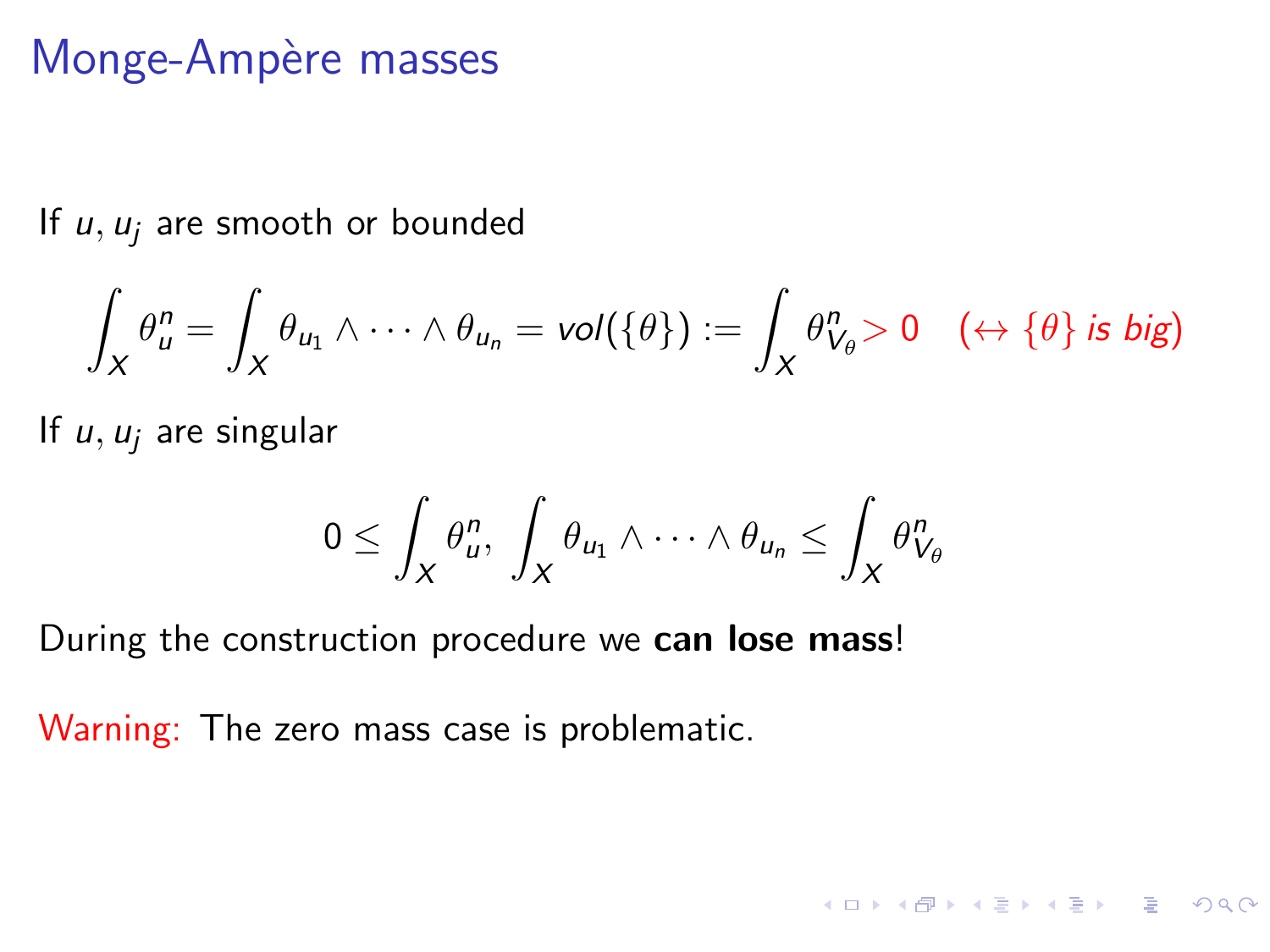If  $u, u_i$  are smooth or bounded

$$
\int_X \theta_u^n = \int_X \theta_{u_1} \wedge \cdots \wedge \theta_{u_n} = vol(\{\theta\}) := \int_X \theta_{V_\theta}^n > 0 \quad (\leftrightarrow \{\theta\} \text{ is big})
$$

If  $u, u_i$  are singular

$$
0\leq \int_X \theta_u^n, \ \int_X \theta_{u_1} \wedge \cdots \wedge \theta_{u_n} \leq \int_X \theta_{V_\theta}^n
$$

4 ロ X 4 団 X 4 ミ X 4 ミ X コ シ 4 ロ X 4 ワ 4 ミ X 3 コ シ ミ X 9 Q Q

During the construction procedure we can lose mass!

Warning: The zero mass case is problematic.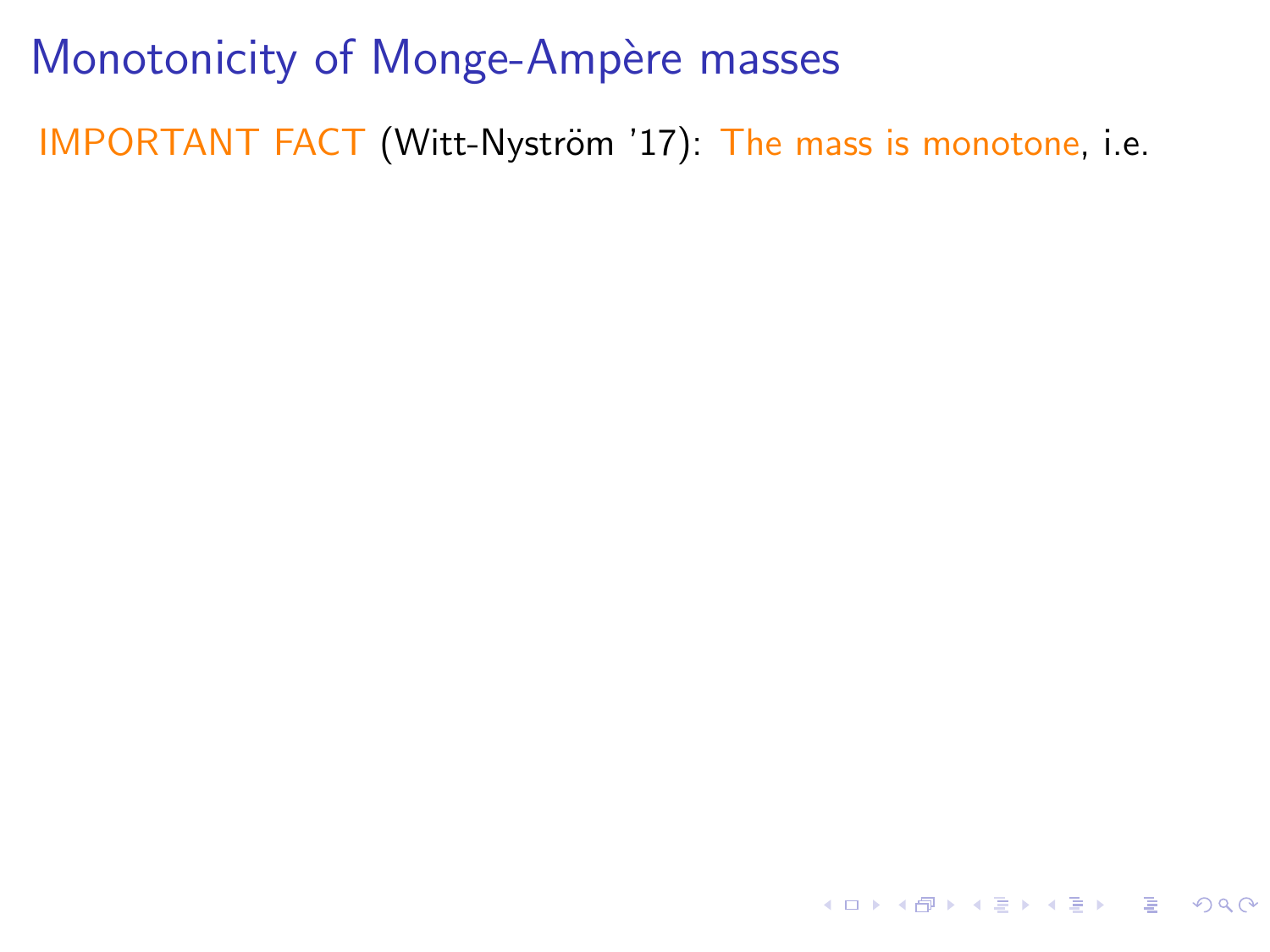IMPORTANT FACT (Witt-Nyström '17): The mass is monotone, i.e.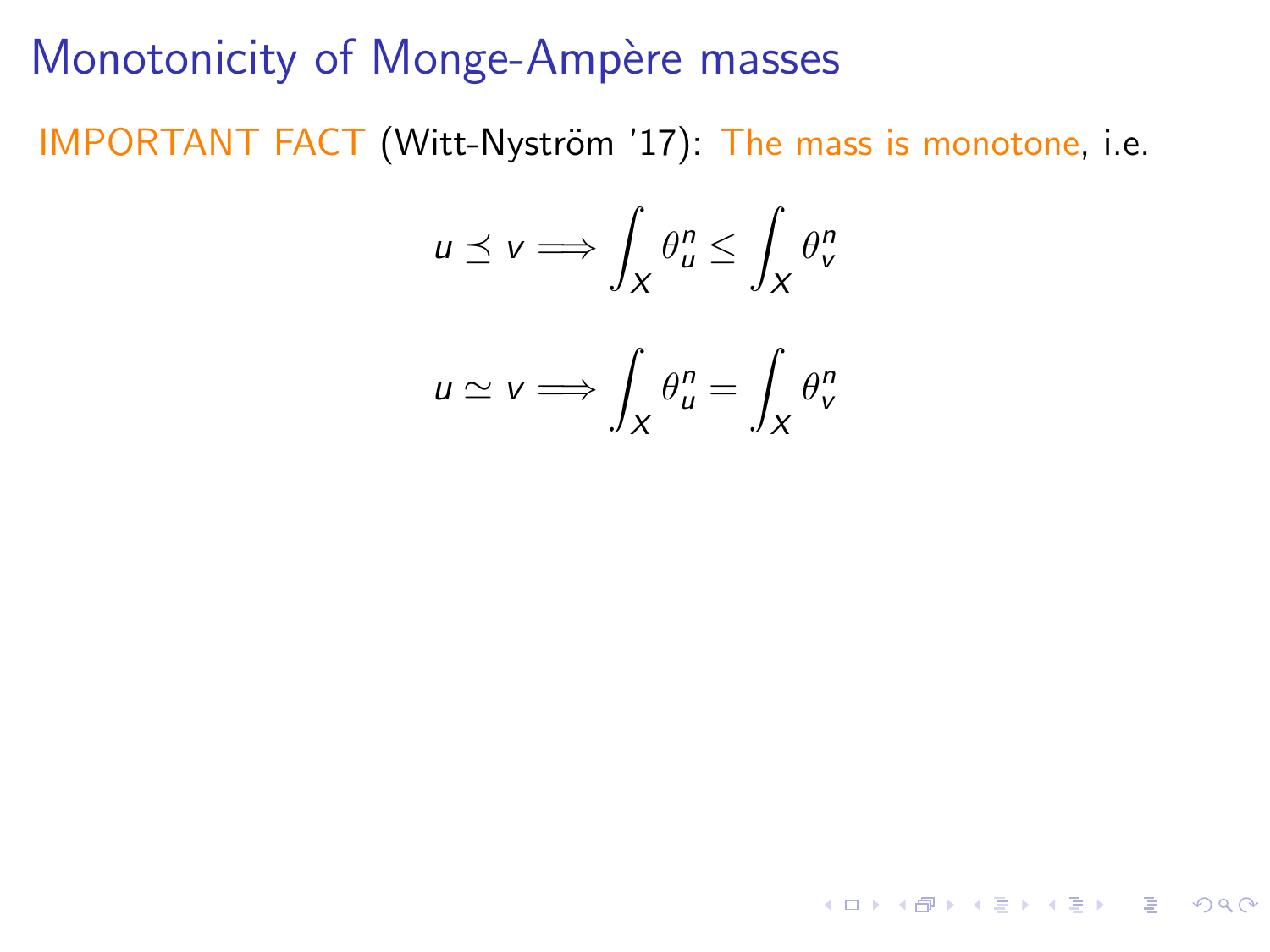IMPORTANT FACT (Witt-Nyström '17): The mass is monotone, i.e.

$$
u \preceq v \Longrightarrow \int_X \theta_u^n \le \int_X \theta_v^n
$$

$$
u \simeq v \Longrightarrow \int_X \theta_u^n = \int_X \theta_v^n
$$

4 ロ X 4 団 X 4 ミ X 4 ミ X コ シ 4 ロ X 4 ワ 4 ミ X 3 コ シ ミ X 9 Q Q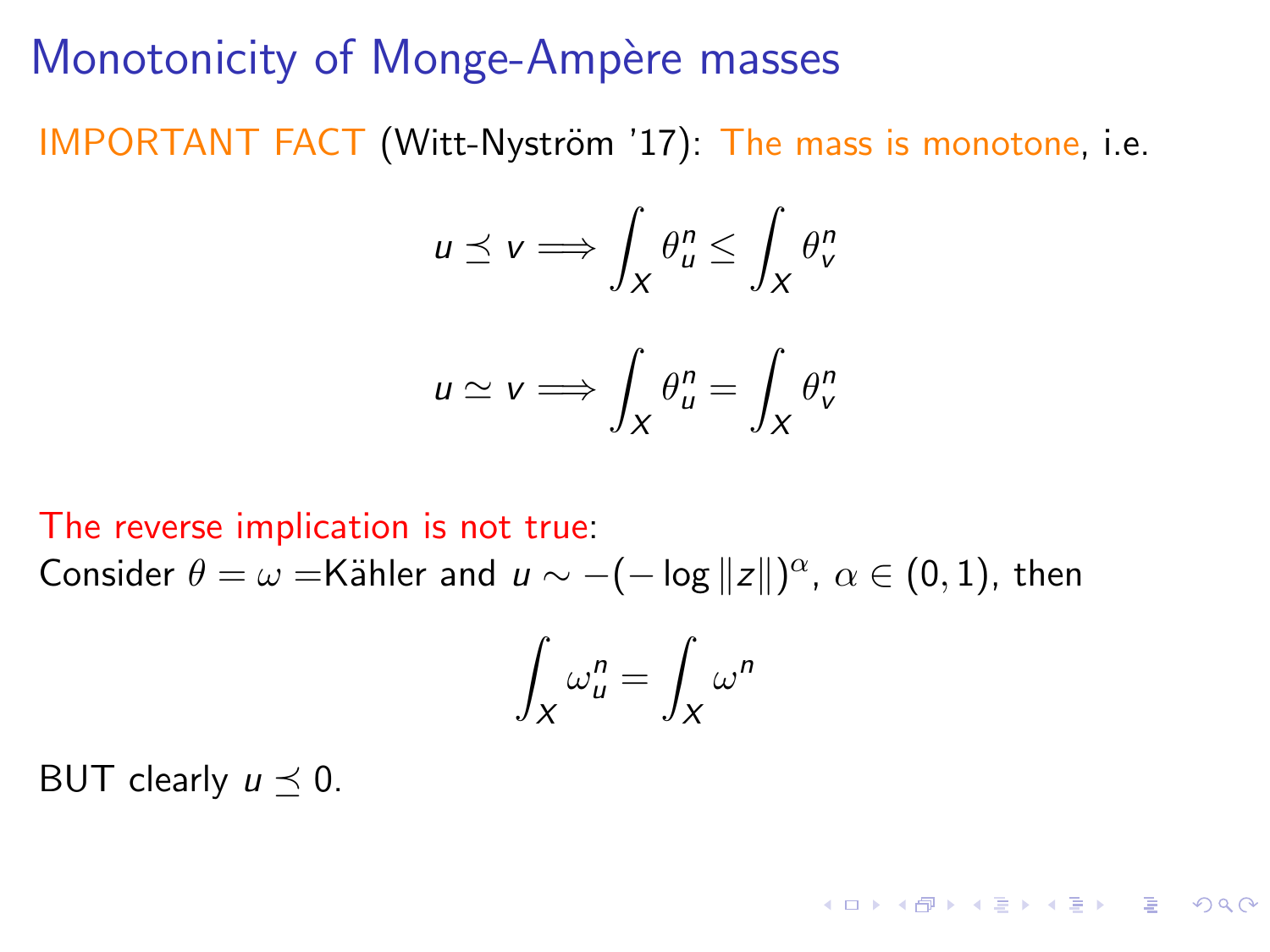IMPORTANT FACT (Witt-Nyström '17): The mass is monotone, i.e.

$$
u \preceq v \Longrightarrow \int_X \theta_u^n \le \int_X \theta_v^n
$$

$$
u \simeq v \Longrightarrow \int_X \theta_u^n = \int_X \theta_v^n
$$

The reverse implication is not true: Consider  $\theta = \omega = K$ ähler and  $u \sim -(-\log ||z||)^{\alpha}$ ,  $\alpha \in (0,1)$ , then

$$
\int_X \omega_u^n = \int_X \omega^n
$$

**KORKA STRAIN STRACT** 

BUT clearly  $u \prec 0$ .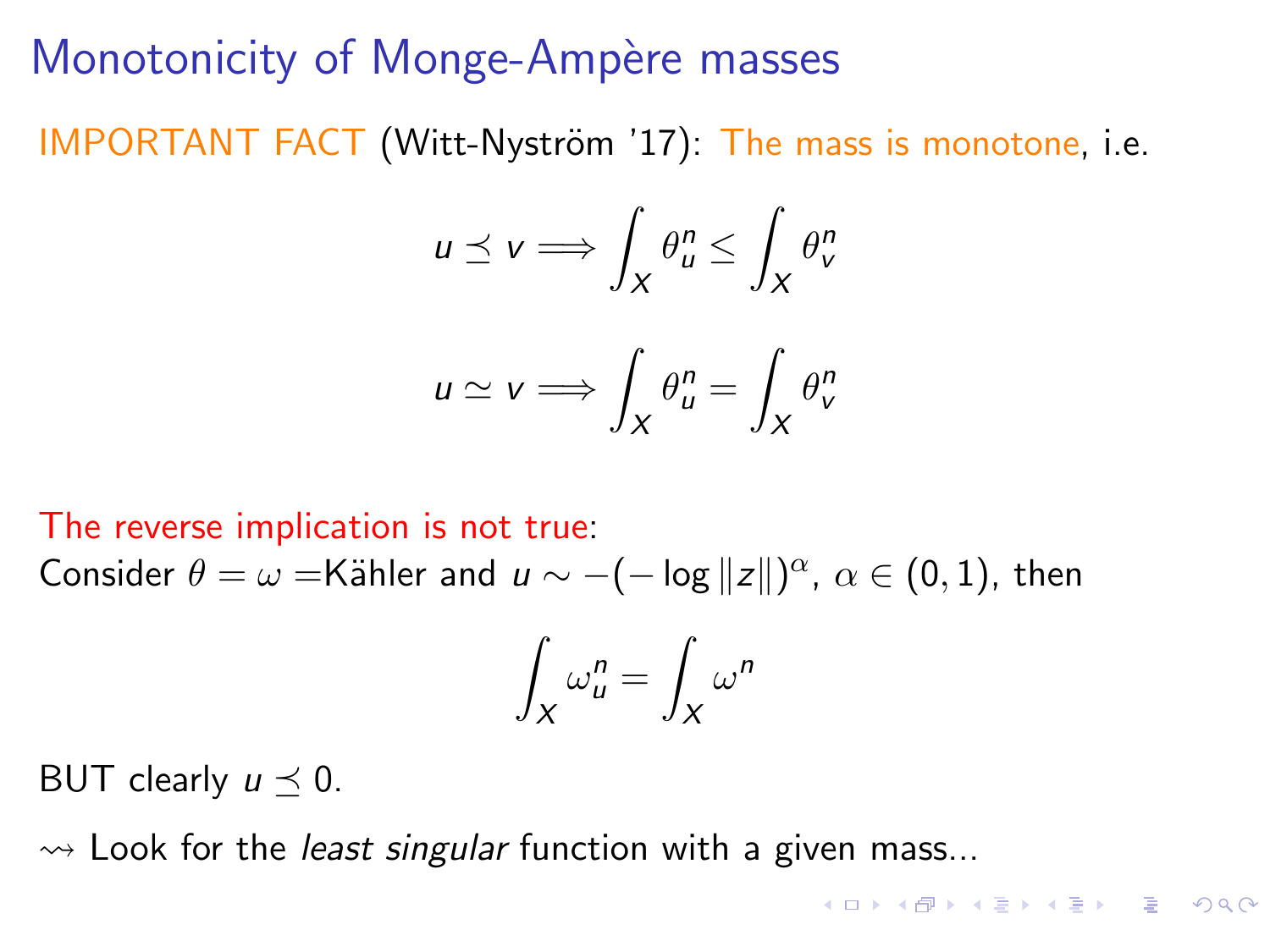IMPORTANT FACT (Witt-Nyström '17): The mass is monotone, i.e.

$$
u \preceq v \Longrightarrow \int_X \theta_u^n \le \int_X \theta_v^n
$$

$$
u \simeq v \Longrightarrow \int_X \theta_u^n = \int_X \theta_v^n
$$

The reverse implication is not true: Consider  $\theta = \omega = K$ ähler and  $u \sim -(-\log ||z||)^{\alpha}$ ,  $\alpha \in (0,1)$ , then

$$
\int_X \omega_u^n = \int_X \omega^n
$$

BUT clearly  $u \prec 0$ .

 $\rightsquigarrow$  Look for the *least singular* function with a given mass...

 $\cdot$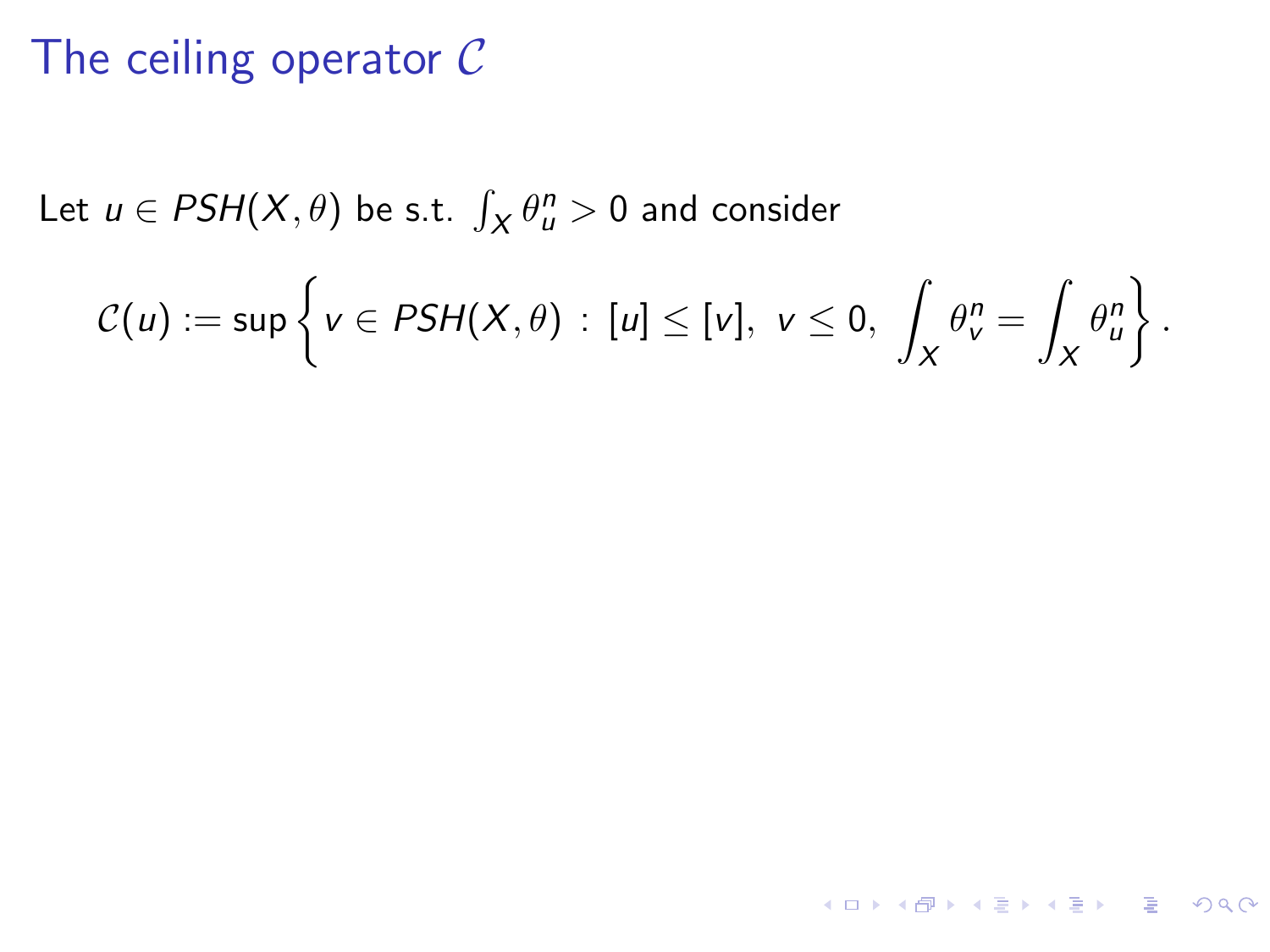# The ceiling operator  $C$

Let  $u \in PSH(X, \theta)$  be s.t.  $\int_X \theta_u^n > 0$  and consider

$$
\mathcal{C}(u):=\sup\left\{v\in PSH(X,\theta)\,:\, [u]\leq [v],\ v\leq 0,\ \int_X\theta^n_v=\int_X\theta^n_u\right\}.
$$

KO KA KE KE KE KA HE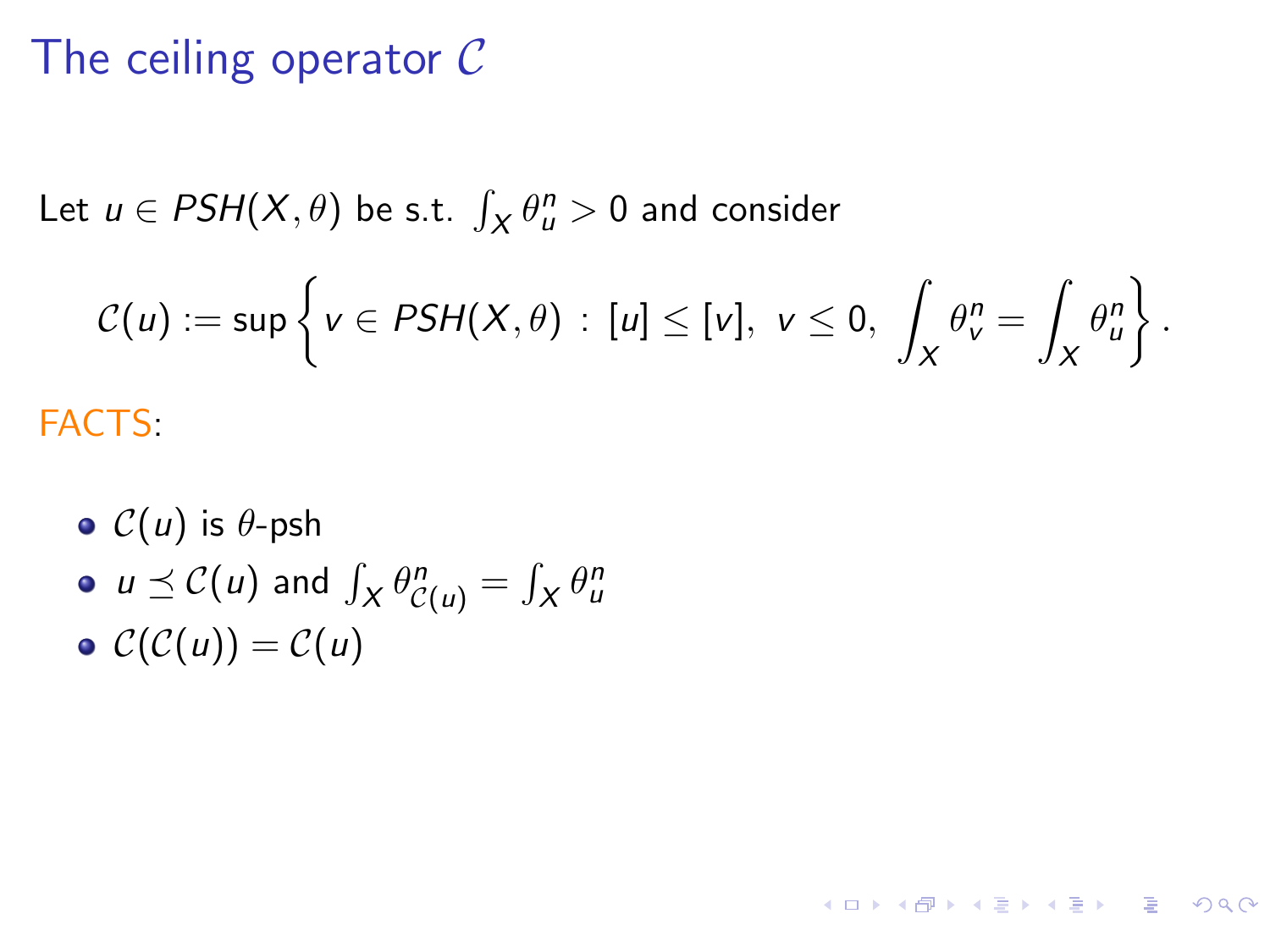# The ceiling operator  $C$

Let  $u \in PSH(X, \theta)$  be s.t.  $\int_X \theta_u^n > 0$  and consider

$$
C(u) := \sup \left\{ v \in PSH(X,\theta) \, : \, [u] \leq [v], \ v \leq 0, \ \int_X \theta^n_v = \int_X \theta^n_u \right\}.
$$

**KORK E KERKERKERKEL** 

FACTS:

 $\circ$   $C(u)$  is  $\theta$ -psh

• 
$$
u \preceq C(u)
$$
 and  $\int_X \theta_{C(u)}^n = \int_X \theta_u^n$ 

 $C(C(u)) = C(u)$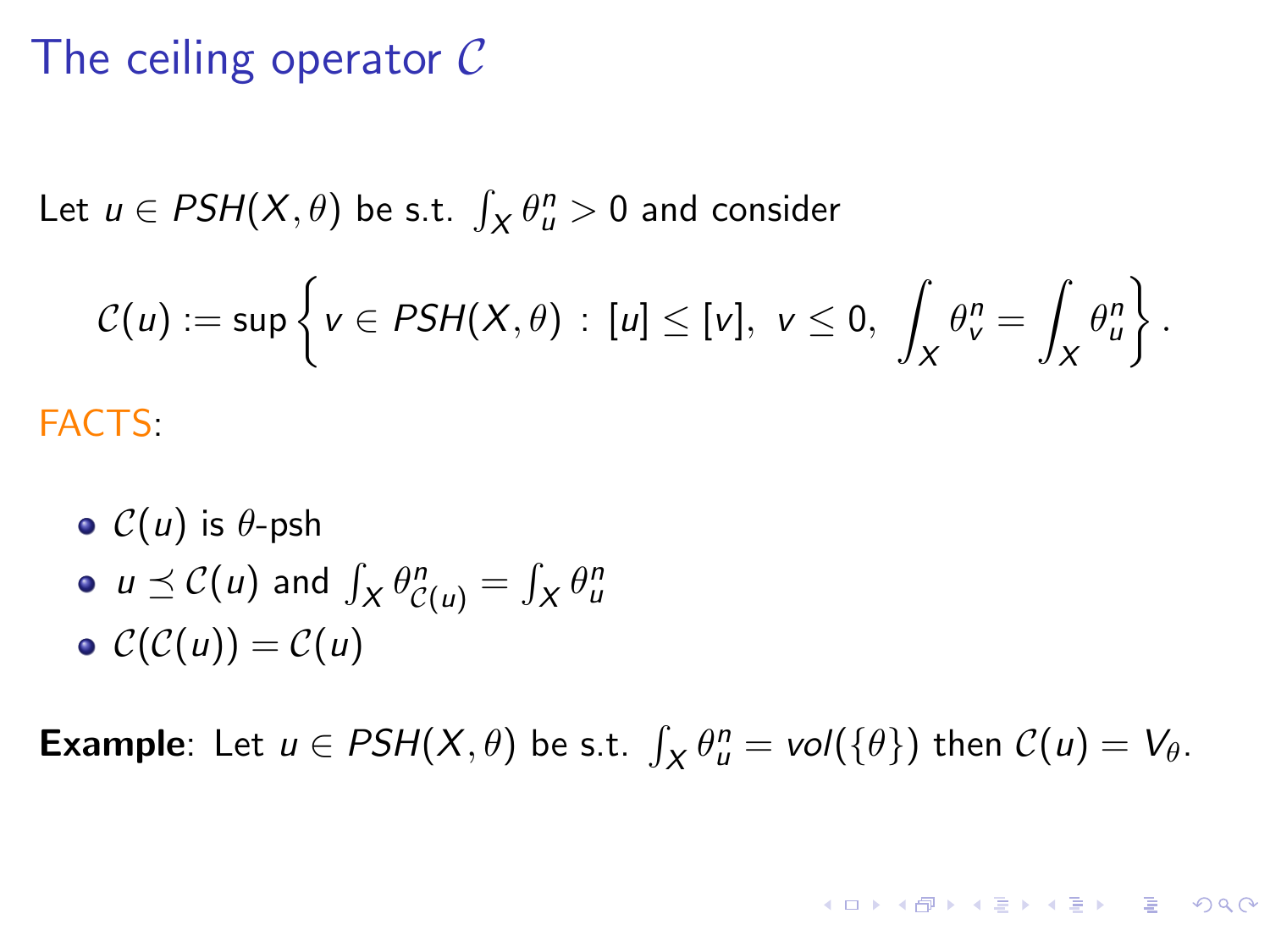# The ceiling operator C

Let  $u \in PSH(X, \theta)$  be s.t.  $\int_X \theta_u^n > 0$  and consider

$$
C(u) := \sup \left\{ v \in PSH(X,\theta) : [u] \leq [v], v \leq 0, \int_X \theta^n_v = \int_X \theta^n_u \right\}.
$$

FACTS:

\n- $$
C(u)
$$
 is  $\theta$ -psh
\n- $u \preceq C(u)$  and  $\int_X \theta_{C(u)}^n = \int_X \theta_u^n$
\n- $C(C(u)) = C(u)$
\n

**Example**: Let  $u \in PSH(X, \theta)$  be s.t.  $\int_X \theta_u^n = vol(\{\theta\})$  then  $C(u) = V_{\theta}$ .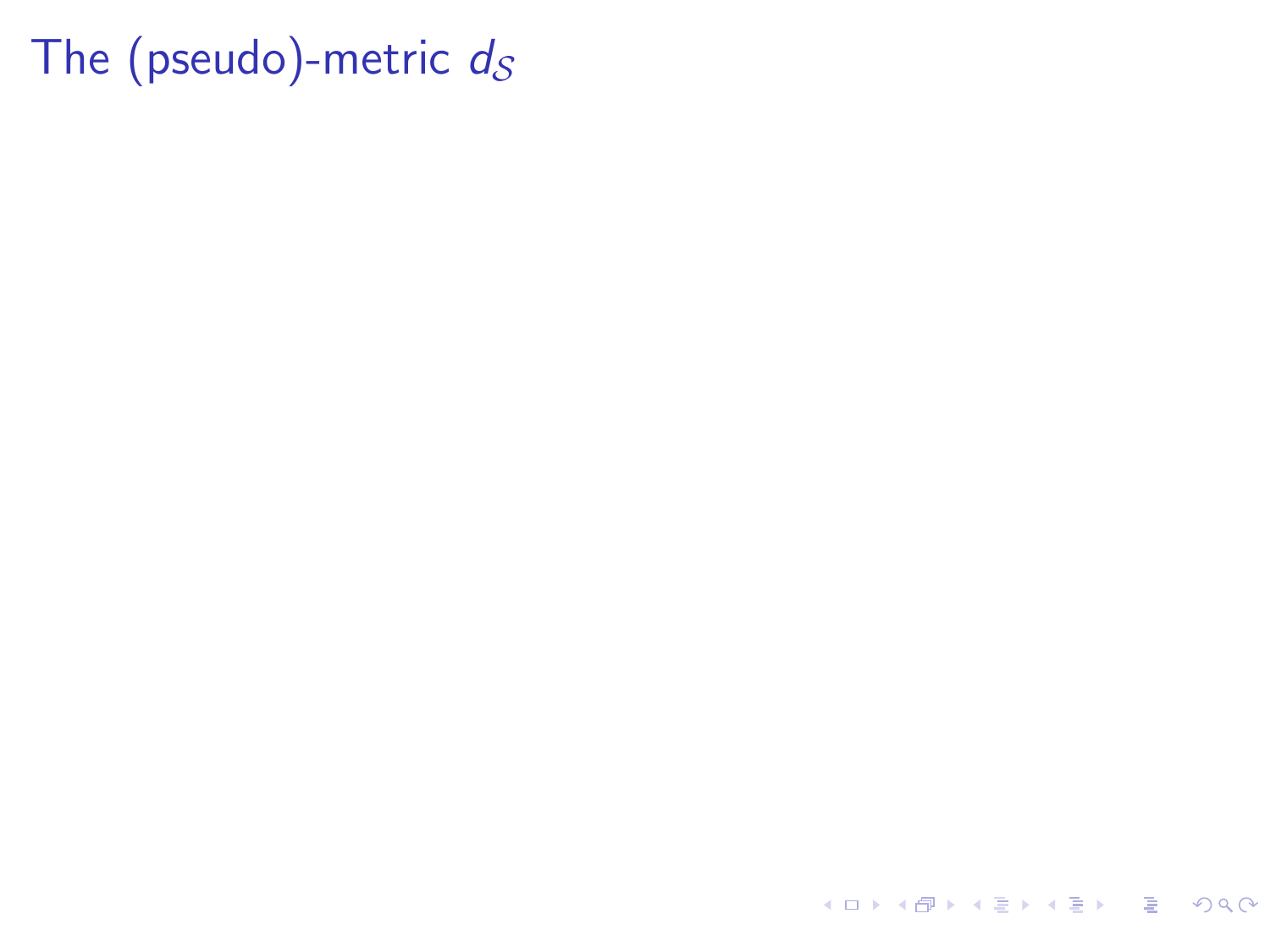K ロ ▶ K 個 ▶ K 할 ▶ K 할 ▶ 이 할 → 9 Q Q →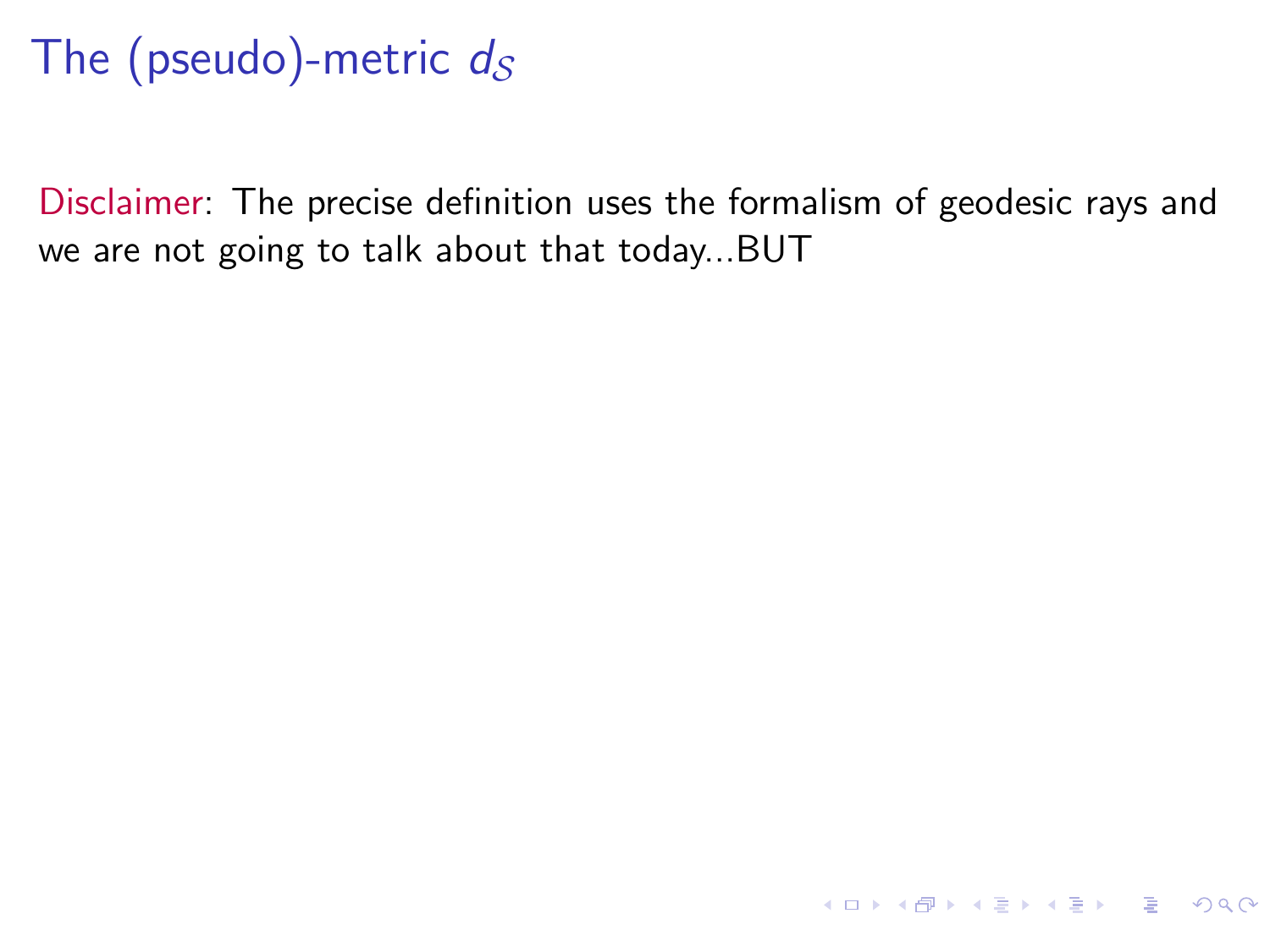Disclaimer: The precise definition uses the formalism of geodesic rays and we are not going to talk about that today...BUT

**KORK EXTERNEY ARY YOUR**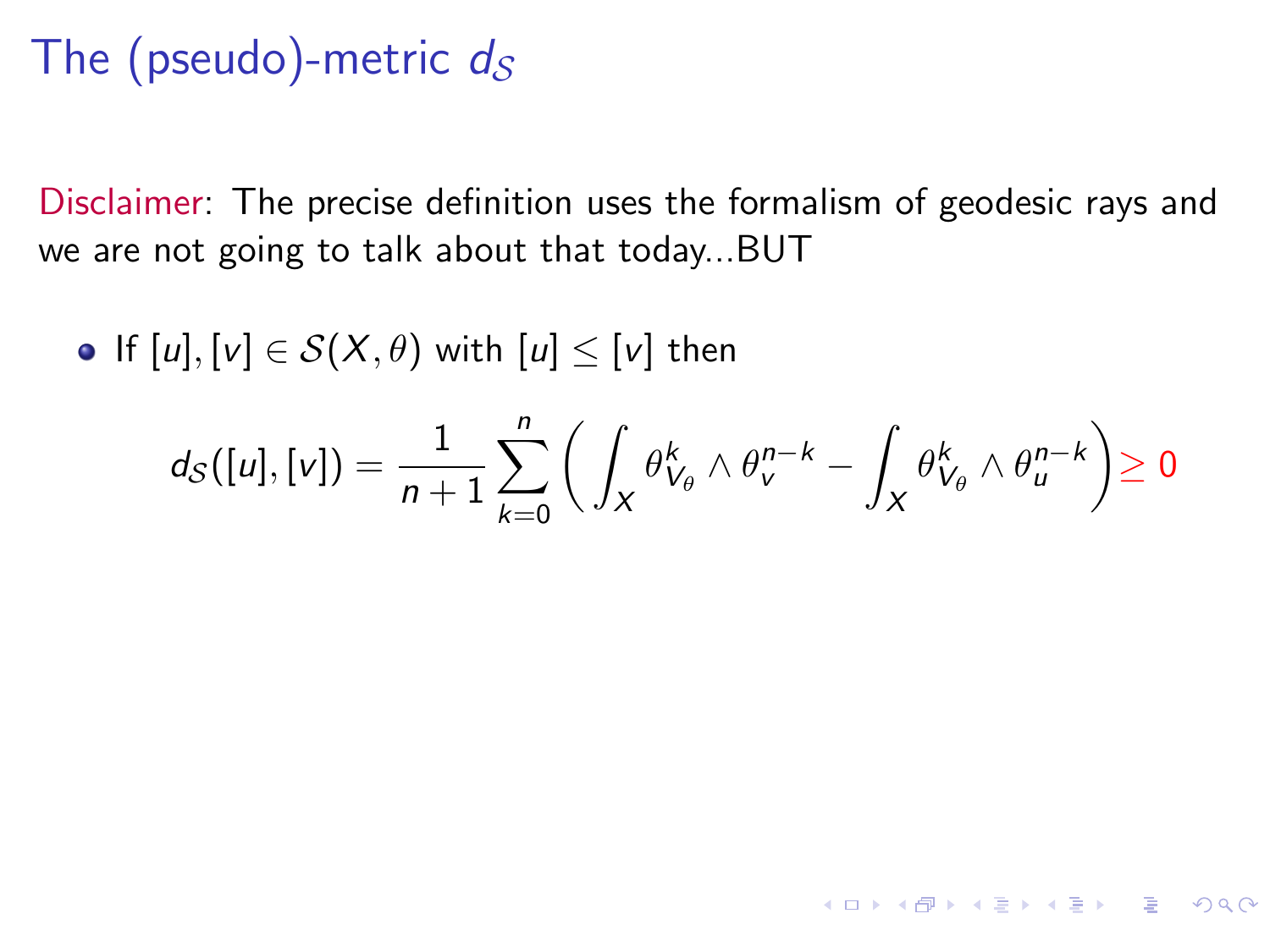Disclaimer: The precise definition uses the formalism of geodesic rays and we are not going to talk about that today...BUT

• If  $[u], [v] \in S(X, \theta)$  with  $[u] \leq [v]$  then

$$
d_S([u],[v]) = \frac{1}{n+1} \sum_{k=0}^n \bigg( \int_X \theta_{V_\theta}^k \wedge \theta_{v}^{n-k} - \int_X \theta_{V_\theta}^k \wedge \theta_{u}^{n-k} \bigg) \geq 0
$$

**KORK EXTERNS ORA**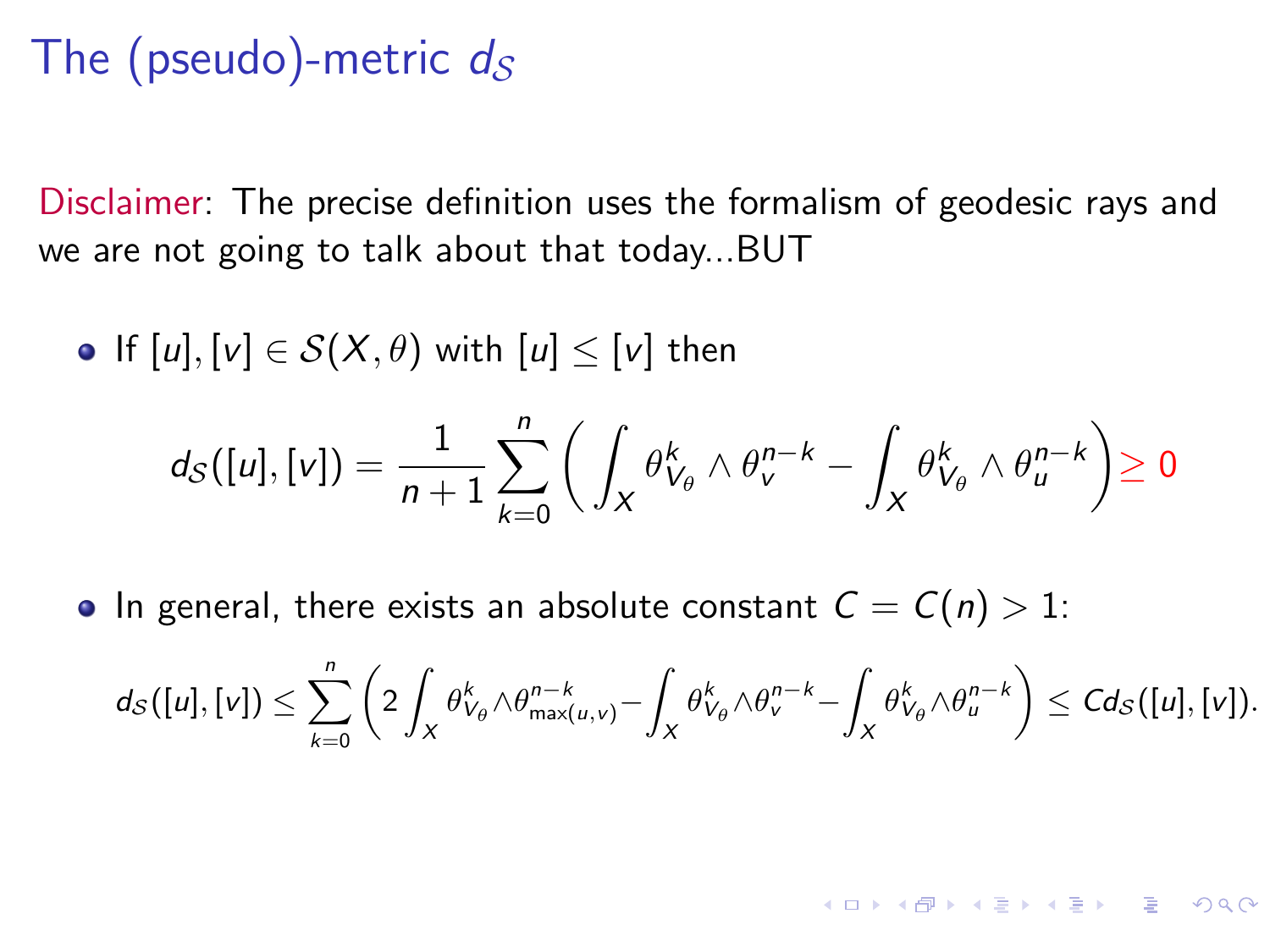Disclaimer: The precise definition uses the formalism of geodesic rays and we are not going to talk about that today...BUT

• If 
$$
[u], [v] \in S(X, \theta)
$$
 with  $[u] \leq [v]$  then  

$$
d_S([u], [v]) = \frac{1}{n+1} \sum_{k=0}^n \left( \int_X \theta_{V_{\theta}}^k \wedge \theta_v^{n-k} - \int_X \theta_{V_{\theta}}^k \wedge \theta_u^{n-k} \right) \geq 0
$$

• In general, there exists an absolute constant  $C = C(n) > 1$ :

$$
d_{\mathcal{S}}([u],[v])\leq \sum_{k=0}^n \left(2\int_X \theta_{V_{\theta}}^k\wedge \theta_{\max(u,v)}^{n-k}-\int_X \theta_{V_{\theta}}^k\wedge \theta_{v}^{n-k}-\int_X \theta_{V_{\theta}}^k\wedge \theta_{u}^{n-k}\right)\leq C d_{\mathcal{S}}([u],[v]).
$$

**KORKAR KERKER DRAM**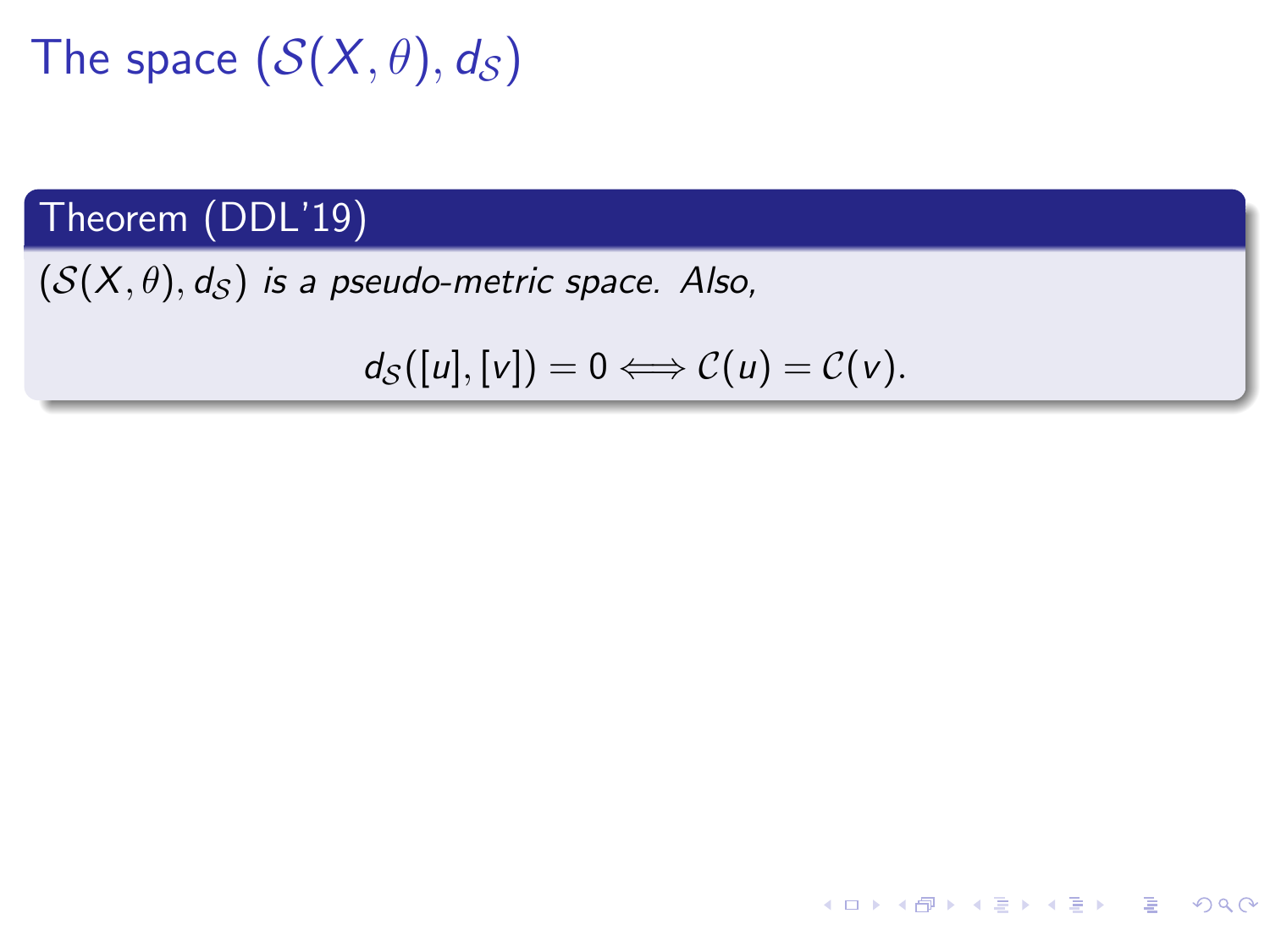#### Theorem (DDL'19)

 $(S(X, \theta), d_S)$  is a pseudo-metric space. Also,

$$
d_{\mathcal{S}}([u],[v]) = 0 \Longleftrightarrow \mathcal{C}(u) = \mathcal{C}(v).
$$

K ロ ▶ K 個 ▶ K ミ ▶ K ミ ▶ - ' 큰' - 9 Q Q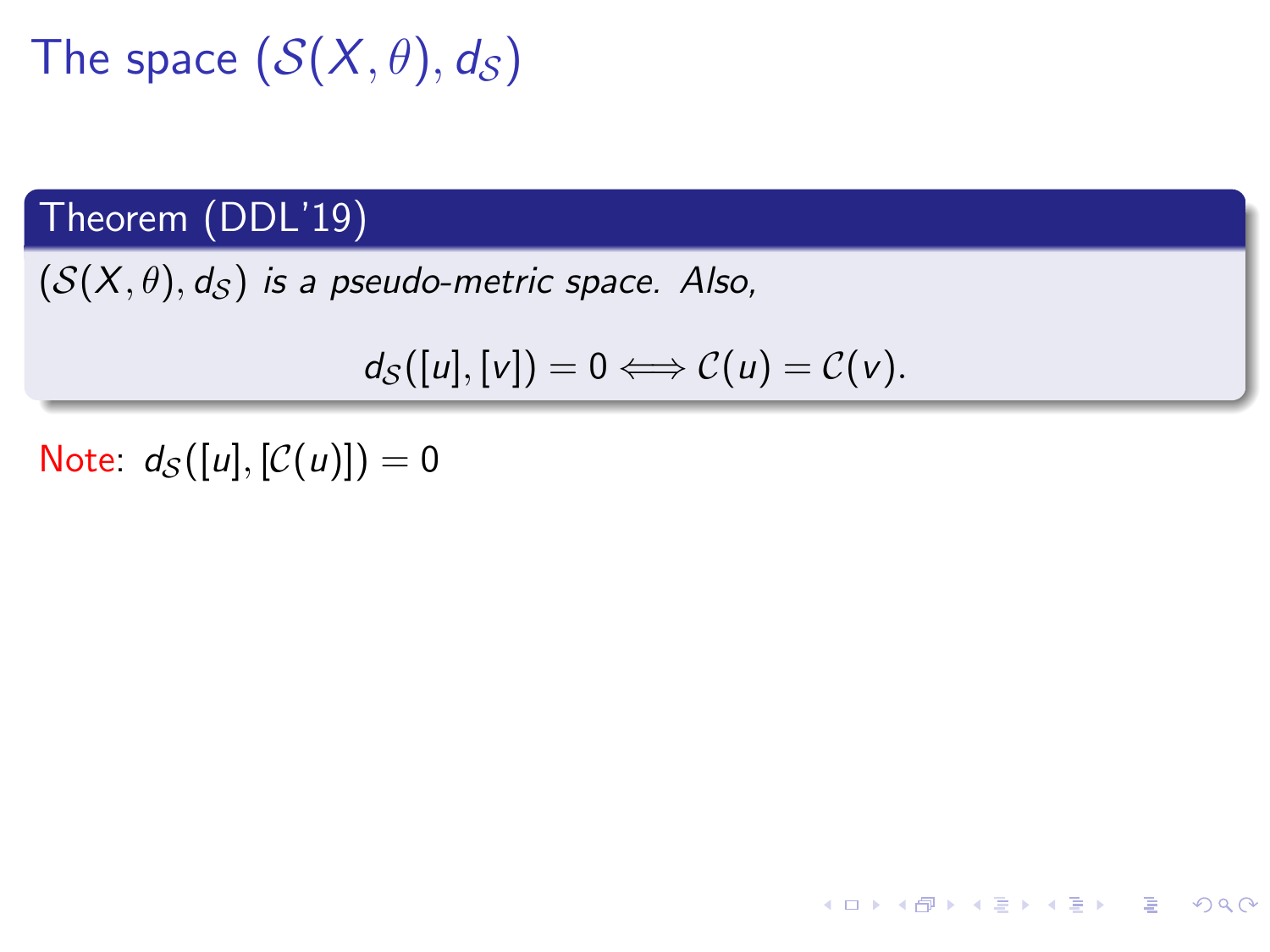#### Theorem (DDL'19)

 $(S(X, \theta), d_S)$  is a pseudo-metric space. Also,

$$
d_{\mathcal{S}}([u],[v]) = 0 \Longleftrightarrow \mathcal{C}(u) = \mathcal{C}(v).
$$

K ロ ▶ K 個 ▶ K ミ ▶ K ミ ▶ - ' 큰' - 9 Q Q

Note:  $d_S([u], [C(u)]) = 0$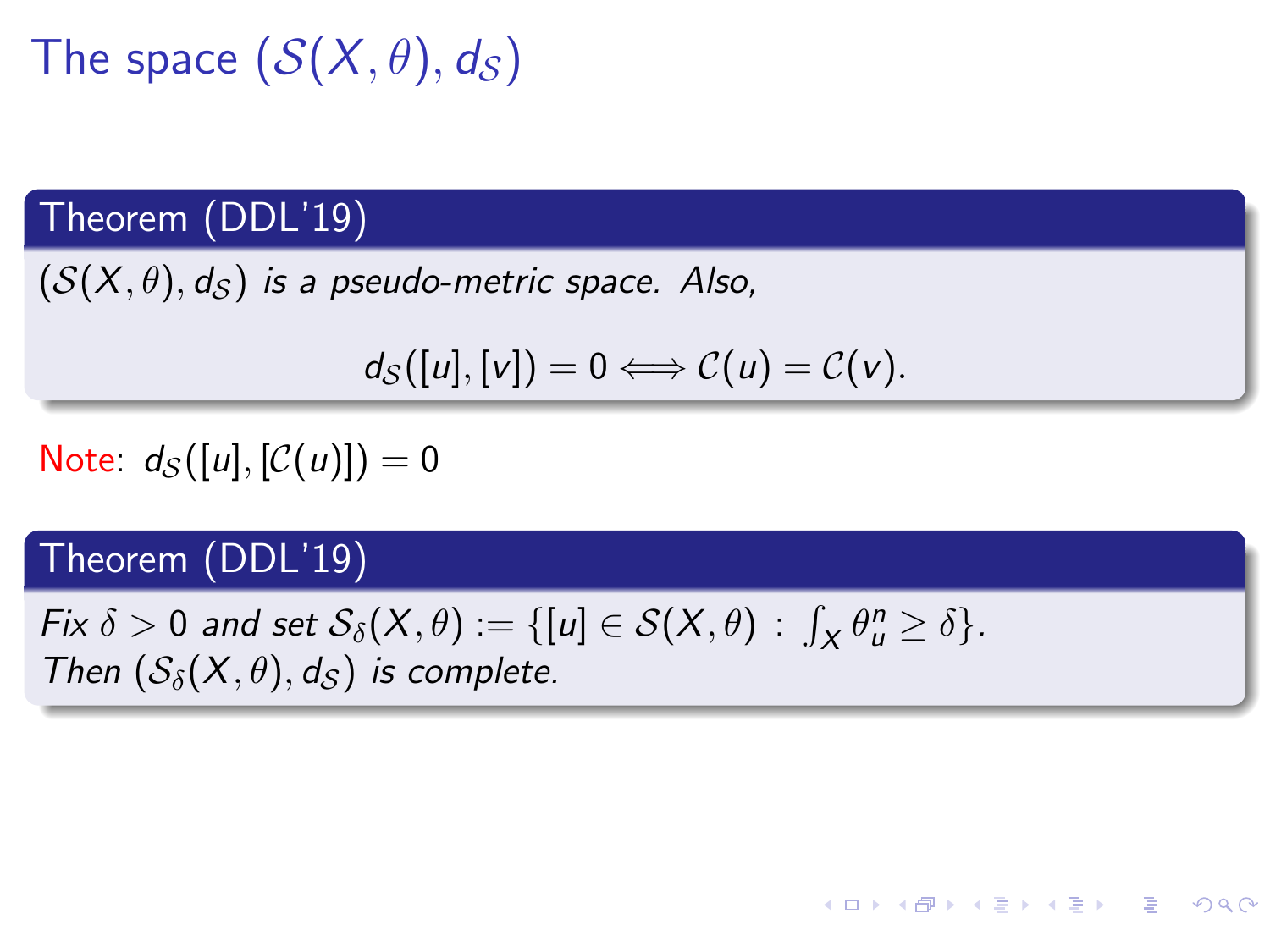#### Theorem (DDL'19)

 $(S(X, \theta), d_S)$  is a pseudo-metric space. Also,

$$
d_{\mathcal{S}}([u],[v]) = 0 \Longleftrightarrow \mathcal{C}(u) = \mathcal{C}(v).
$$

**KORK EXTERNS ORA** 

Note:  $d_S([u], [C(u)]) = 0$ 

#### Theorem (DDL'19)

Fix  $\delta > 0$  and set  $\mathcal{S}_{\delta}(X, \theta) := \{ [u] \in \mathcal{S}(X, \theta) \, : \, \int_X \theta_u^n \ge \delta \}.$ Then  $(S_{\delta}(X,\theta),d_{\delta})$  is complete.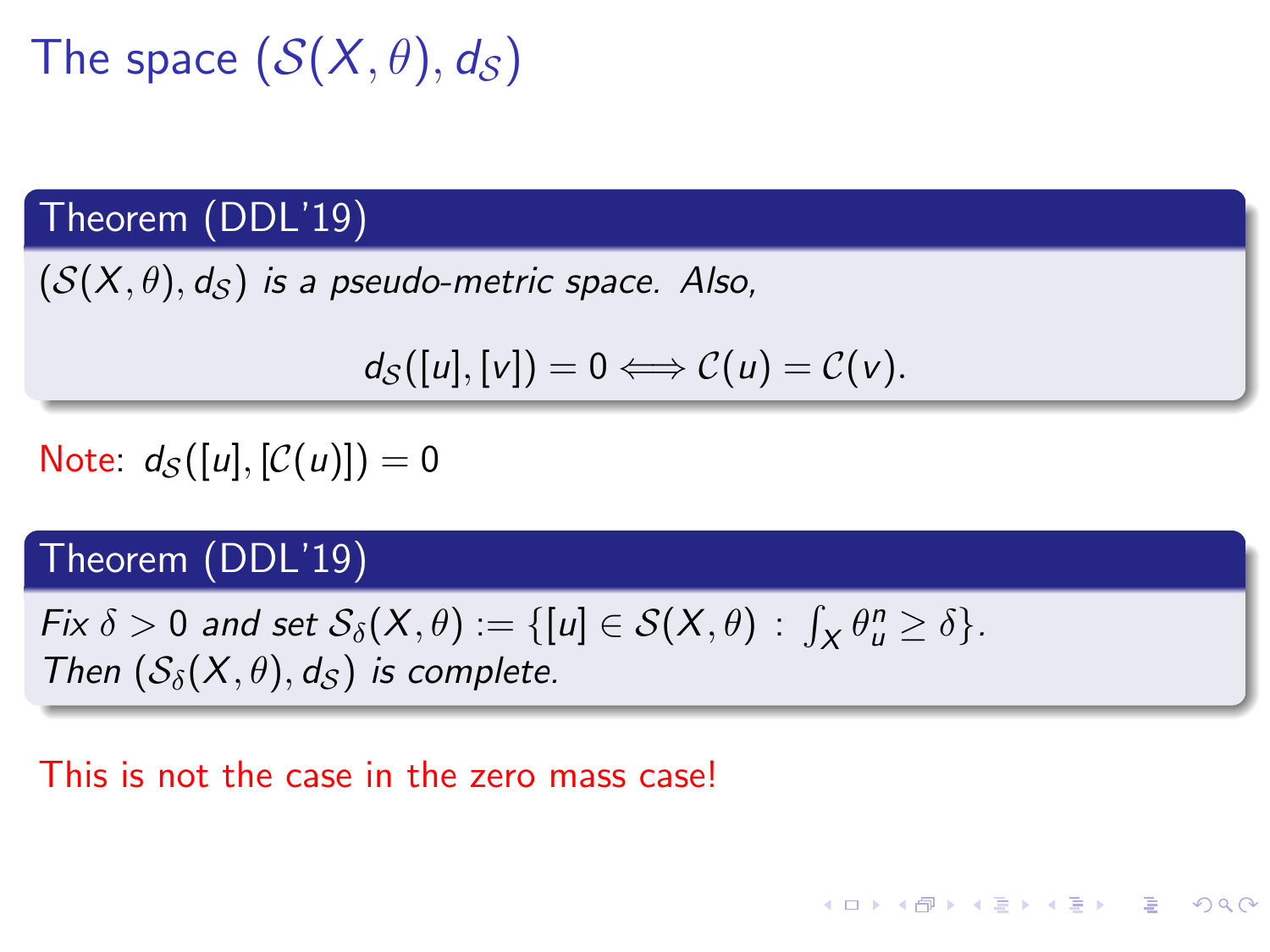#### Theorem (DDL'19)

 $(S(X, \theta), d_S)$  is a pseudo-metric space. Also,

$$
d_{\mathcal{S}}([u],[v]) = 0 \Longleftrightarrow \mathcal{C}(u) = \mathcal{C}(v).
$$

Note:  $d_S([u], [C(u)]) = 0$ 

#### Theorem (DDL'19)

Fix  $\delta > 0$  and set  $\mathcal{S}_{\delta}(X, \theta) := \{ [u] \in \mathcal{S}(X, \theta) \, : \, \int_X \theta_u^n \ge \delta \}.$ Then  $(S_{\delta}(X,\theta),d_{\delta})$  is complete.

#### This is not the case in the zero mass case!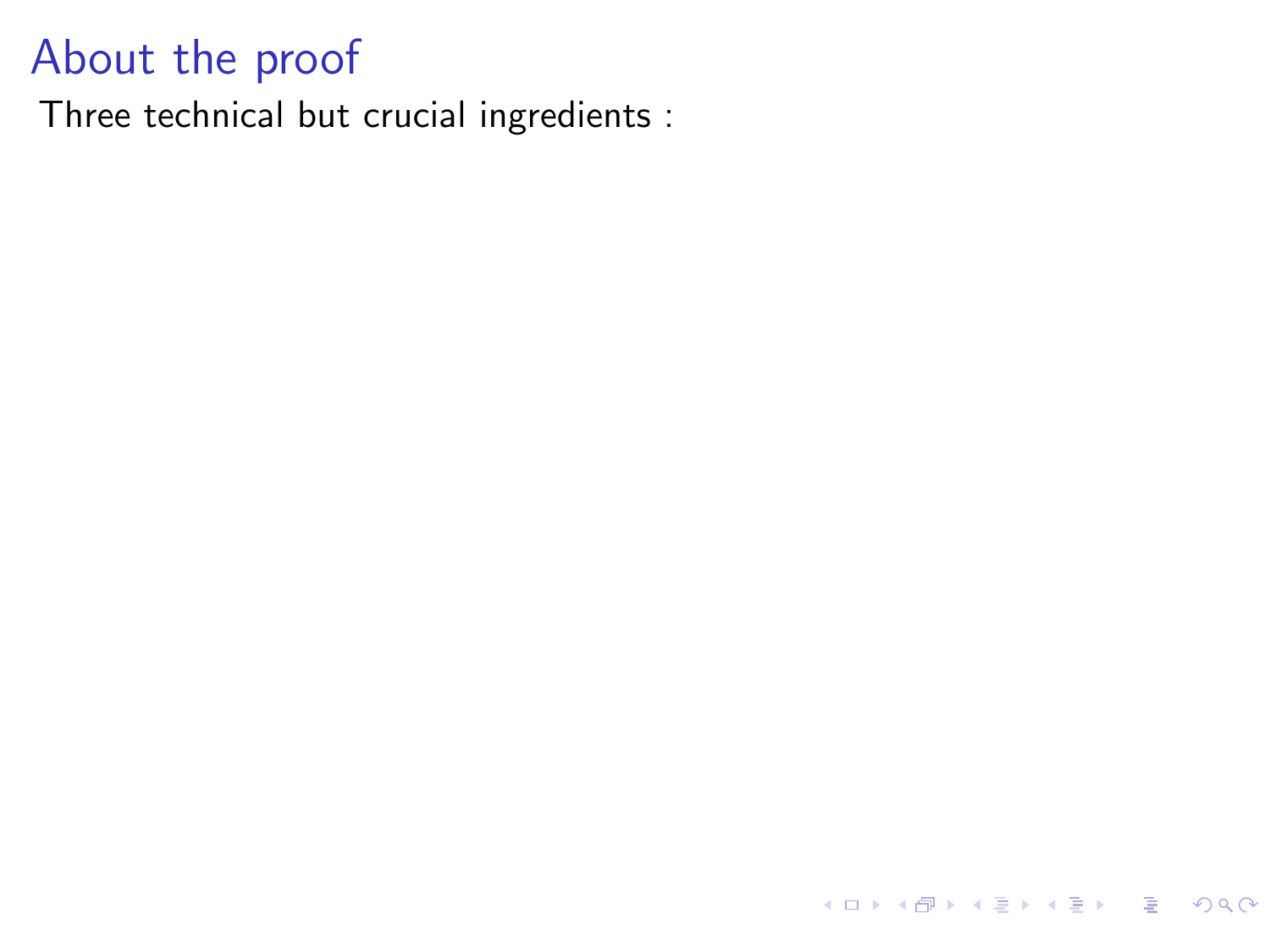Three technical but crucial ingredients :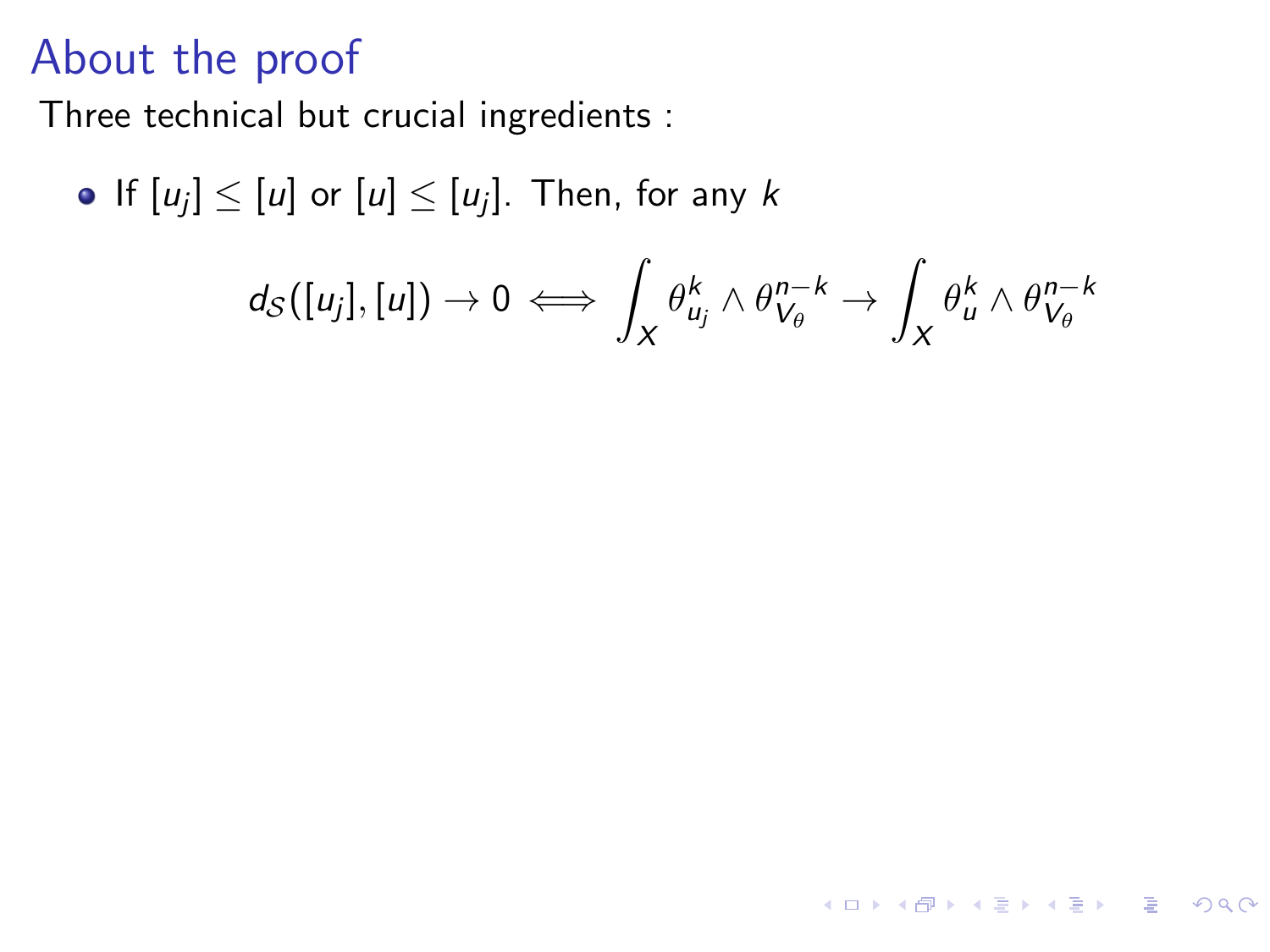Three technical but crucial ingredients :

• If 
$$
[u_j] \leq [u]
$$
 or  $[u] \leq [u_j]$ . Then, for any  $k$ 

$$
d_S([u_j],[u])\to 0 \iff \int_X \theta_{u_j}^k \wedge \theta_{V_\theta}^{n-k} \to \int_X \theta_u^k \wedge \theta_{V_\theta}^{n-k}
$$

KOKK@KKEKKEK E 1990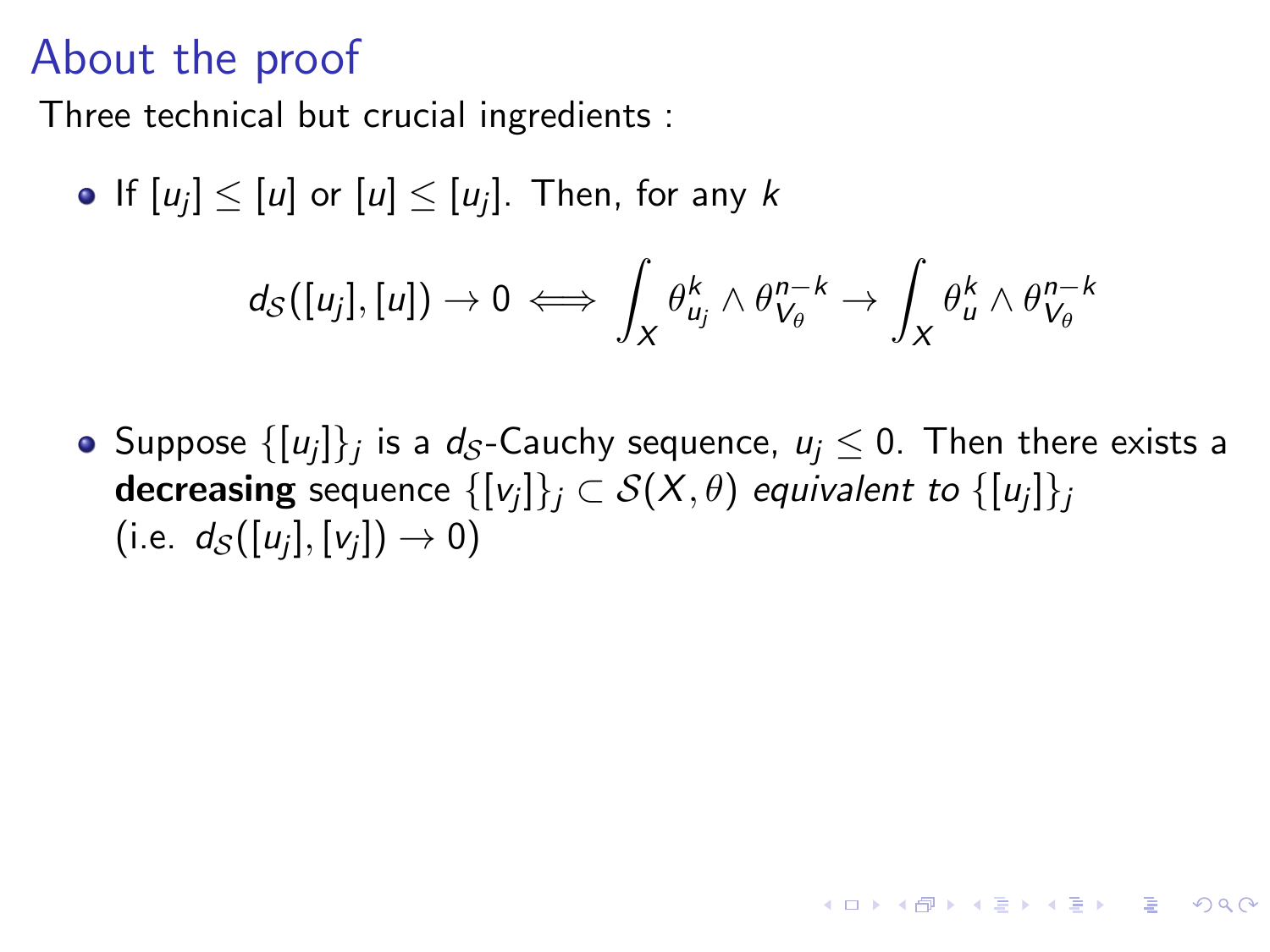Three technical but crucial ingredients :

• If 
$$
[u_j] \leq [u]
$$
 or  $[u] \leq [u_j]$ . Then, for any  $k$ 

$$
d_S([u_j],[u])\to 0 \iff \int_X \theta_{u_j}^k\wedge \theta_{V_\theta}^{n-k}\to \int_X \theta_{u}^k\wedge \theta_{V_\theta}^{n-k}
$$

Suppose  $\{[\mathcal{u}_j]\}_j$  is a  $d_{\mathcal{S}}$ -Cauchy sequence,  $\mathcal{u}_j\leq 0.$  Then there exists a  ${\sf decreasing}$  sequence  $\{[\mathsf{v}_j]\}_j\subset \mathcal{S}(\mathsf{X},\theta)$  *equivalent to*  $\{[\mathsf{u}_j]\}_j$  $(\text{i.e. } d_{\mathcal{S}}([u_j], [v_j]) \rightarrow 0)$ 

**KORK EXTERNS ORA**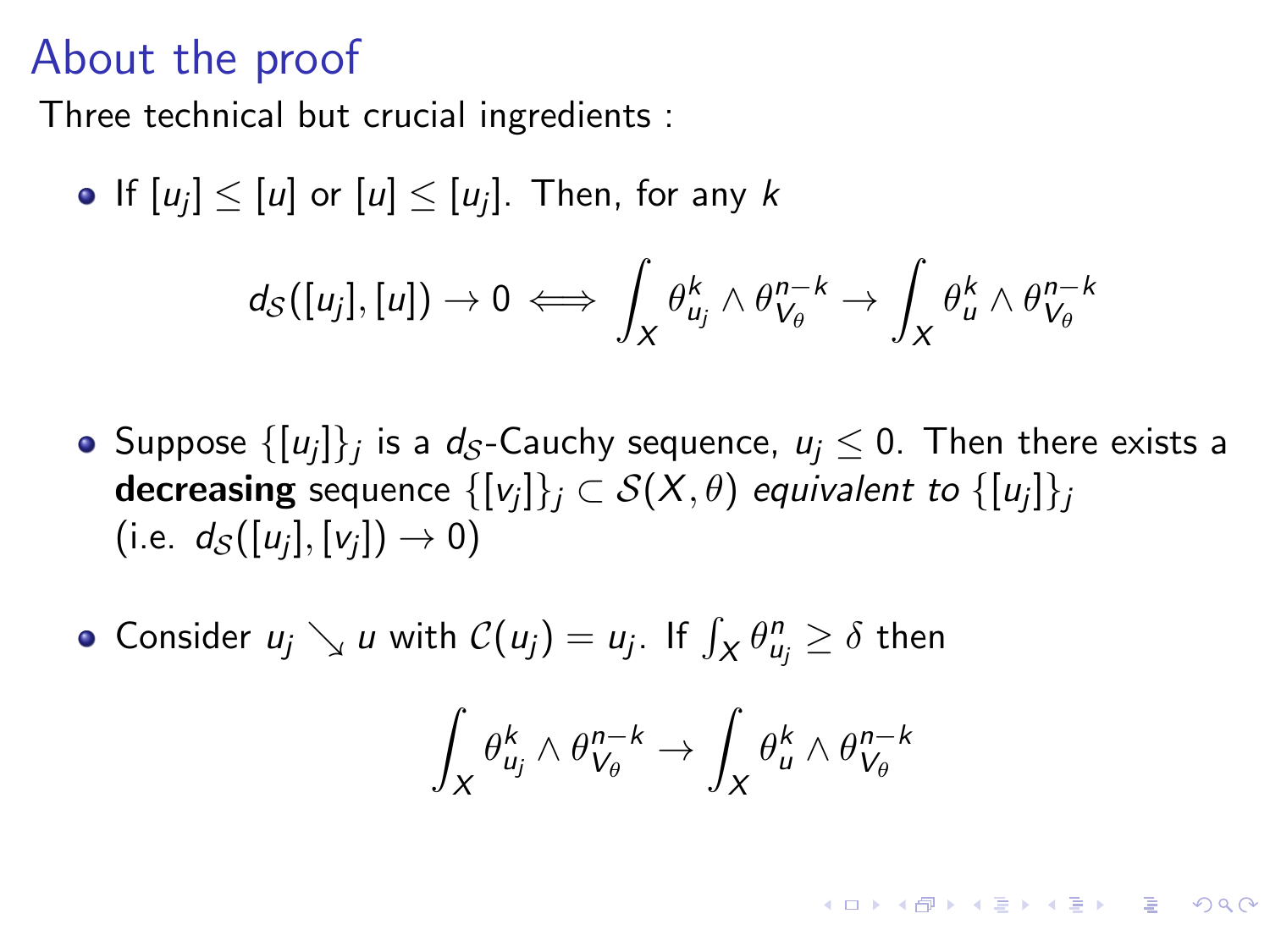Three technical but crucial ingredients :

• If 
$$
[u_j] \leq [u]
$$
 or  $[u] \leq [u_j]$ . Then, for any  $k$ 

$$
d_S([u_j],[u])\to 0 \iff \int_X \theta_{u_j}^k\wedge\theta_{V_\theta}^{n-k}\to \int_X \theta_{u}^k\wedge\theta_{V_\theta}^{n-k}
$$

- Suppose  $\{[\mathcal{u}_j]\}_j$  is a  $d_{\mathcal{S}}$ -Cauchy sequence,  $\mathcal{u}_j\leq 0.$  Then there exists a  ${\sf decreasing}$  sequence  $\{[\mathsf{v}_j]\}_j\subset \mathcal{S}(\mathsf{X},\theta)$  *equivalent to*  $\{[\mathsf{u}_j]\}_j$  $(\text{i.e. } d_{\mathcal{S}}([u_j], [v_j]) \rightarrow 0)$
- Consider  $u_j \searrow u$  with  $\mathcal{C}(u_j) = u_j$ . If  $\int_X \theta_{u_j}^n \ge \delta$  then

$$
\int_X \theta_{u_j}^k \wedge \theta_{V_\theta}^{n-k} \to \int_X \theta_{u}^k \wedge \theta_{V_\theta}^{n-k}
$$

KO K K Ø K K E K K E K V K K K K K K K K K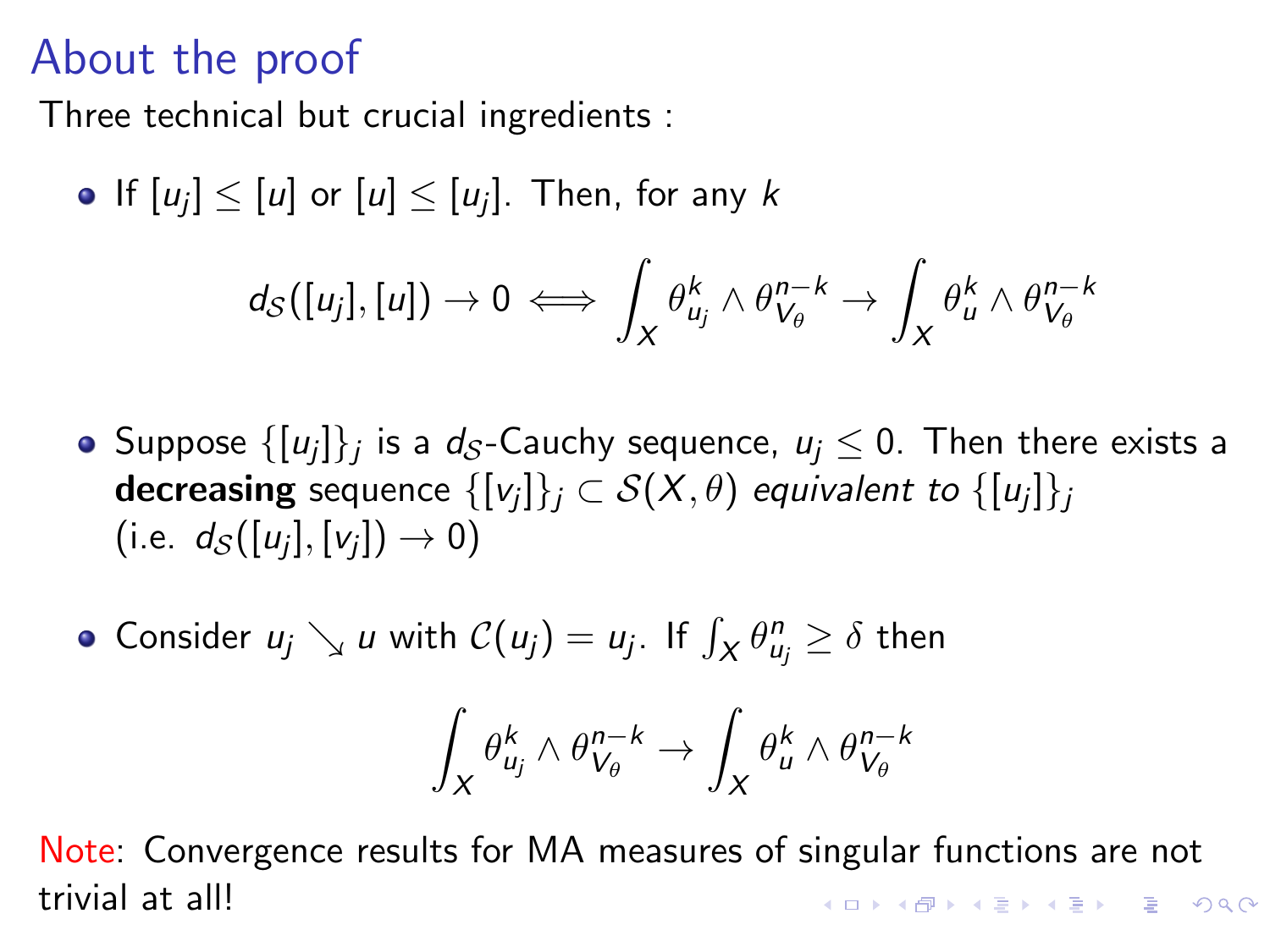Three technical but crucial ingredients :

• If 
$$
[u_j] \leq [u]
$$
 or  $[u] \leq [u_j]$ . Then, for any  $k$ 

$$
d_S([u_j],[u])\to 0 \iff \int_X \theta_{u_j}^k \wedge \theta_{V_\theta}^{n-k} \to \int_X \theta_u^k \wedge \theta_{V_\theta}^{n-k}
$$

- Suppose  $\{[\mathcal{u}_j]\}_j$  is a  $d_{\mathcal{S}}$ -Cauchy sequence,  $\mathcal{u}_j\leq 0.$  Then there exists a  ${\sf decreasing}$  sequence  $\{[\mathsf{v}_j]\}_j\subset \mathcal{S}(\mathsf{X},\theta)$  *equivalent to*  $\{[\mathsf{u}_j]\}_j$  $(\text{i.e. } d_{\mathcal{S}}([u_j], [v_j]) \rightarrow 0)$
- Consider  $u_j \searrow u$  with  $\mathcal{C}(u_j) = u_j$ . If  $\int_X \theta_{u_j}^n \ge \delta$  then

$$
\int_X \theta_{u_j}^k \wedge \theta_{V_\theta}^{n-k} \to \int_X \theta_{u}^k \wedge \theta_{V_\theta}^{n-k}
$$

Note: Convergence results for MA measures of singular functions are not trivial at all! **KORK EXTERNS ORA**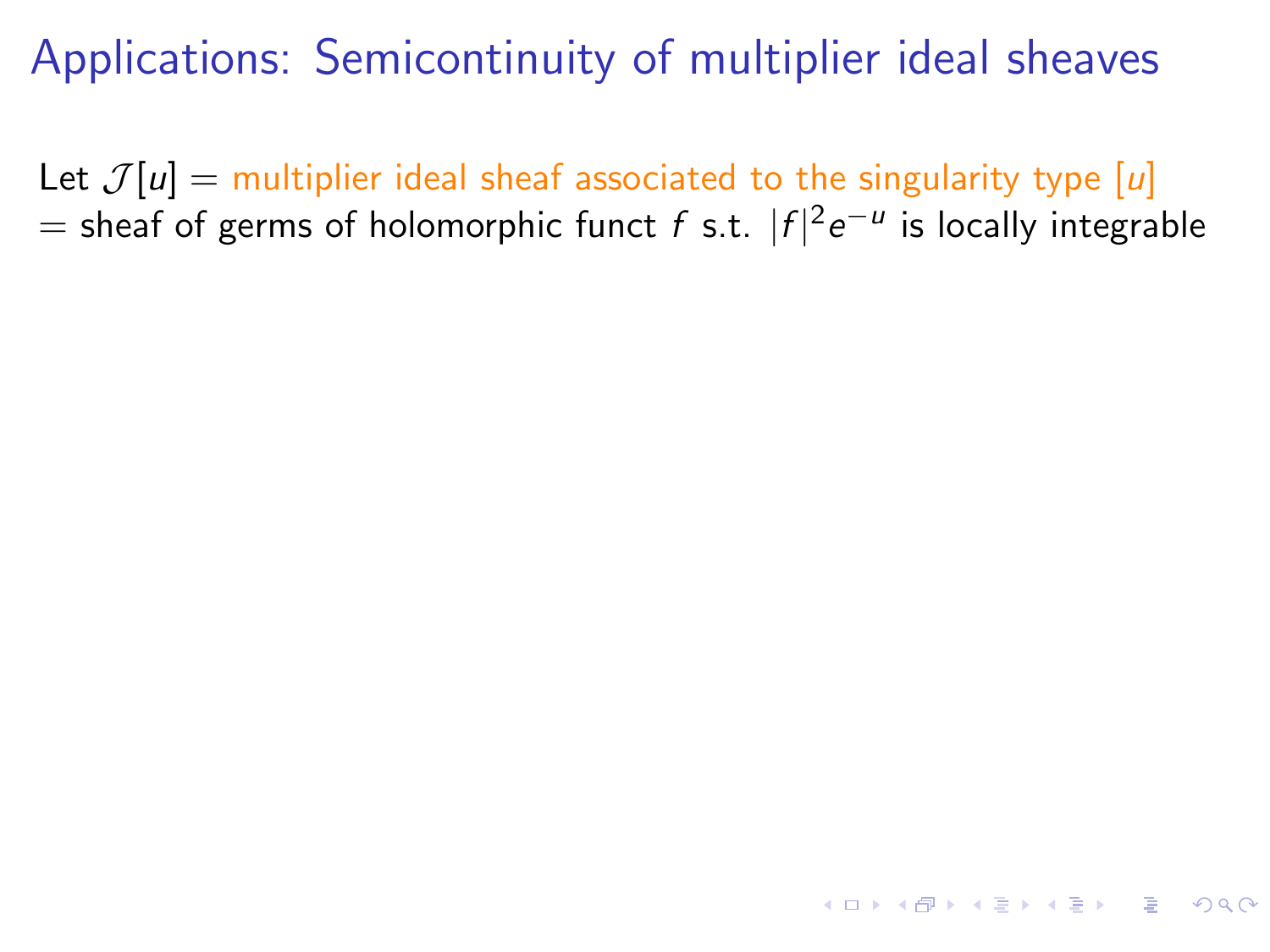Let  $\mathcal{J}[u] =$  multiplier ideal sheaf associated to the singularity type [u]  $=$  sheaf of germs of holomorphic funct  $f$  s.t.  $|f|^2e^{-u}$  is locally integrable

KO K K G K K E K E L K G K K K K K K K K K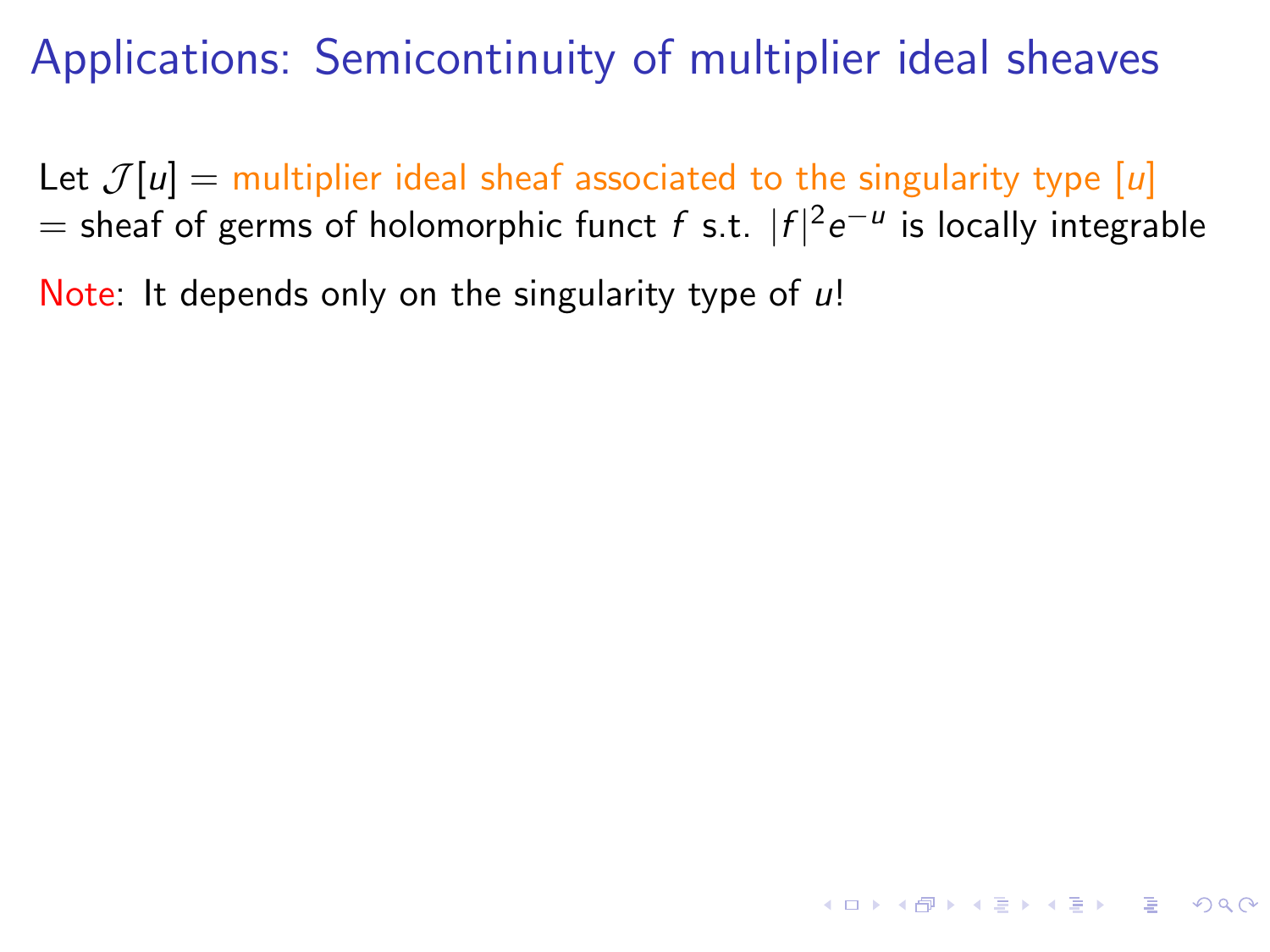Let  $\mathcal{J}[u] =$  multiplier ideal sheaf associated to the singularity type [u]  $=$  sheaf of germs of holomorphic funct  $f$  s.t.  $|f|^2e^{-u}$  is locally integrable

**KORKAR KERKER DI VOOR** 

Note: It depends only on the singularity type of  $\mu$ !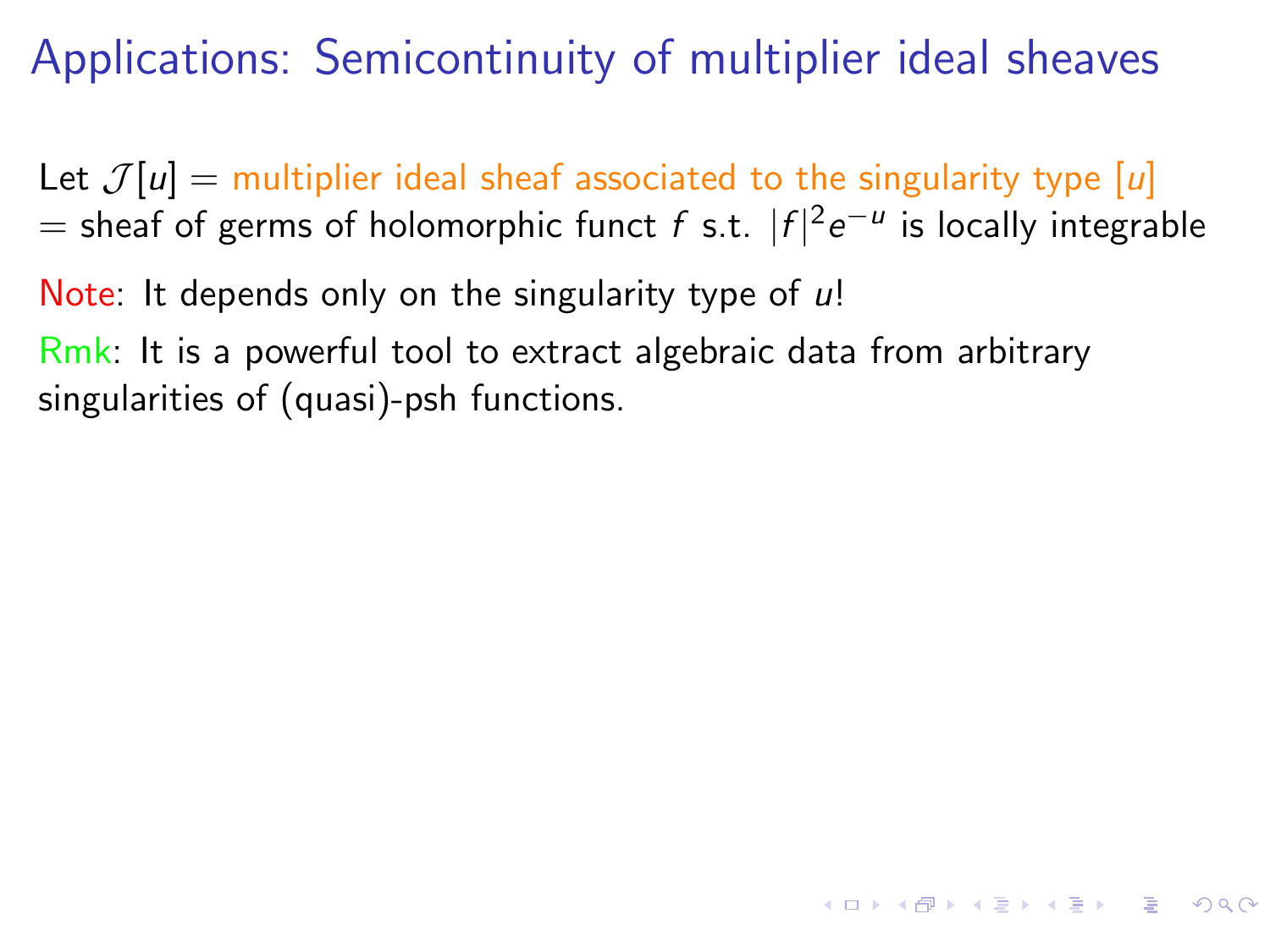Let  $\mathcal{J}[u] =$  multiplier ideal sheaf associated to the singularity type [u]  $=$  sheaf of germs of holomorphic funct  $f$  s.t.  $|f|^2e^{-u}$  is locally integrable

**KORKAR KERKER DE VOOR** 

Note: It depends only on the singularity type of  $\mu$ !

Rmk: It is a powerful tool to extract algebraic data from arbitrary singularities of (quasi)-psh functions.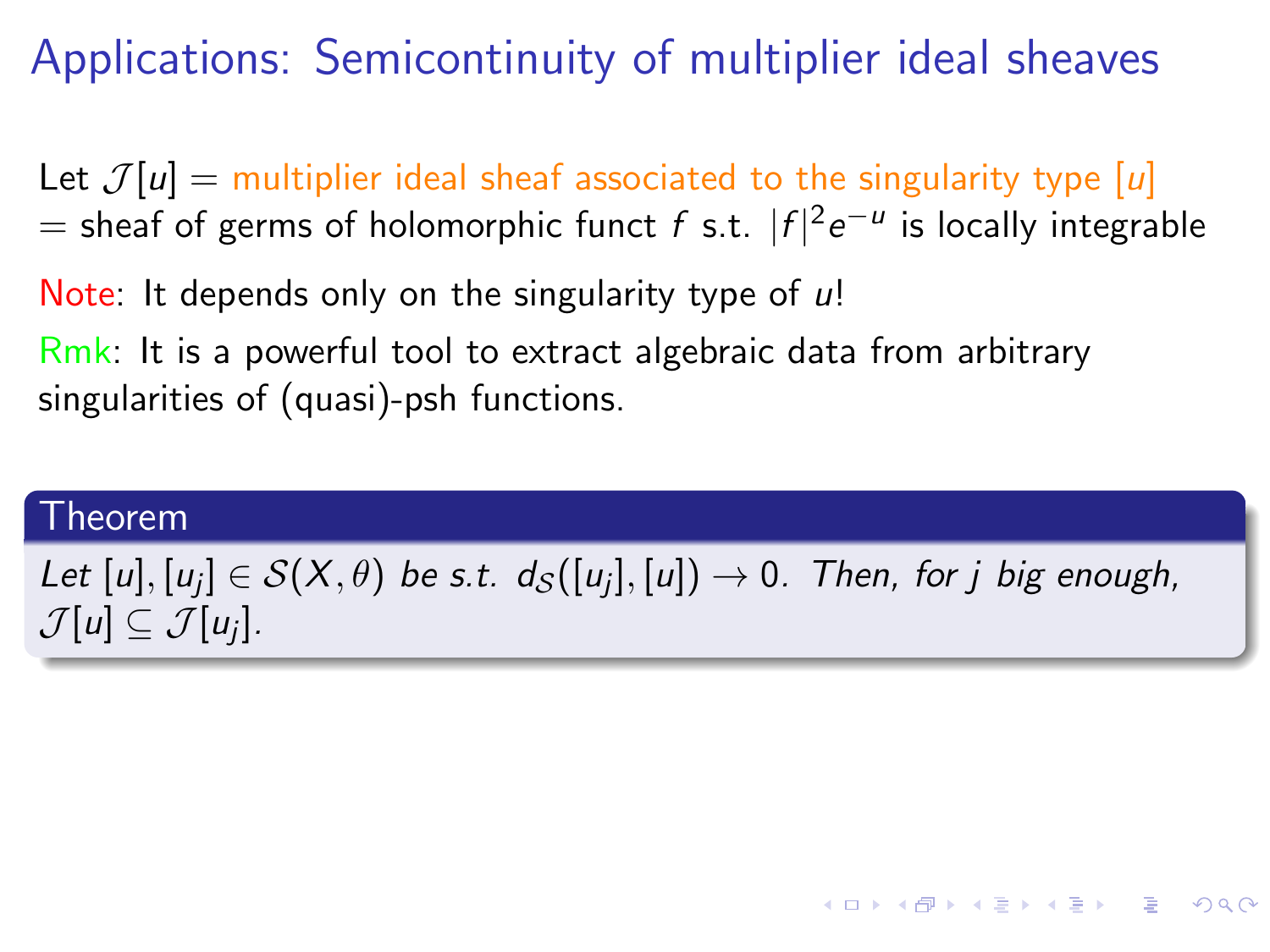Let  $\mathcal{J}[u] =$  multiplier ideal sheaf associated to the singularity type [u]  $=$  sheaf of germs of holomorphic funct  $f$  s.t.  $|f|^2e^{-u}$  is locally integrable

Note: It depends only on the singularity type of  $\mu$ !

Rmk: It is a powerful tool to extract algebraic data from arbitrary singularities of (quasi)-psh functions.

#### Theorem

## Let  $[u], [u_j] \in \mathcal{S}(X, \theta)$  be s.t.  $d_{\mathcal{S}}([u_j], [u]) \rightarrow 0$ . Then, for  $j$  big enough,  $\mathcal{J}[u] \subseteq \mathcal{J}[u_j].$

**KORK EXTERNS ORA**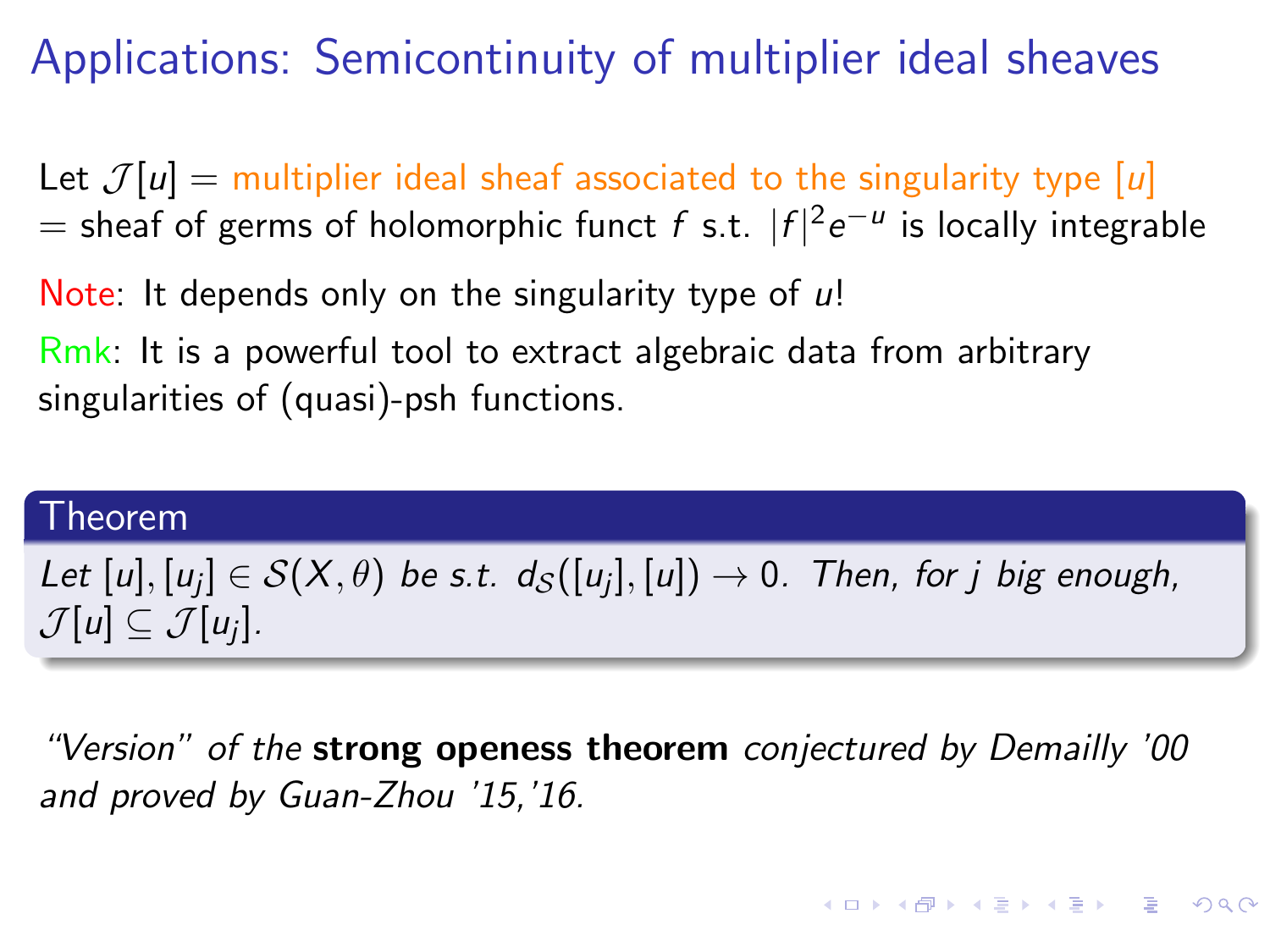Let  $\mathcal{J}[u] =$  multiplier ideal sheaf associated to the singularity type [u]  $=$  sheaf of germs of holomorphic funct  $f$  s.t.  $|f|^2e^{-u}$  is locally integrable

Note: It depends only on the singularity type of  $\mu$ !

Rmk: It is a powerful tool to extract algebraic data from arbitrary singularities of (quasi)-psh functions.

#### Theorem

# Let  $[u], [u_j] \in \mathcal{S}(X, \theta)$  be s.t.  $d_{\mathcal{S}}([u_j], [u]) \rightarrow 0$ . Then, for  $j$  big enough,  $\mathcal{J}[u] \subseteq \mathcal{J}[u_j].$

"Version" of the strong openess theorem conjectured by Demailly '00 and proved by Guan-Zhou '15,'16.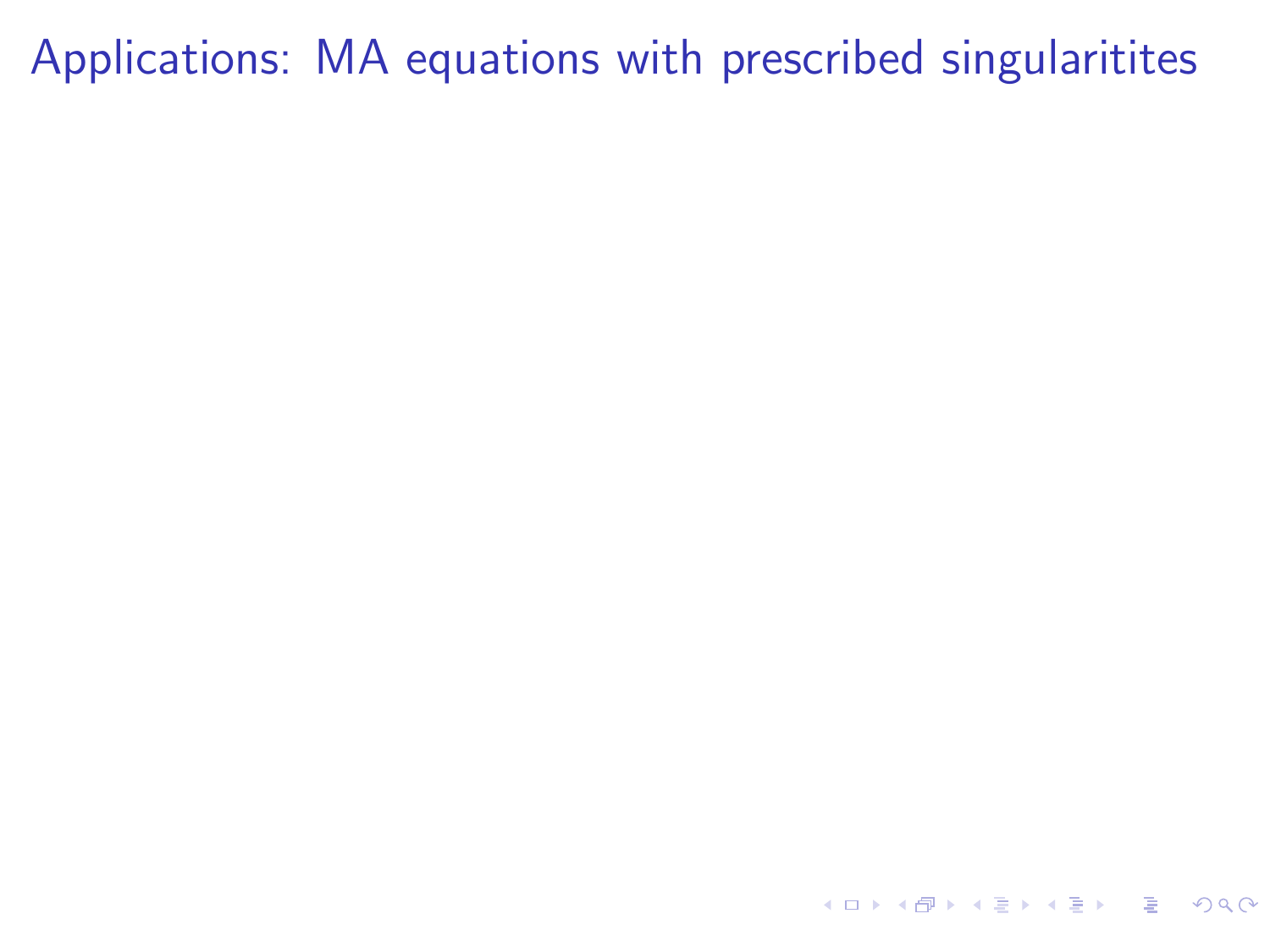<span id="page-54-0"></span>4 ロ X 4 団 X 4 ミ X 4 ミ X コ シ 4 ロ X 4 ワ 4 ミ X 3 コ シ ミ X 9 Q Q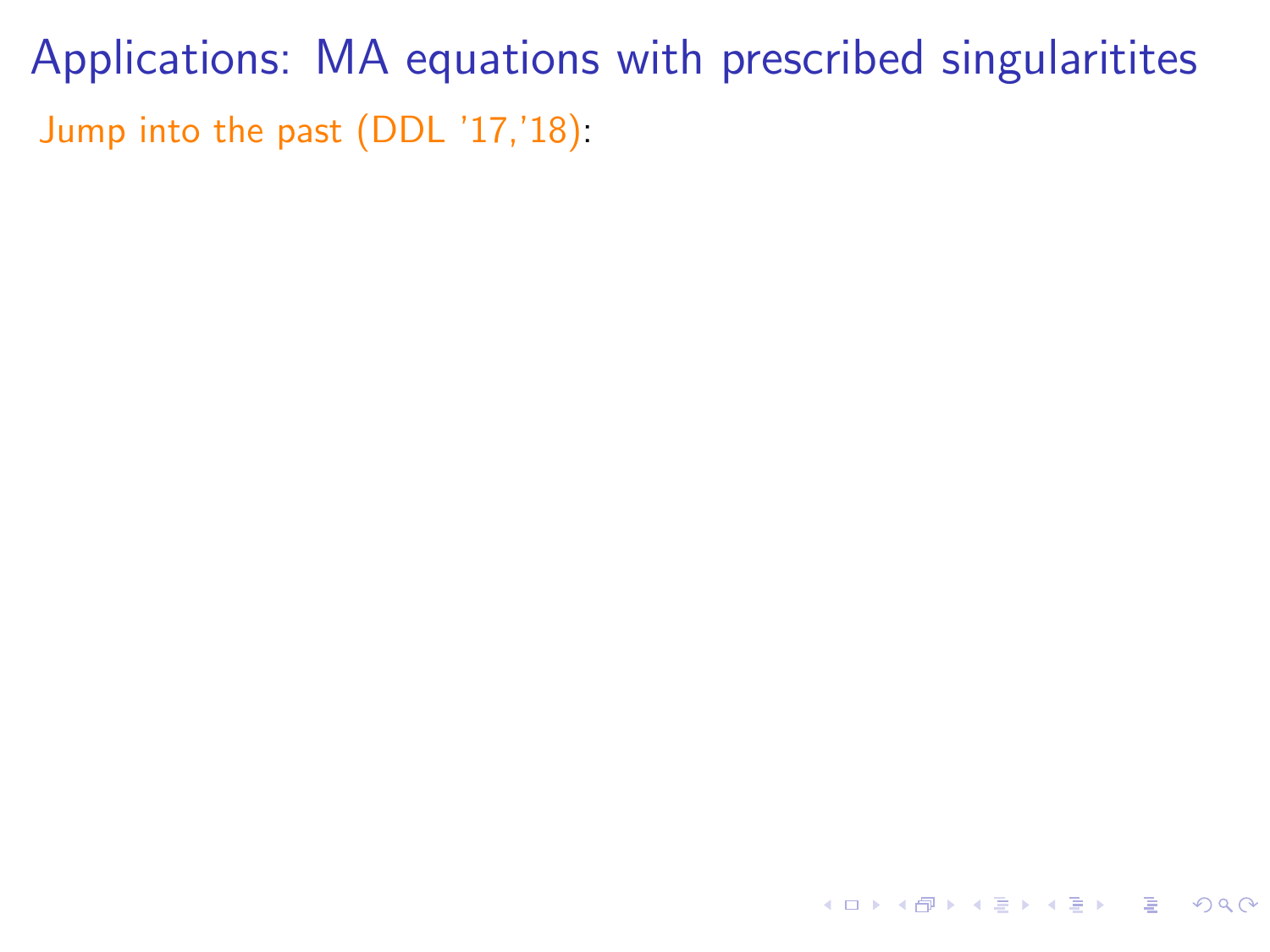Applications: MA equations with prescribed singularitites Jump into the past (DDL '17,'18):

K ロ ▶ K 個 ▶ K ミ ▶ K ミ ▶ - ' 큰' - 9 Q Q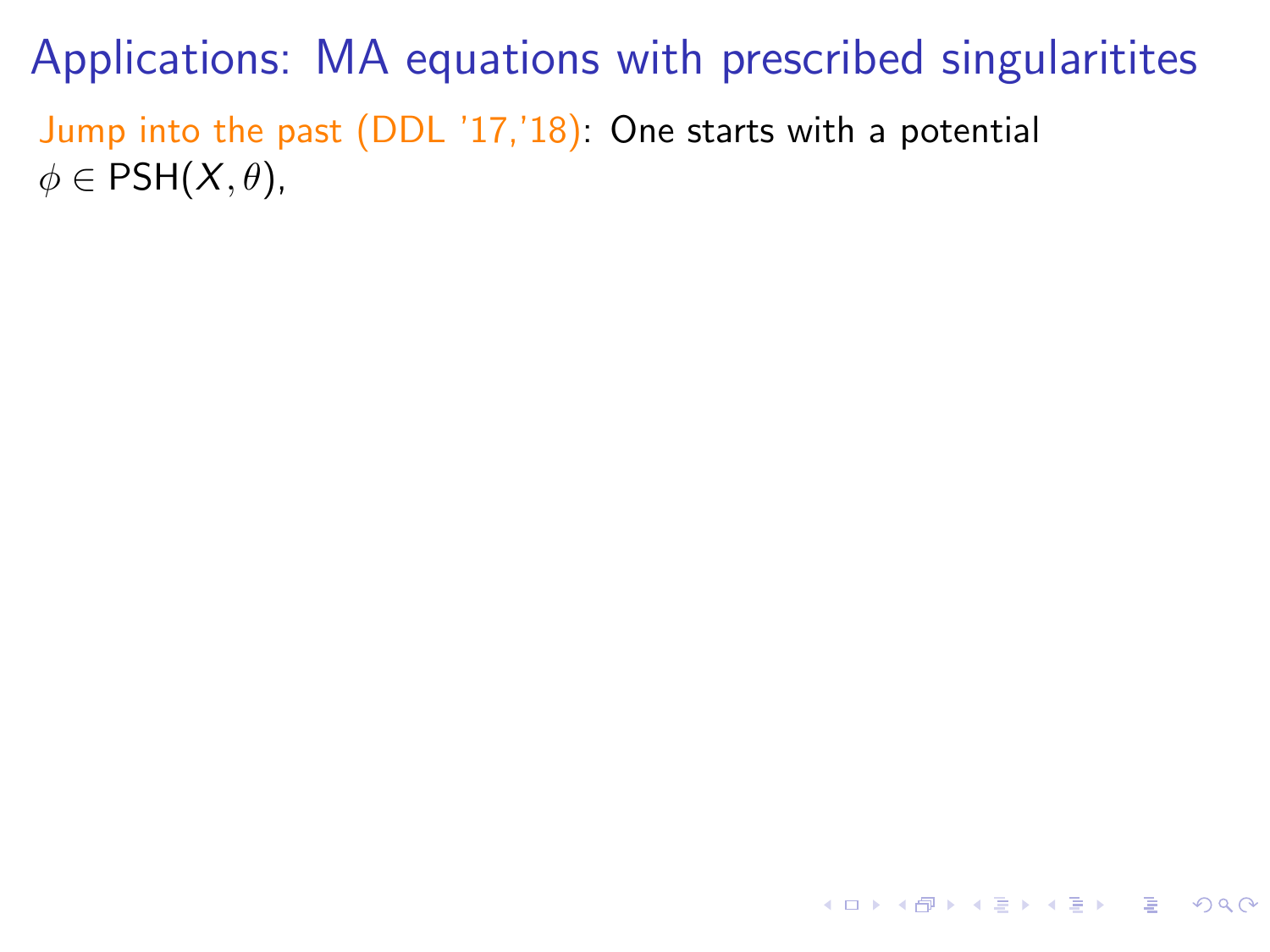Applications: MA equations with prescribed singularitites Jump into the past (DDL '17,'18): One starts with a potential  $\phi \in PSH(X, \theta)$ ,

**KORK EXTERNEY ARY YOUR**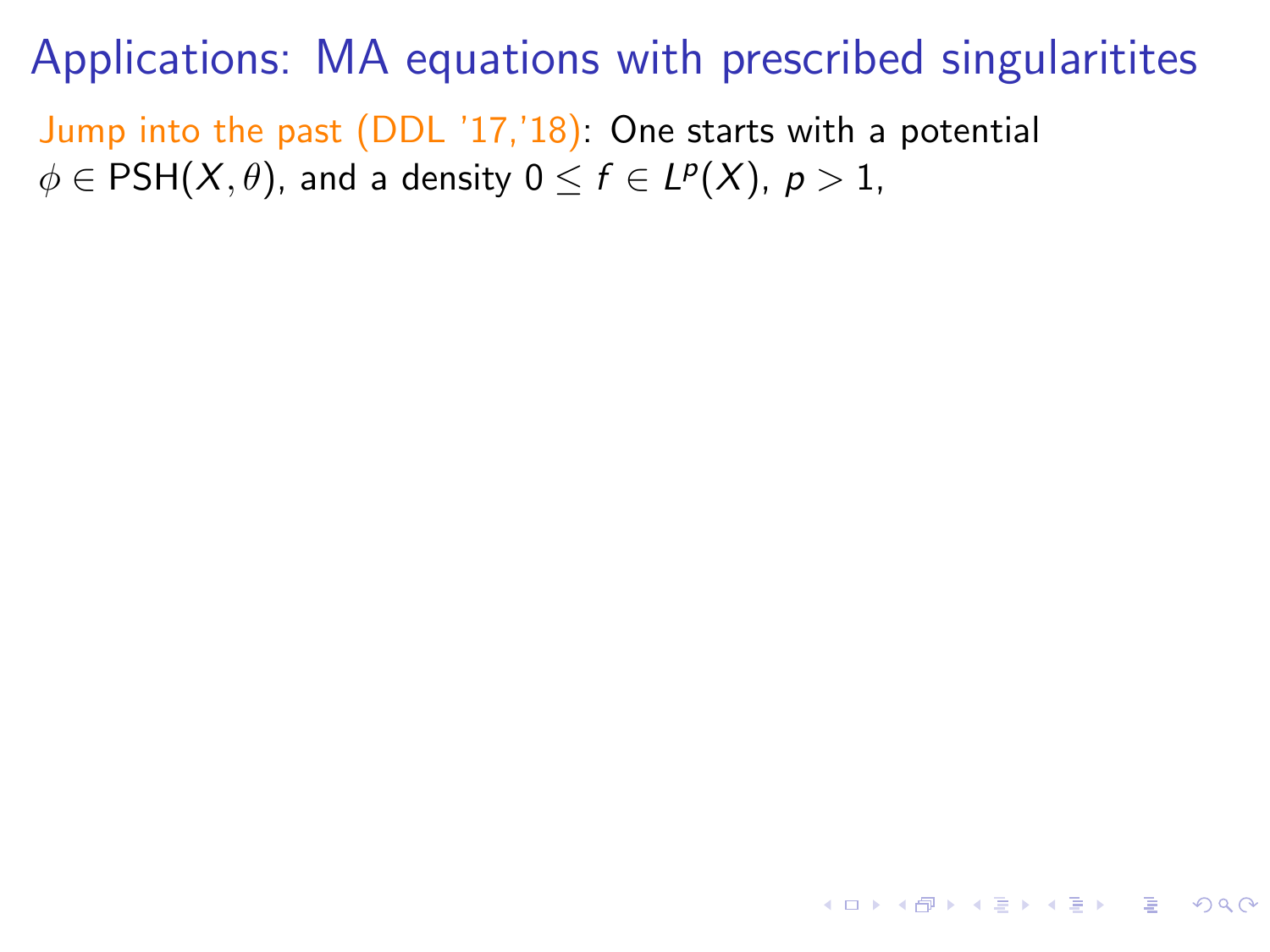Jump into the past (DDL '17,'18): One starts with a potential  $\phi \in {\sf PSH}(X,\theta)$ , and a density  $0 \leq f \in L^p(X)$ ,  $p>1$ ,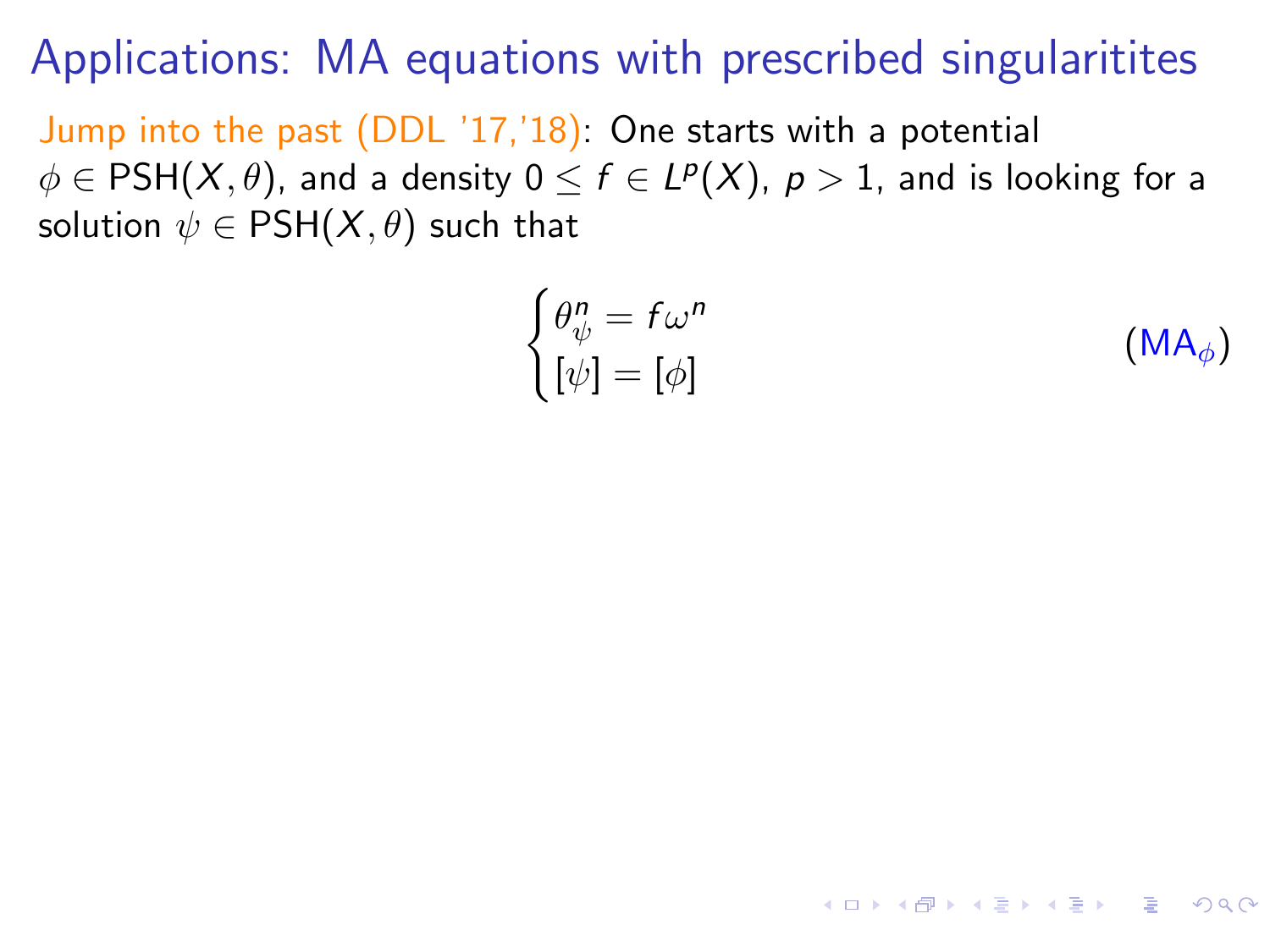Jump into the past (DDL '17,'18): One starts with a potential  $\phi \in {\sf PSH}(X,\theta)$ , and a density  $0 \leq f \in L^p(X)$ ,  $p>1$ , and is looking for a solution  $\psi \in PSH(X, \theta)$  such that

$$
\begin{cases}\n\theta_{\psi}^{n} = f\omega^{n} \\
[\psi] = [\phi]\n\end{cases}
$$
\n(MA<sub>\phi</sub>)

**KORKA STRAIN STRACT**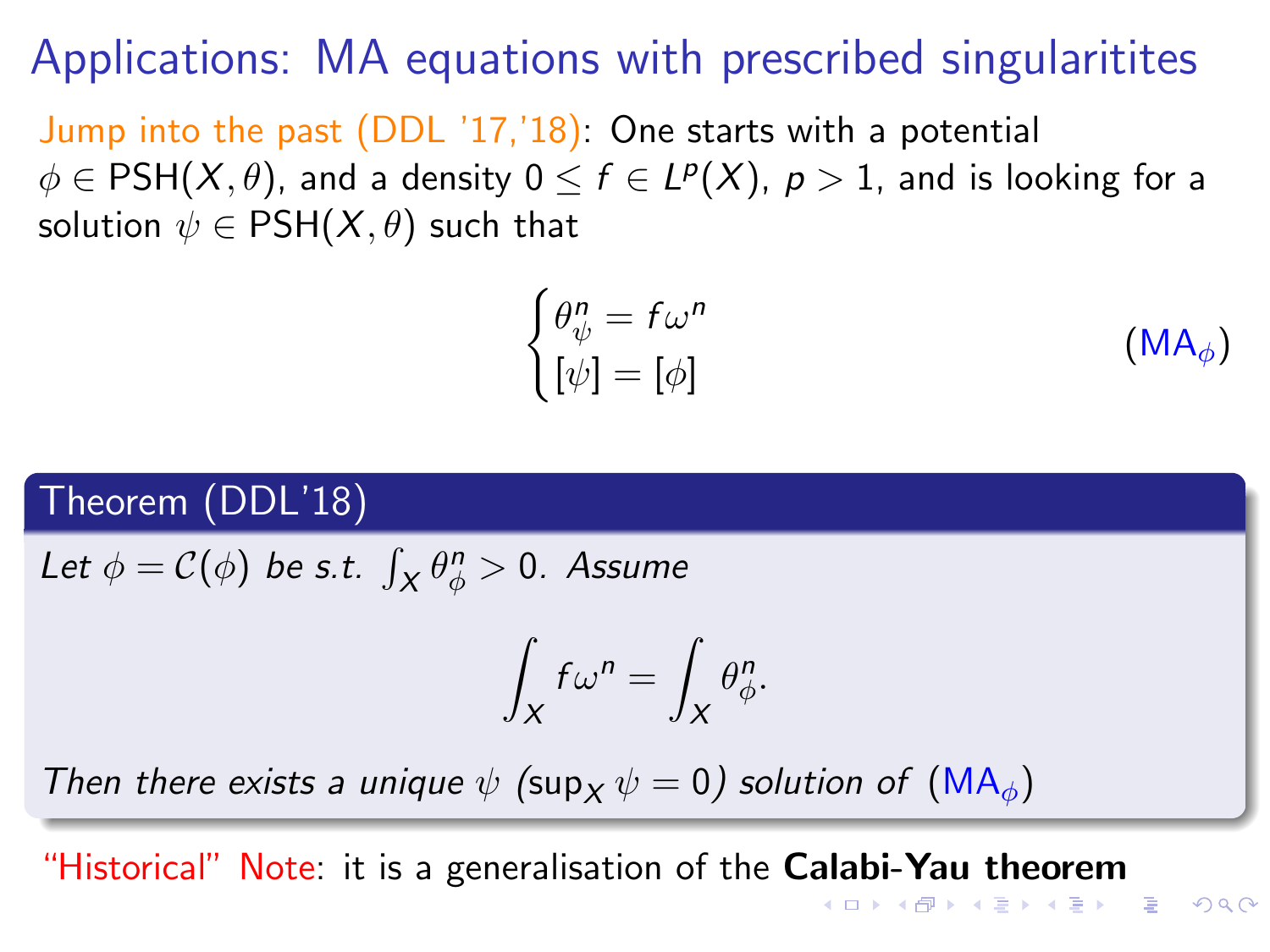Jump into the past (DDL '17,'18): One starts with a potential  $\phi \in {\sf PSH}(X,\theta)$ , and a density  $0 \leq f \in L^p(X)$ ,  $p>1$ , and is looking for a solution  $\psi \in PSH(X, \theta)$  such that

$$
\begin{cases}\n\theta_{\psi}^{n} = f\omega^{n} \\
[\psi] = [\phi]\n\end{cases} \tag{MA}_{\phi}
$$

#### Theorem (DDL'18)

Let  $\phi = \mathcal{C}(\phi)$  be s.t.  $\int_X \theta_{\phi}^n > 0$ . Assume

$$
\int_X f\omega^n = \int_X \theta^n_{\phi}.
$$

Then there exists a unique  $\psi$  (sup<sub>x</sub>  $\psi = 0$ ) solution of [\(MA](#page-54-0)<sub>φ</sub>)

"Historical" Note: it is a generalisation of the Calabi-Yau theorem

**KORK ERREPADE KORA**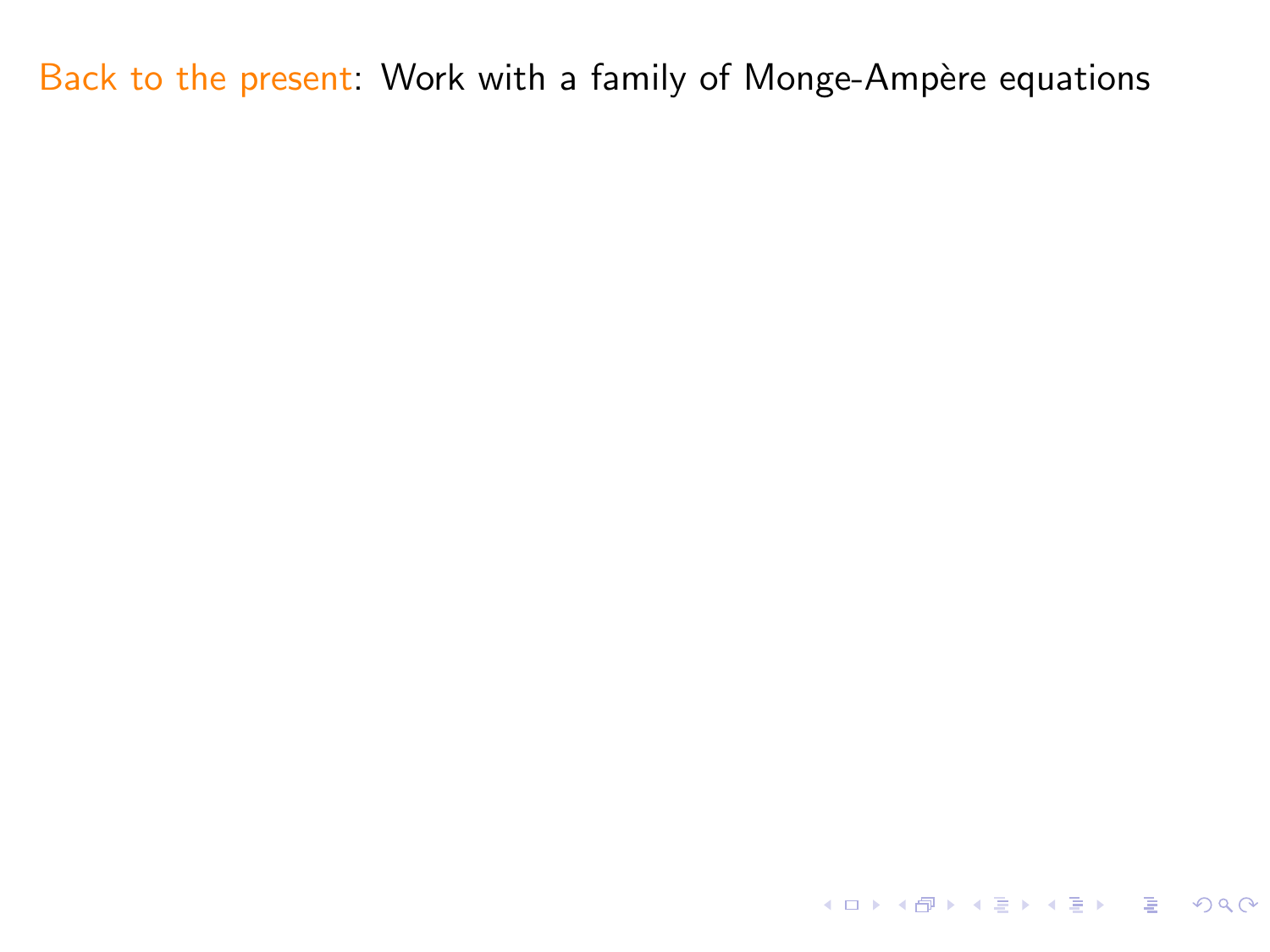KORK@RKERKER E 1990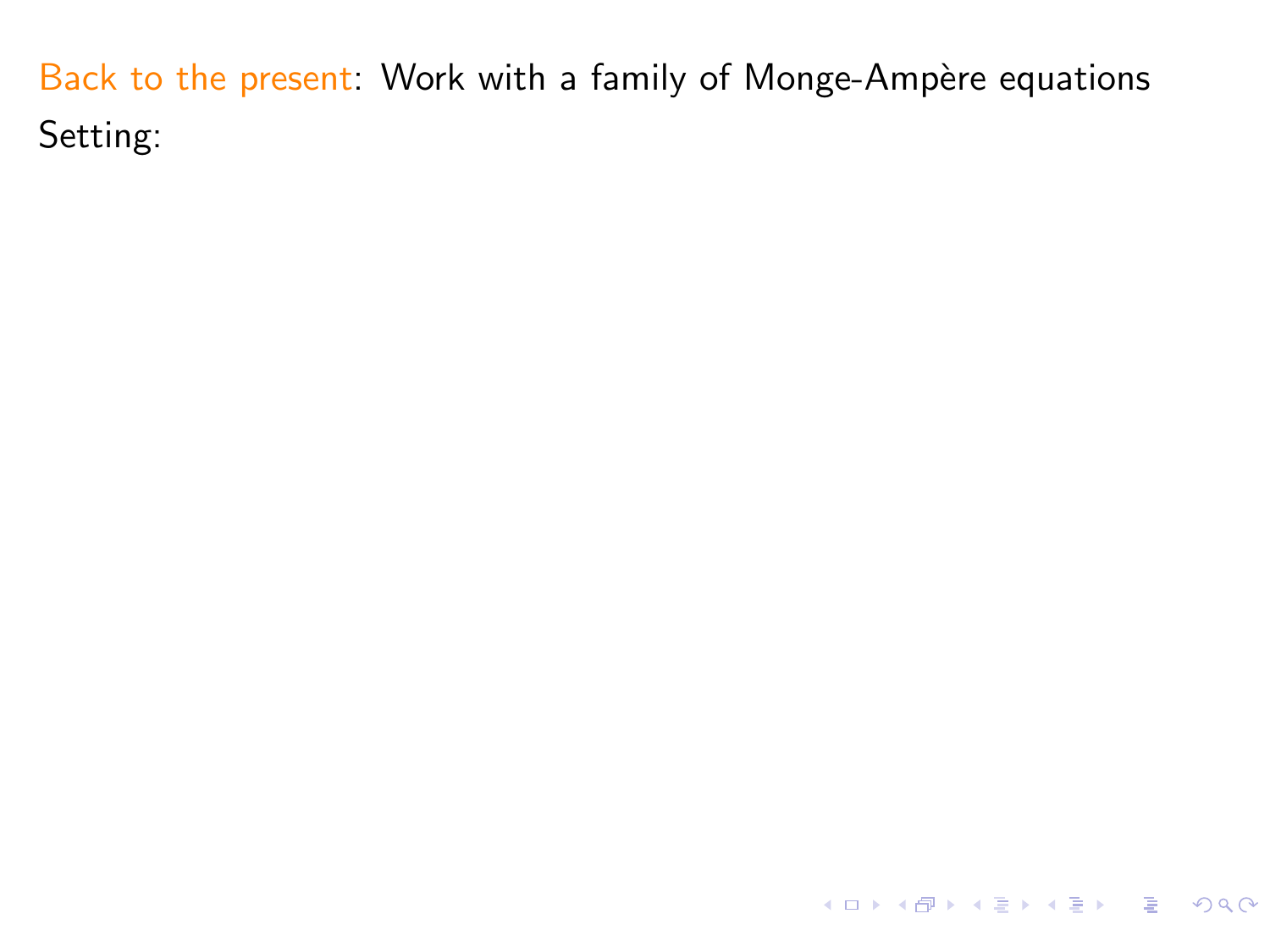KOKK@KKEKKEK E 1990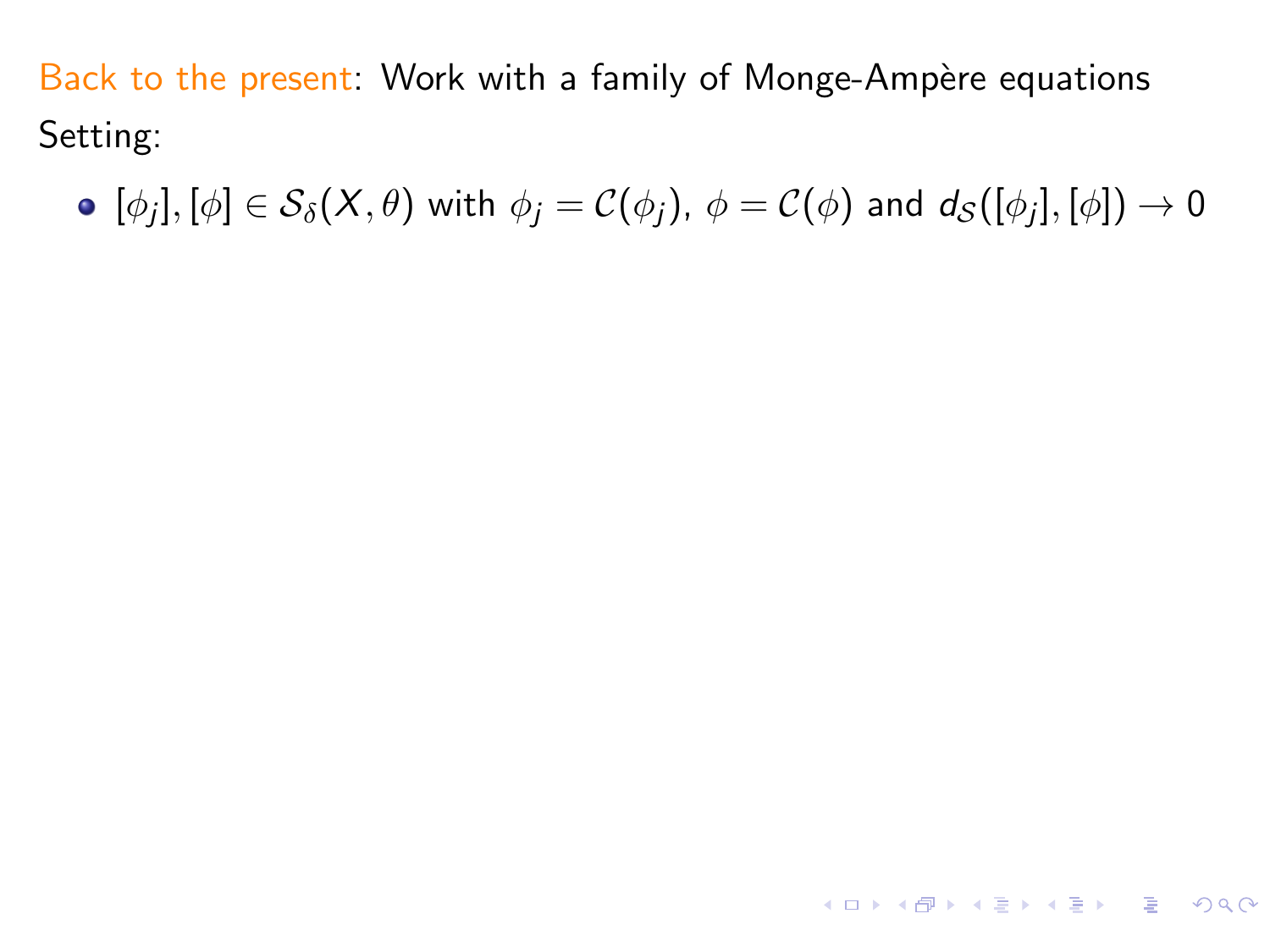$[\phi_j], [\phi]\in \mathcal{S}_\delta(X,\theta)$  with  $\phi_j=\mathcal{C}(\phi_j)$ ,  $\phi=\mathcal{C}(\phi)$  and  $d_\mathcal{S}([\phi_j],[\phi])\to 0$ 

4 ロ X 4 団 X 4 ミ X 4 ミ X コ シ 4 ロ X 4 ワ 4 ミ X 3 コ シ ミ X 9 Q Q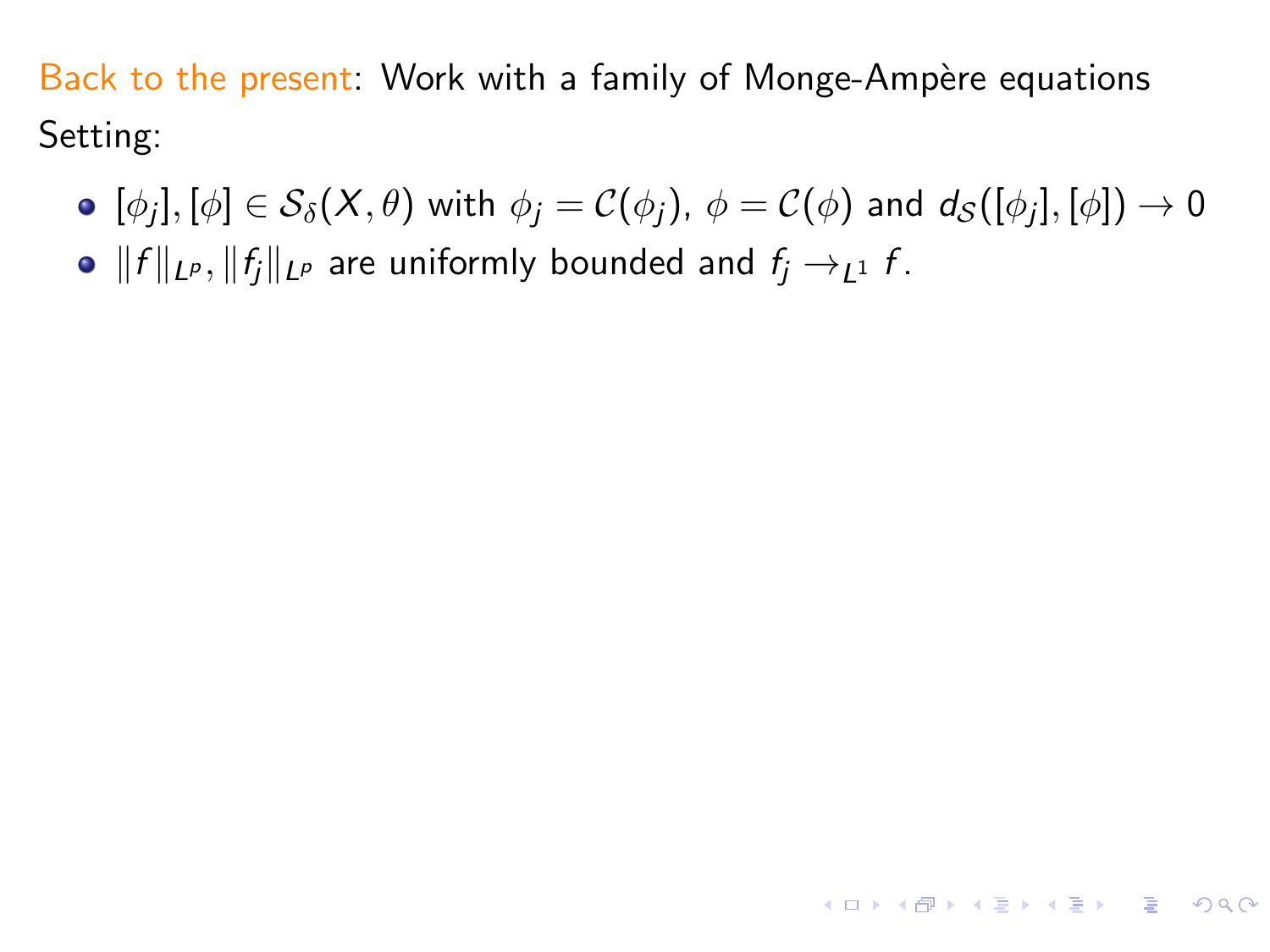$[\phi_j], [\phi]\in \mathcal{S}_\delta(X,\theta)$  with  $\phi_j=\mathcal{C}(\phi_j)$ ,  $\phi=\mathcal{C}(\phi)$  and  $d_\mathcal{S}([\phi_j],[\phi])\to 0$ 

**KORK E KERKERKERKEL** 

•  $||f||_{L^p}$ ,  $||f_i||_{L^p}$  are uniformly bounded and  $f_i \rightarrow_{1} 1$  f.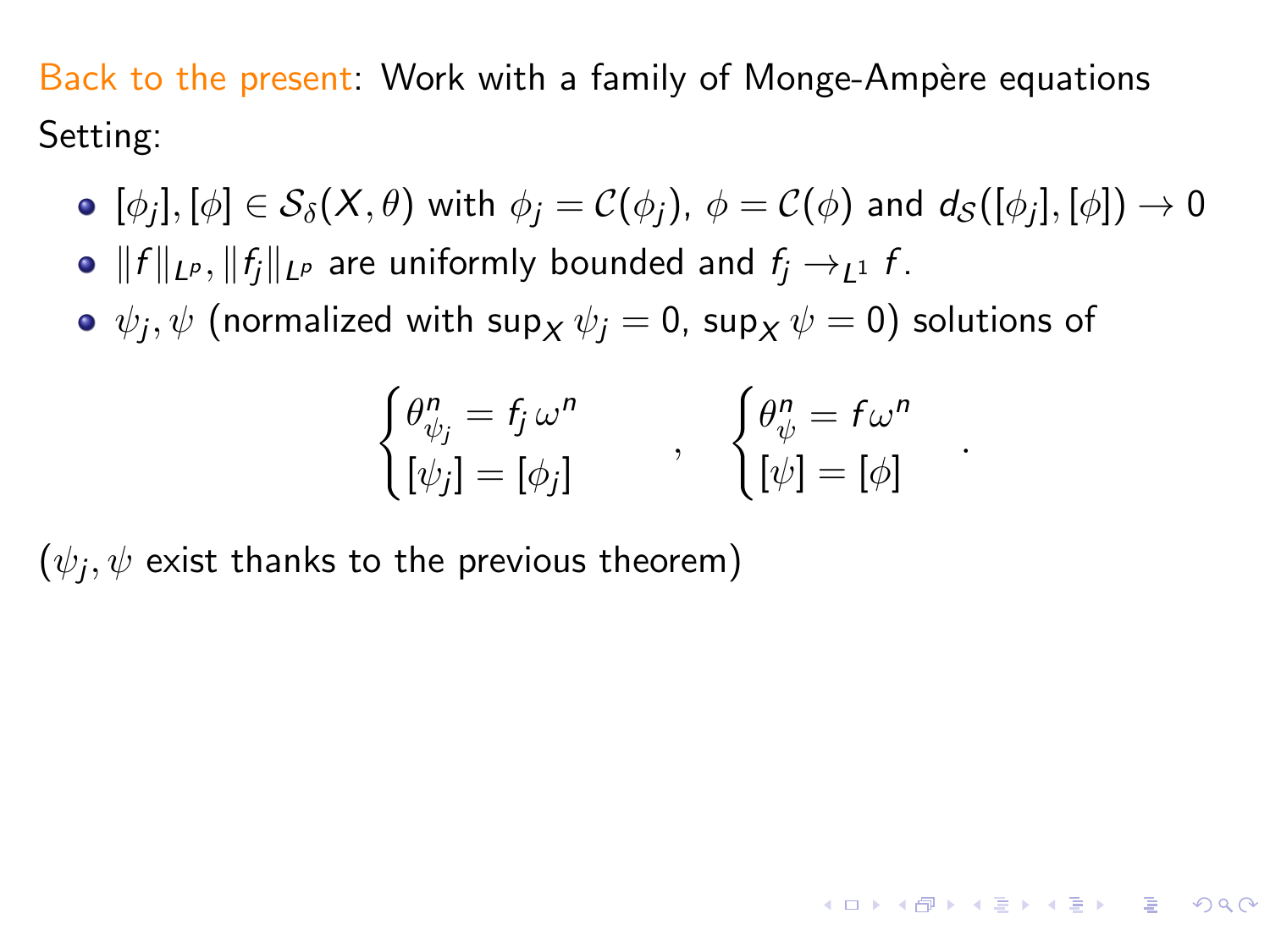- $[\phi_j], [\phi]\in \mathcal{S}_\delta(X,\theta)$  with  $\phi_j=\mathcal{C}(\phi_j)$ ,  $\phi=\mathcal{C}(\phi)$  and  $d_\mathcal{S}([\phi_j],[\phi])\to 0$
- $||f||_{L^p}$ ,  $||f_i||_{L^p}$  are uniformly bounded and  $f_i \rightarrow_{1} 1$  f.
- $\psi_j, \psi$  (normalized with sup $_\mathcal{X} \, \psi_j = 0$ , sup $_\mathcal{X} \, \psi = 0$ ) solutions of

$$
\begin{cases}\n\theta_{\psi_j}^n = f_j \omega^n \\
[\psi_j] = [\phi_j]\n\end{cases}, \quad\n\begin{cases}\n\theta_{\psi}^n = f \omega^n \\
[\psi] = [\phi]\n\end{cases}
$$

.

**KORKA STRAIN STRACT** 

 $(\psi_j, \psi$  exist thanks to the previous theorem)